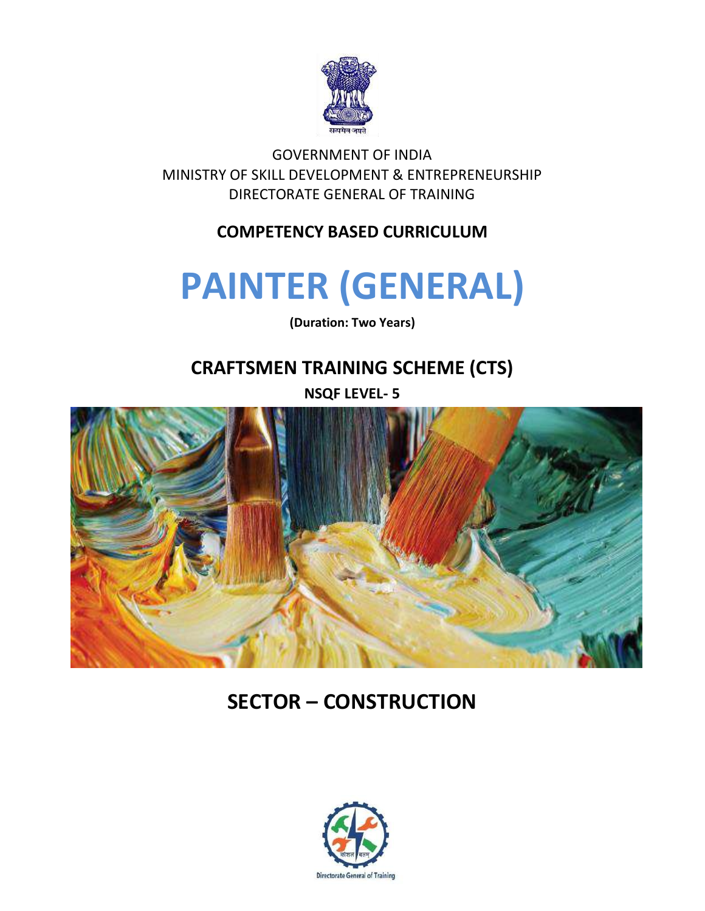

GOVERNMENT OF INDIA MINISTRY OF SKILL DEVELOPMENT & ENTREPRENEURSHIP DIRECTORATE GENERAL OF TRAINING

#### **COMPETENCY BASED CURRICULUM**

## **PAINTER (GENERAL)**

**(Duration: Two Years)**

## **CRAFTSMEN TRAINING SCHEME (CTS)**

**NSQF LEVEL- 5**



## **SECTOR – CONSTRUCTION**

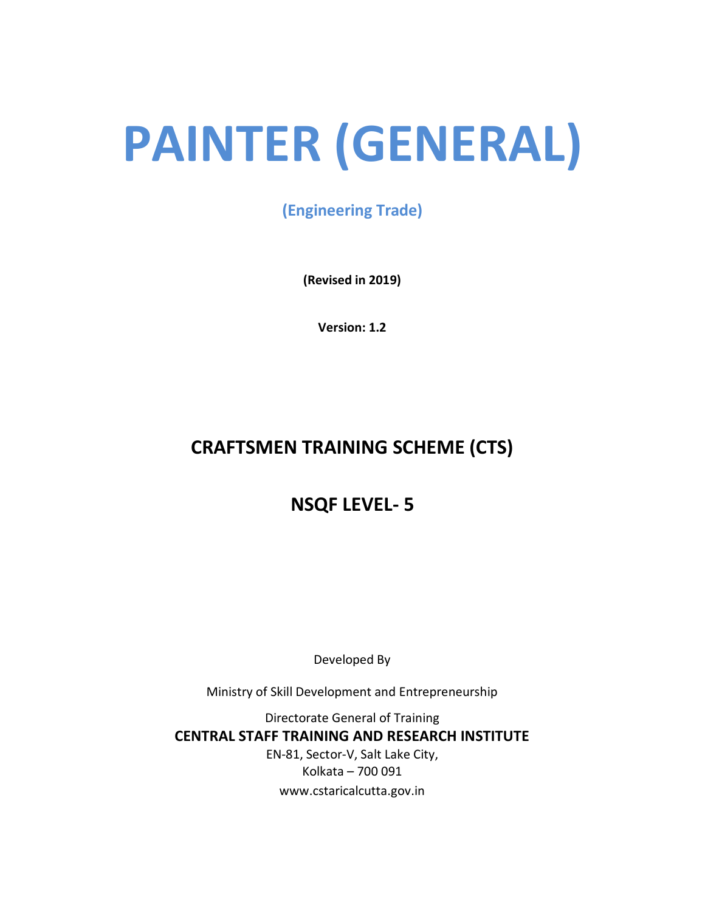# **PAINTER (GENERAL)**

**(Engineering Trade)**

**(Revised in 2019)**

**Version: 1.2**

## **CRAFTSMEN TRAINING SCHEME (CTS)**

## **NSQF LEVEL- 5**

Developed By

Ministry of Skill Development and Entrepreneurship

Directorate General of Training **CENTRAL STAFF TRAINING AND RESEARCH INSTITUTE** EN-81, Sector-V, Salt Lake City, Kolkata – 700 091 www.cstaricalcutta.gov.in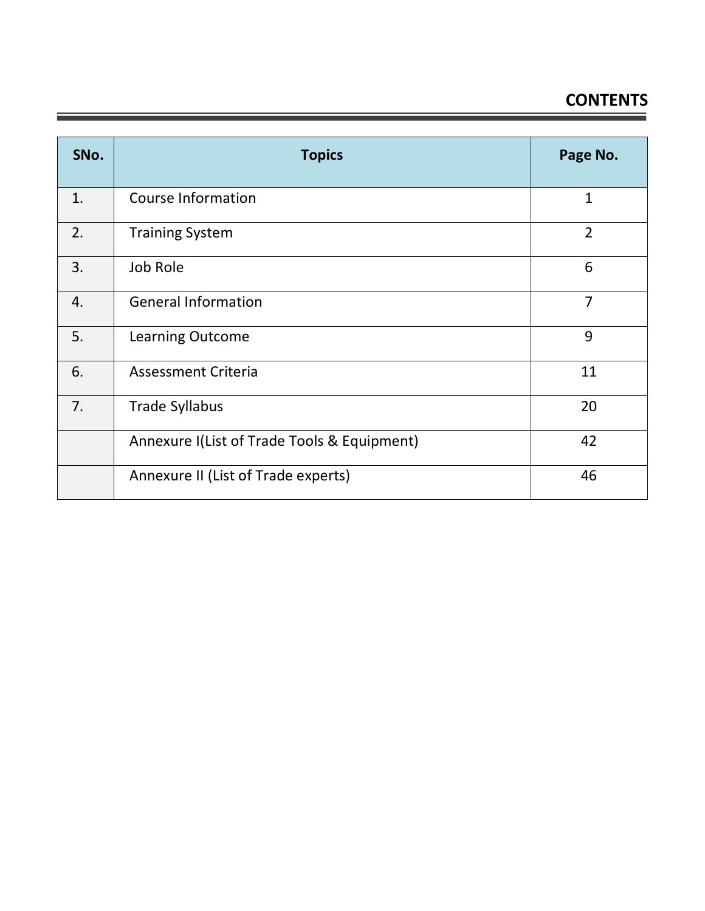## **CONTENTS**

| SNo. | <b>Topics</b>                               | Page No.       |
|------|---------------------------------------------|----------------|
| 1.   | <b>Course Information</b>                   | $\mathbf{1}$   |
| 2.   | <b>Training System</b>                      | $\overline{2}$ |
| 3.   | Job Role                                    | 6              |
| 4.   | <b>General Information</b>                  | $\overline{7}$ |
| 5.   | <b>Learning Outcome</b>                     | 9              |
| 6.   | <b>Assessment Criteria</b>                  | 11             |
| 7.   | <b>Trade Syllabus</b>                       | 20             |
|      | Annexure I(List of Trade Tools & Equipment) | 42             |
|      | Annexure II (List of Trade experts)         | 46             |

Ξ

<u> - Frans</u>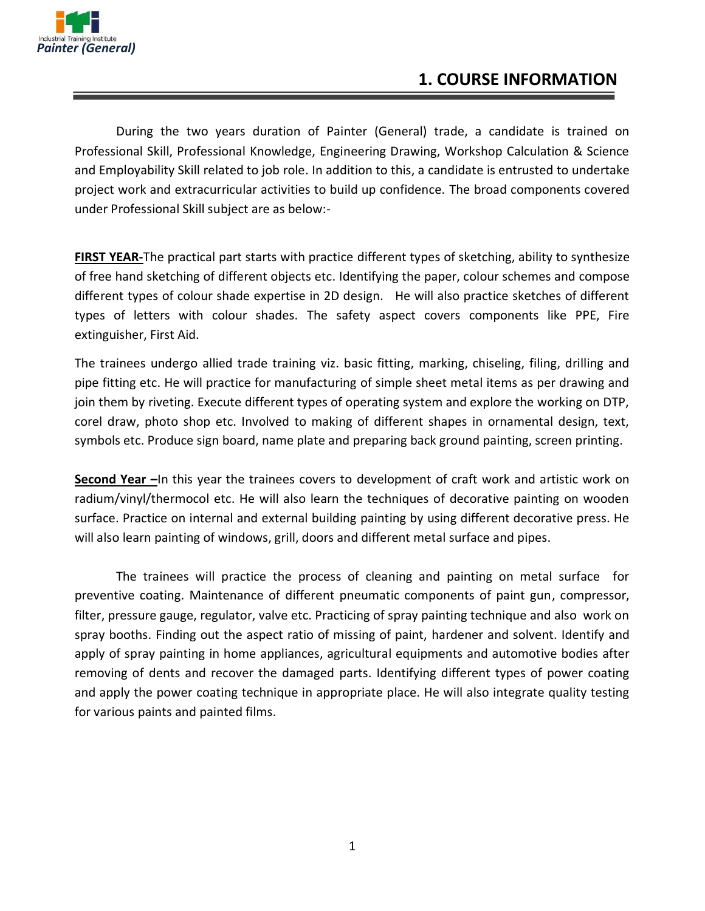

#### **1. COURSE INFORMATION**

During the two years duration of Painter (General) trade, a candidate is trained on Professional Skill, Professional Knowledge, Engineering Drawing, Workshop Calculation & Science and Employability Skill related to job role. In addition to this, a candidate is entrusted to undertake project work and extracurricular activities to build up confidence. The broad components covered under Professional Skill subject are as below:-

**FIRST YEAR-**The practical part starts with practice different types of sketching, ability to synthesize of free hand sketching of different objects etc. Identifying the paper, colour schemes and compose different types of colour shade expertise in 2D design. He will also practice sketches of different types of letters with colour shades. The safety aspect covers components like PPE, Fire extinguisher, First Aid.

The trainees undergo allied trade training viz. basic fitting, marking, chiseling, filing, drilling and pipe fitting etc. He will practice for manufacturing of simple sheet metal items as per drawing and join them by riveting. Execute different types of operating system and explore the working on DTP, corel draw, photo shop etc. Involved to making of different shapes in ornamental design, text, symbols etc. Produce sign board, name plate and preparing back ground painting, screen printing.

**Second Year –**In this year the trainees covers to development of craft work and artistic work on radium/vinyl/thermocol etc. He will also learn the techniques of decorative painting on wooden surface. Practice on internal and external building painting by using different decorative press. He will also learn painting of windows, grill, doors and different metal surface and pipes.

The trainees will practice the process of cleaning and painting on metal surface for preventive coating. Maintenance of different pneumatic components of paint gun, compressor, filter, pressure gauge, regulator, valve etc. Practicing of spray painting technique and also work on spray booths. Finding out the aspect ratio of missing of paint, hardener and solvent. Identify and apply of spray painting in home appliances, agricultural equipments and automotive bodies after removing of dents and recover the damaged parts. Identifying different types of power coating and apply the power coating technique in appropriate place. He will also integrate quality testing for various paints and painted films.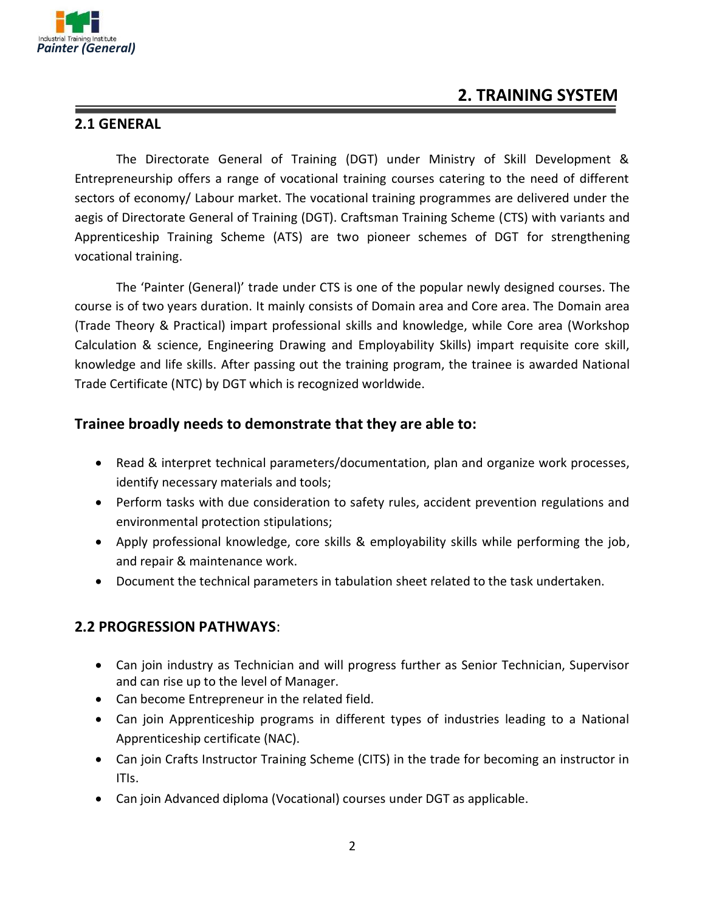

#### **2. TRAINING SYSTEM**

#### **2.1 GENERAL**

The Directorate General of Training (DGT) under Ministry of Skill Development & Entrepreneurship offers a range of vocational training courses catering to the need of different sectors of economy/ Labour market. The vocational training programmes are delivered under the aegis of Directorate General of Training (DGT). Craftsman Training Scheme (CTS) with variants and Apprenticeship Training Scheme (ATS) are two pioneer schemes of DGT for strengthening vocational training.

The 'Painter (General)' trade under CTS is one of the popular newly designed courses. The course is of two years duration. It mainly consists of Domain area and Core area. The Domain area (Trade Theory & Practical) impart professional skills and knowledge, while Core area (Workshop Calculation & science, Engineering Drawing and Employability Skills) impart requisite core skill, knowledge and life skills. After passing out the training program, the trainee is awarded National Trade Certificate (NTC) by DGT which is recognized worldwide.

#### **Trainee broadly needs to demonstrate that they are able to:**

- Read & interpret technical parameters/documentation, plan and organize work processes, identify necessary materials and tools;
- Perform tasks with due consideration to safety rules, accident prevention regulations and environmental protection stipulations;
- Apply professional knowledge, core skills & employability skills while performing the job, and repair & maintenance work.
- Document the technical parameters in tabulation sheet related to the task undertaken.

#### **2.2 PROGRESSION PATHWAYS**:

- Can join industry as Technician and will progress further as Senior Technician, Supervisor and can rise up to the level of Manager.
- Can become Entrepreneur in the related field.
- Can join Apprenticeship programs in different types of industries leading to a National Apprenticeship certificate (NAC).
- Can join Crafts Instructor Training Scheme (CITS) in the trade for becoming an instructor in ITIs.
- Can join Advanced diploma (Vocational) courses under DGT as applicable.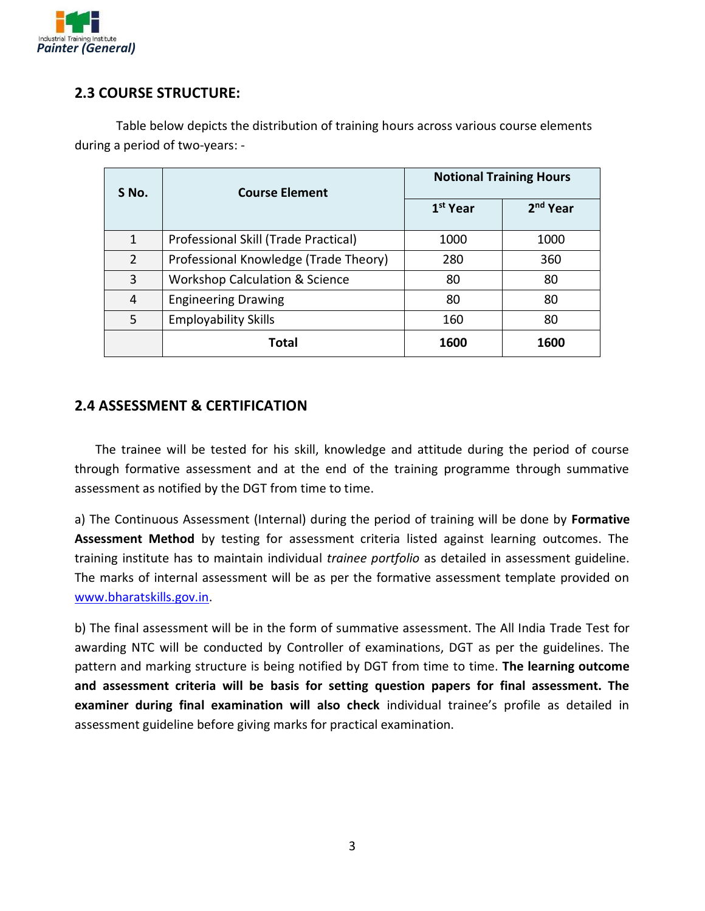

#### **2.3 COURSE STRUCTURE:**

Table below depicts the distribution of training hours across various course elements during a period of two-years: -

| S No.        | <b>Course Element</b>                     |                      | <b>Notional Training Hours</b> |
|--------------|-------------------------------------------|----------------------|--------------------------------|
|              |                                           | 1 <sup>st</sup> Year | 2 <sup>nd</sup> Year           |
| $\mathbf{1}$ | Professional Skill (Trade Practical)      | 1000                 | 1000                           |
| 2            | Professional Knowledge (Trade Theory)     | 280                  | 360                            |
| 3            | <b>Workshop Calculation &amp; Science</b> | 80                   | 80                             |
| 4            | <b>Engineering Drawing</b>                | 80                   | 80                             |
| 5            | <b>Employability Skills</b>               | 160                  | 80                             |
|              | Total                                     | 1600                 | 1600                           |

#### **2.4 ASSESSMENT & CERTIFICATION**

The trainee will be tested for his skill, knowledge and attitude during the period of course through formative assessment and at the end of the training programme through summative assessment as notified by the DGT from time to time.

a) The Continuous Assessment (Internal) during the period of training will be done by **Formative Assessment Method** by testing for assessment criteria listed against learning outcomes. The training institute has to maintain individual *trainee portfolio* as detailed in assessment guideline. The marks of internal assessment will be as per the formative assessment template provided on [www.bharatskills.gov.in.](http://www.bharatskills.gov.in/)

b) The final assessment will be in the form of summative assessment. The All India Trade Test for awarding NTC will be conducted by Controller of examinations, DGT as per the guidelines. The pattern and marking structure is being notified by DGT from time to time. **The learning outcome and assessment criteria will be basis for setting question papers for final assessment. The examiner during final examination will also check** individual trainee's profile as detailed in assessment guideline before giving marks for practical examination.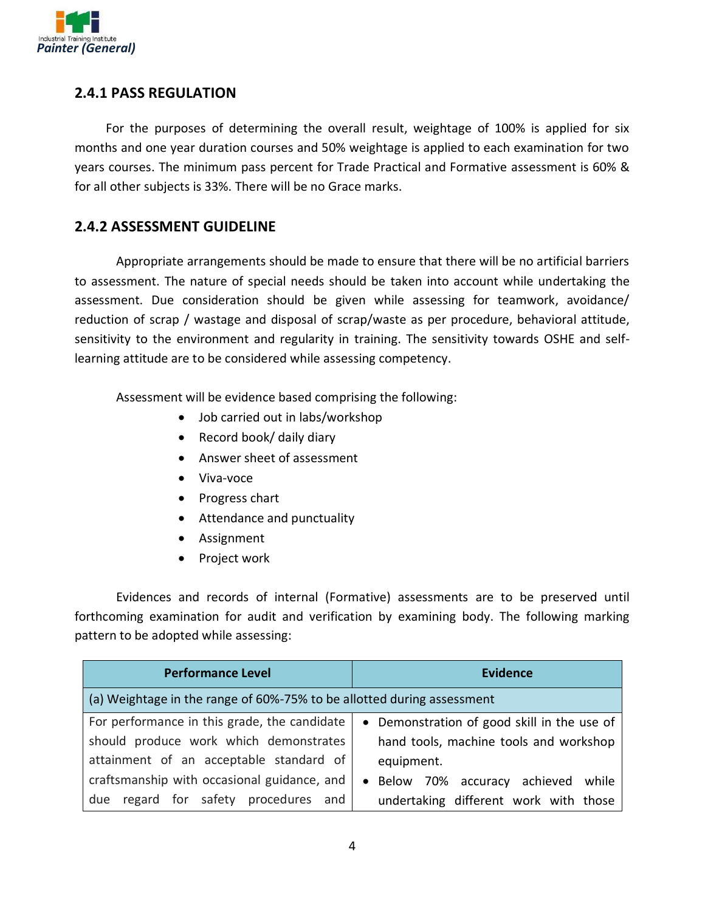

#### **2.4.1 PASS REGULATION**

For the purposes of determining the overall result, weightage of 100% is applied for six months and one year duration courses and 50% weightage is applied to each examination for two years courses. The minimum pass percent for Trade Practical and Formative assessment is 60% & for all other subjects is 33%. There will be no Grace marks.

#### **2.4.2 ASSESSMENT GUIDELINE**

Appropriate arrangements should be made to ensure that there will be no artificial barriers to assessment. The nature of special needs should be taken into account while undertaking the assessment. Due consideration should be given while assessing for teamwork, avoidance/ reduction of scrap / wastage and disposal of scrap/waste as per procedure, behavioral attitude, sensitivity to the environment and regularity in training. The sensitivity towards OSHE and selflearning attitude are to be considered while assessing competency.

Assessment will be evidence based comprising the following:

- Job carried out in labs/workshop
- Record book/ daily diary
- Answer sheet of assessment
- Viva-voce
- Progress chart
- Attendance and punctuality
- Assignment
- Project work

Evidences and records of internal (Formative) assessments are to be preserved until forthcoming examination for audit and verification by examining body. The following marking pattern to be adopted while assessing:

| <b>Performance Level</b>                                               | <b>Evidence</b>                                   |
|------------------------------------------------------------------------|---------------------------------------------------|
| (a) Weightage in the range of 60%-75% to be allotted during assessment |                                                   |
| For performance in this grade, the candidate                           | • Demonstration of good skill in the use of       |
| should produce work which demonstrates                                 | hand tools, machine tools and workshop            |
| attainment of an acceptable standard of                                | equipment.                                        |
| craftsmanship with occasional guidance, and                            | Below 70% accuracy achieved<br>while<br>$\bullet$ |
| regard for safety procedures and<br>due                                | undertaking different work with those             |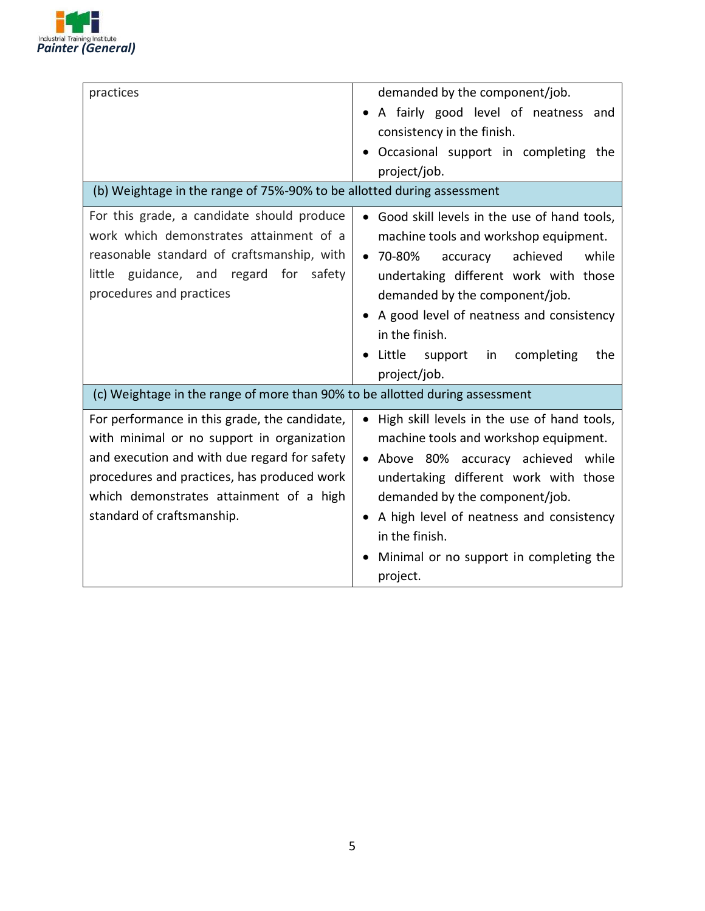

| demanded by the component/job.                                               |
|------------------------------------------------------------------------------|
| A fairly good level of neatness and                                          |
| consistency in the finish.                                                   |
| Occasional support in completing the                                         |
| project/job.                                                                 |
| (b) Weightage in the range of 75%-90% to be allotted during assessment       |
| Good skill levels in the use of hand tools,<br>$\bullet$                     |
| machine tools and workshop equipment.                                        |
| $• 70-80%$<br>achieved<br>while<br>accuracy                                  |
| undertaking different work with those                                        |
| demanded by the component/job.                                               |
| A good level of neatness and consistency                                     |
| in the finish.                                                               |
| Little<br>support<br>completing<br>in<br>the                                 |
| project/job.                                                                 |
| (c) Weightage in the range of more than 90% to be allotted during assessment |
| High skill levels in the use of hand tools,<br>$\bullet$                     |
| machine tools and workshop equipment.                                        |
| • Above 80% accuracy achieved while                                          |
| undertaking different work with those                                        |
| demanded by the component/job.                                               |
| A high level of neatness and consistency                                     |
| in the finish.                                                               |
| Minimal or no support in completing the                                      |
| project.                                                                     |
|                                                                              |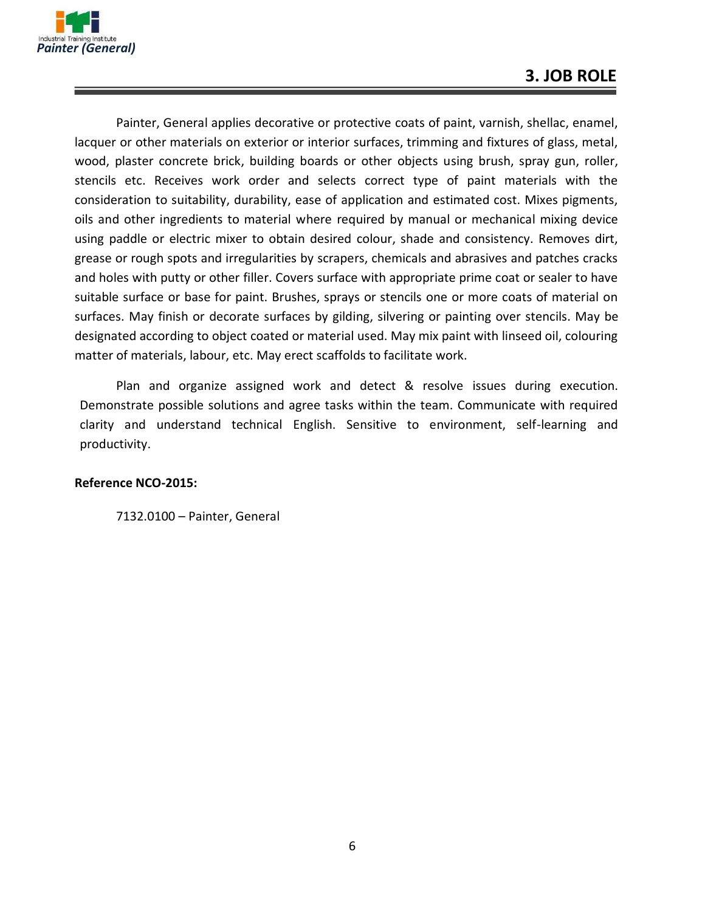

Painter, General applies decorative or protective coats of paint, varnish, shellac, enamel, lacquer or other materials on exterior or interior surfaces, trimming and fixtures of glass, metal, wood, plaster concrete brick, building boards or other objects using brush, spray gun, roller, stencils etc. Receives work order and selects correct type of paint materials with the consideration to suitability, durability, ease of application and estimated cost. Mixes pigments, oils and other ingredients to material where required by manual or mechanical mixing device using paddle or electric mixer to obtain desired colour, shade and consistency. Removes dirt, grease or rough spots and irregularities by scrapers, chemicals and abrasives and patches cracks and holes with putty or other filler. Covers surface with appropriate prime coat or sealer to have suitable surface or base for paint. Brushes, sprays or stencils one or more coats of material on surfaces. May finish or decorate surfaces by gilding, silvering or painting over stencils. May be designated according to object coated or material used. May mix paint with linseed oil, colouring matter of materials, labour, etc. May erect scaffolds to facilitate work.

Plan and organize assigned work and detect & resolve issues during execution. Demonstrate possible solutions and agree tasks within the team. Communicate with required clarity and understand technical English. Sensitive to environment, self-learning and productivity.

#### **Reference NCO-2015:**

7132.0100 – Painter, General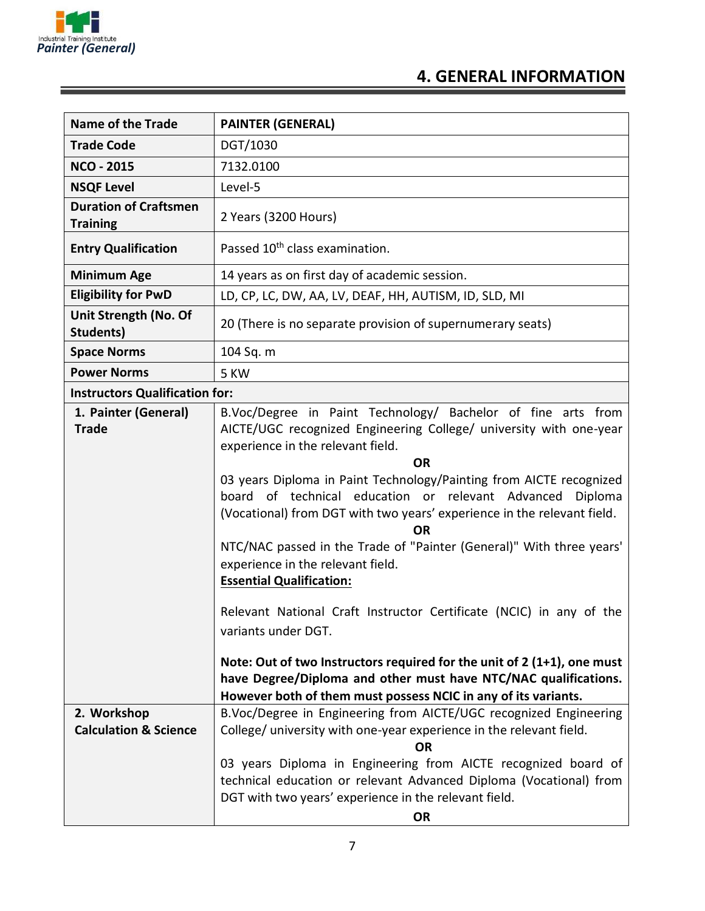

## **4. GENERAL INFORMATION**

| <b>Name of the Trade</b>                        | <b>PAINTER (GENERAL)</b>                                                                                                                                                                                                                                                                                                                                                                                                                                                                                                                                                                                                                                                                                                                                                                                                                                                               |
|-------------------------------------------------|----------------------------------------------------------------------------------------------------------------------------------------------------------------------------------------------------------------------------------------------------------------------------------------------------------------------------------------------------------------------------------------------------------------------------------------------------------------------------------------------------------------------------------------------------------------------------------------------------------------------------------------------------------------------------------------------------------------------------------------------------------------------------------------------------------------------------------------------------------------------------------------|
| <b>Trade Code</b>                               | DGT/1030                                                                                                                                                                                                                                                                                                                                                                                                                                                                                                                                                                                                                                                                                                                                                                                                                                                                               |
| <b>NCO - 2015</b>                               | 7132.0100                                                                                                                                                                                                                                                                                                                                                                                                                                                                                                                                                                                                                                                                                                                                                                                                                                                                              |
| <b>NSQF Level</b>                               | Level-5                                                                                                                                                                                                                                                                                                                                                                                                                                                                                                                                                                                                                                                                                                                                                                                                                                                                                |
| <b>Duration of Craftsmen</b><br><b>Training</b> | 2 Years (3200 Hours)                                                                                                                                                                                                                                                                                                                                                                                                                                                                                                                                                                                                                                                                                                                                                                                                                                                                   |
| <b>Entry Qualification</b>                      | Passed 10 <sup>th</sup> class examination.                                                                                                                                                                                                                                                                                                                                                                                                                                                                                                                                                                                                                                                                                                                                                                                                                                             |
| <b>Minimum Age</b>                              | 14 years as on first day of academic session.                                                                                                                                                                                                                                                                                                                                                                                                                                                                                                                                                                                                                                                                                                                                                                                                                                          |
| <b>Eligibility for PwD</b>                      | LD, CP, LC, DW, AA, LV, DEAF, HH, AUTISM, ID, SLD, MI                                                                                                                                                                                                                                                                                                                                                                                                                                                                                                                                                                                                                                                                                                                                                                                                                                  |
| Unit Strength (No. Of<br>Students)              | 20 (There is no separate provision of supernumerary seats)                                                                                                                                                                                                                                                                                                                                                                                                                                                                                                                                                                                                                                                                                                                                                                                                                             |
| <b>Space Norms</b>                              | 104 Sq. m                                                                                                                                                                                                                                                                                                                                                                                                                                                                                                                                                                                                                                                                                                                                                                                                                                                                              |
| <b>Power Norms</b>                              | 5 KW                                                                                                                                                                                                                                                                                                                                                                                                                                                                                                                                                                                                                                                                                                                                                                                                                                                                                   |
| <b>Instructors Qualification for:</b>           |                                                                                                                                                                                                                                                                                                                                                                                                                                                                                                                                                                                                                                                                                                                                                                                                                                                                                        |
| 1. Painter (General)<br><b>Trade</b>            | B.Voc/Degree in Paint Technology/ Bachelor of fine arts from<br>AICTE/UGC recognized Engineering College/ university with one-year<br>experience in the relevant field.<br><b>OR</b><br>03 years Diploma in Paint Technology/Painting from AICTE recognized<br>of technical education or relevant Advanced<br>Diploma<br>board<br>(Vocational) from DGT with two years' experience in the relevant field.<br><b>OR</b><br>NTC/NAC passed in the Trade of "Painter (General)" With three years'<br>experience in the relevant field.<br><b>Essential Qualification:</b><br>Relevant National Craft Instructor Certificate (NCIC) in any of the<br>variants under DGT.<br>Note: Out of two Instructors required for the unit of $2(1+1)$ , one must<br>have Degree/Diploma and other must have NTC/NAC qualifications.<br>However both of them must possess NCIC in any of its variants. |
| 2. Workshop<br><b>Calculation &amp; Science</b> | B.Voc/Degree in Engineering from AICTE/UGC recognized Engineering<br>College/ university with one-year experience in the relevant field.<br>OR<br>03 years Diploma in Engineering from AICTE recognized board of<br>technical education or relevant Advanced Diploma (Vocational) from<br>DGT with two years' experience in the relevant field.<br><b>OR</b>                                                                                                                                                                                                                                                                                                                                                                                                                                                                                                                           |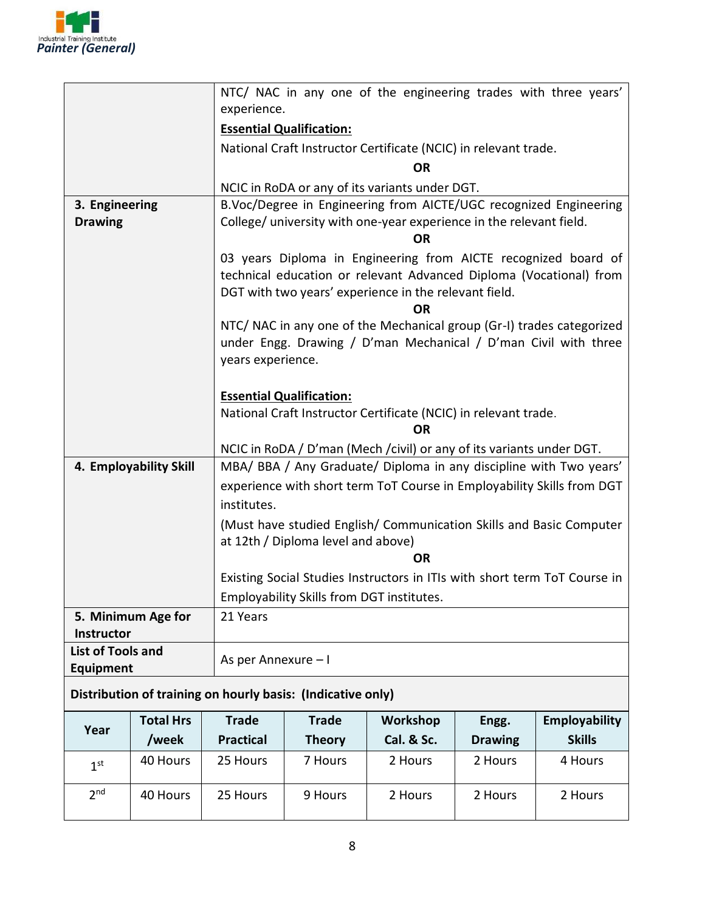

|                                  |                                                             |                     | NTC/ NAC in any one of the engineering trades with three years'                                                                                                                               |                                                                 |                |                                                                                                                                          |
|----------------------------------|-------------------------------------------------------------|---------------------|-----------------------------------------------------------------------------------------------------------------------------------------------------------------------------------------------|-----------------------------------------------------------------|----------------|------------------------------------------------------------------------------------------------------------------------------------------|
|                                  |                                                             |                     | experience.                                                                                                                                                                                   |                                                                 |                |                                                                                                                                          |
|                                  |                                                             |                     | <b>Essential Qualification:</b>                                                                                                                                                               |                                                                 |                |                                                                                                                                          |
|                                  |                                                             |                     |                                                                                                                                                                                               | National Craft Instructor Certificate (NCIC) in relevant trade. |                |                                                                                                                                          |
|                                  |                                                             |                     | <b>OR</b>                                                                                                                                                                                     |                                                                 |                |                                                                                                                                          |
|                                  |                                                             |                     |                                                                                                                                                                                               | NCIC in RoDA or any of its variants under DGT.                  |                |                                                                                                                                          |
| 3. Engineering<br><b>Drawing</b> |                                                             |                     | B.Voc/Degree in Engineering from AICTE/UGC recognized Engineering<br>College/ university with one-year experience in the relevant field.<br>ΟR                                                |                                                                 |                |                                                                                                                                          |
|                                  |                                                             |                     | 03 years Diploma in Engineering from AICTE recognized board of<br>technical education or relevant Advanced Diploma (Vocational) from<br>DGT with two years' experience in the relevant field. |                                                                 |                |                                                                                                                                          |
|                                  |                                                             | years experience.   |                                                                                                                                                                                               |                                                                 |                | NTC/ NAC in any one of the Mechanical group (Gr-I) trades categorized<br>under Engg. Drawing / D'man Mechanical / D'man Civil with three |
|                                  |                                                             |                     | <b>Essential Qualification:</b>                                                                                                                                                               |                                                                 |                |                                                                                                                                          |
|                                  |                                                             |                     | National Craft Instructor Certificate (NCIC) in relevant trade.                                                                                                                               |                                                                 |                |                                                                                                                                          |
|                                  |                                                             |                     | OR                                                                                                                                                                                            |                                                                 |                |                                                                                                                                          |
|                                  |                                                             |                     | NCIC in RoDA / D'man (Mech / civil) or any of its variants under DGT.                                                                                                                         |                                                                 |                |                                                                                                                                          |
| 4. Employability Skill           |                                                             |                     | MBA/ BBA / Any Graduate/ Diploma in any discipline with Two years'                                                                                                                            |                                                                 |                |                                                                                                                                          |
|                                  |                                                             |                     | experience with short term ToT Course in Employability Skills from DGT                                                                                                                        |                                                                 |                |                                                                                                                                          |
|                                  |                                                             | institutes.         |                                                                                                                                                                                               |                                                                 |                |                                                                                                                                          |
|                                  |                                                             |                     | (Must have studied English/ Communication Skills and Basic Computer<br>at 12th / Diploma level and above)                                                                                     |                                                                 |                |                                                                                                                                          |
|                                  |                                                             |                     | OR                                                                                                                                                                                            |                                                                 |                |                                                                                                                                          |
|                                  |                                                             |                     | Existing Social Studies Instructors in ITIs with short term ToT Course in<br>Employability Skills from DGT institutes.                                                                        |                                                                 |                |                                                                                                                                          |
|                                  | 5. Minimum Age for                                          | 21 Years            |                                                                                                                                                                                               |                                                                 |                |                                                                                                                                          |
| Instructor                       |                                                             |                     |                                                                                                                                                                                               |                                                                 |                |                                                                                                                                          |
| <b>List of Tools and</b>         |                                                             |                     |                                                                                                                                                                                               |                                                                 |                |                                                                                                                                          |
| <b>Equipment</b>                 |                                                             | As per Annexure - I |                                                                                                                                                                                               |                                                                 |                |                                                                                                                                          |
|                                  | Distribution of training on hourly basis: (Indicative only) |                     |                                                                                                                                                                                               |                                                                 |                |                                                                                                                                          |
| Year                             | <b>Total Hrs</b>                                            | <b>Trade</b>        | <b>Trade</b>                                                                                                                                                                                  | Workshop                                                        | Engg.          | Employability                                                                                                                            |
|                                  | /week                                                       | <b>Practical</b>    | <b>Theory</b>                                                                                                                                                                                 | Cal. & Sc.                                                      | <b>Drawing</b> | <b>Skills</b>                                                                                                                            |
| 1 <sup>st</sup>                  | 40 Hours                                                    | 25 Hours            | 7 Hours                                                                                                                                                                                       | 2 Hours                                                         | 2 Hours        | 4 Hours                                                                                                                                  |
| 2 <sub>nd</sub>                  | 40 Hours                                                    | 25 Hours            | 9 Hours                                                                                                                                                                                       | 2 Hours                                                         | 2 Hours        | 2 Hours                                                                                                                                  |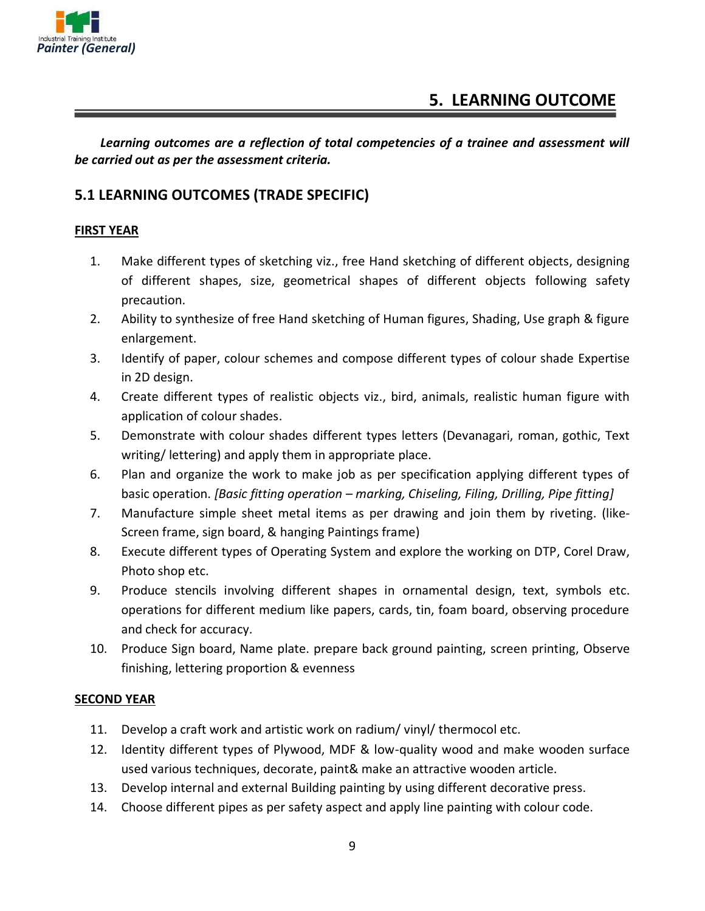

#### **5. LEARNING OUTCOME**

*Learning outcomes are a reflection of total competencies of a trainee and assessment will be carried out as per the assessment criteria.*

#### **5.1 LEARNING OUTCOMES (TRADE SPECIFIC)**

#### **FIRST YEAR**

- 1. Make different types of sketching viz., free Hand sketching of different objects, designing of different shapes, size, geometrical shapes of different objects following safety precaution.
- 2. Ability to synthesize of free Hand sketching of Human figures, Shading, Use graph & figure enlargement.
- 3. Identify of paper, colour schemes and compose different types of colour shade Expertise in 2D design.
- 4. Create different types of realistic objects viz., bird, animals, realistic human figure with application of colour shades.
- 5. Demonstrate with colour shades different types letters (Devanagari, roman, gothic, Text writing/ lettering) and apply them in appropriate place.
- 6. Plan and organize the work to make job as per specification applying different types of basic operation. *[Basic fitting operation – marking, Chiseling, Filing, Drilling, Pipe fitting]*
- 7. Manufacture simple sheet metal items as per drawing and join them by riveting. (like-Screen frame, sign board, & hanging Paintings frame)
- 8. Execute different types of Operating System and explore the working on DTP, Corel Draw, Photo shop etc.
- 9. Produce stencils involving different shapes in ornamental design, text, symbols etc. operations for different medium like papers, cards, tin, foam board, observing procedure and check for accuracy.
- 10. Produce Sign board, Name plate. prepare back ground painting, screen printing, Observe finishing, lettering proportion & evenness

#### **SECOND YEAR**

- 11. Develop a craft work and artistic work on radium/ vinyl/ thermocol etc.
- 12. Identity different types of Plywood, MDF & low-quality wood and make wooden surface used various techniques, decorate, paint& make an attractive wooden article.
- 13. Develop internal and external Building painting by using different decorative press.
- 14. Choose different pipes as per safety aspect and apply line painting with colour code.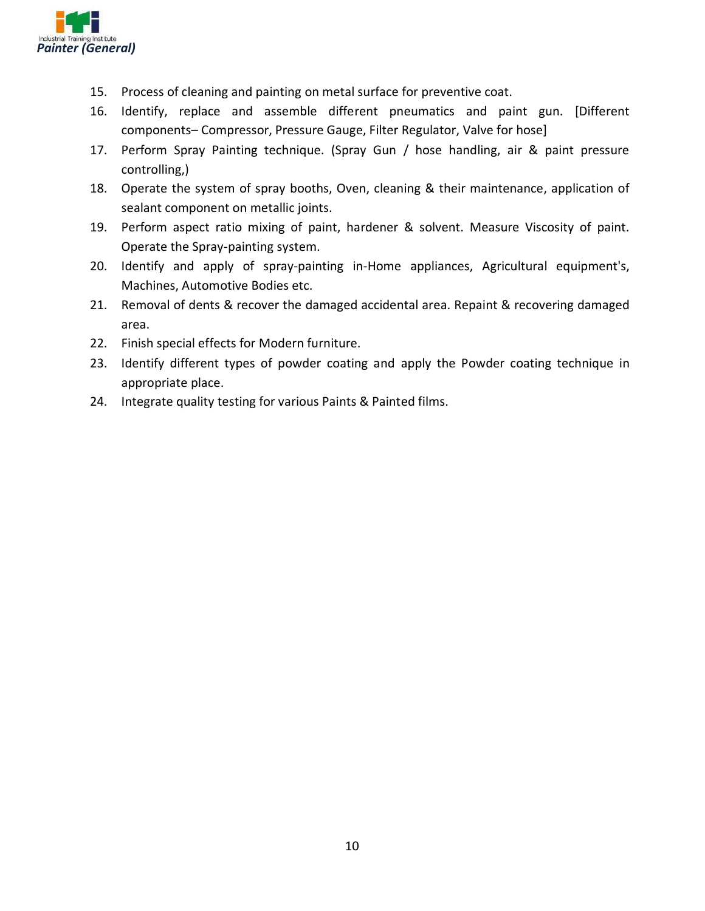

- 15. Process of cleaning and painting on metal surface for preventive coat.
- 16. Identify, replace and assemble different pneumatics and paint gun. [Different components– Compressor, Pressure Gauge, Filter Regulator, Valve for hose]
- 17. Perform Spray Painting technique. (Spray Gun / hose handling, air & paint pressure controlling,)
- 18. Operate the system of spray booths, Oven, cleaning & their maintenance, application of sealant component on metallic joints.
- 19. Perform aspect ratio mixing of paint, hardener & solvent. Measure Viscosity of paint. Operate the Spray-painting system.
- 20. Identify and apply of spray-painting in-Home appliances, Agricultural equipment's, Machines, Automotive Bodies etc.
- 21. Removal of dents & recover the damaged accidental area. Repaint & recovering damaged area.
- 22. Finish special effects for Modern furniture.
- 23. Identify different types of powder coating and apply the Powder coating technique in appropriate place.
- 24. Integrate quality testing for various Paints & Painted films.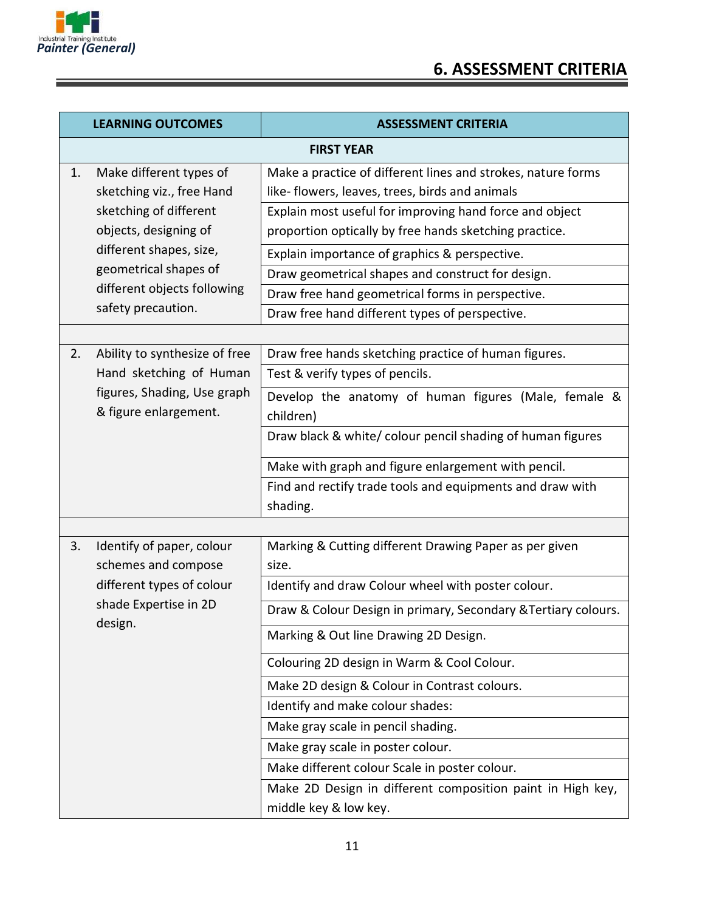

| <b>LEARNING OUTCOMES</b> |                                                                                 | <b>ASSESSMENT CRITERIA</b>                                                                                                                             |  |  |
|--------------------------|---------------------------------------------------------------------------------|--------------------------------------------------------------------------------------------------------------------------------------------------------|--|--|
|                          | <b>FIRST YEAR</b>                                                               |                                                                                                                                                        |  |  |
| 1.                       | Make different types of<br>sketching viz., free Hand                            | Make a practice of different lines and strokes, nature forms<br>like- flowers, leaves, trees, birds and animals                                        |  |  |
|                          | sketching of different<br>objects, designing of                                 | Explain most useful for improving hand force and object<br>proportion optically by free hands sketching practice.                                      |  |  |
|                          | different shapes, size,<br>geometrical shapes of<br>different objects following | Explain importance of graphics & perspective.<br>Draw geometrical shapes and construct for design.<br>Draw free hand geometrical forms in perspective. |  |  |
|                          | safety precaution.                                                              | Draw free hand different types of perspective.                                                                                                         |  |  |
|                          |                                                                                 |                                                                                                                                                        |  |  |
| 2.                       | Ability to synthesize of free<br>Hand sketching of Human                        | Draw free hands sketching practice of human figures.<br>Test & verify types of pencils.                                                                |  |  |
|                          | figures, Shading, Use graph<br>& figure enlargement.                            | Develop the anatomy of human figures (Male, female &<br>children)                                                                                      |  |  |
|                          |                                                                                 | Draw black & white/ colour pencil shading of human figures                                                                                             |  |  |
|                          |                                                                                 | Make with graph and figure enlargement with pencil.                                                                                                    |  |  |
|                          |                                                                                 | Find and rectify trade tools and equipments and draw with<br>shading.                                                                                  |  |  |
|                          |                                                                                 |                                                                                                                                                        |  |  |
| 3.                       | Identify of paper, colour<br>schemes and compose                                | Marking & Cutting different Drawing Paper as per given<br>size.                                                                                        |  |  |
|                          | different types of colour                                                       | Identify and draw Colour wheel with poster colour.                                                                                                     |  |  |
|                          | shade Expertise in 2D                                                           | Draw & Colour Design in primary, Secondary & Tertiary colours.                                                                                         |  |  |
|                          | design.                                                                         | Marking & Out line Drawing 2D Design.                                                                                                                  |  |  |
|                          |                                                                                 | Colouring 2D design in Warm & Cool Colour.                                                                                                             |  |  |
|                          |                                                                                 | Make 2D design & Colour in Contrast colours.                                                                                                           |  |  |
|                          |                                                                                 | Identify and make colour shades:                                                                                                                       |  |  |
|                          |                                                                                 | Make gray scale in pencil shading.                                                                                                                     |  |  |
|                          |                                                                                 | Make gray scale in poster colour.                                                                                                                      |  |  |
|                          |                                                                                 | Make different colour Scale in poster colour.                                                                                                          |  |  |
|                          |                                                                                 | Make 2D Design in different composition paint in High key,<br>middle key & low key.                                                                    |  |  |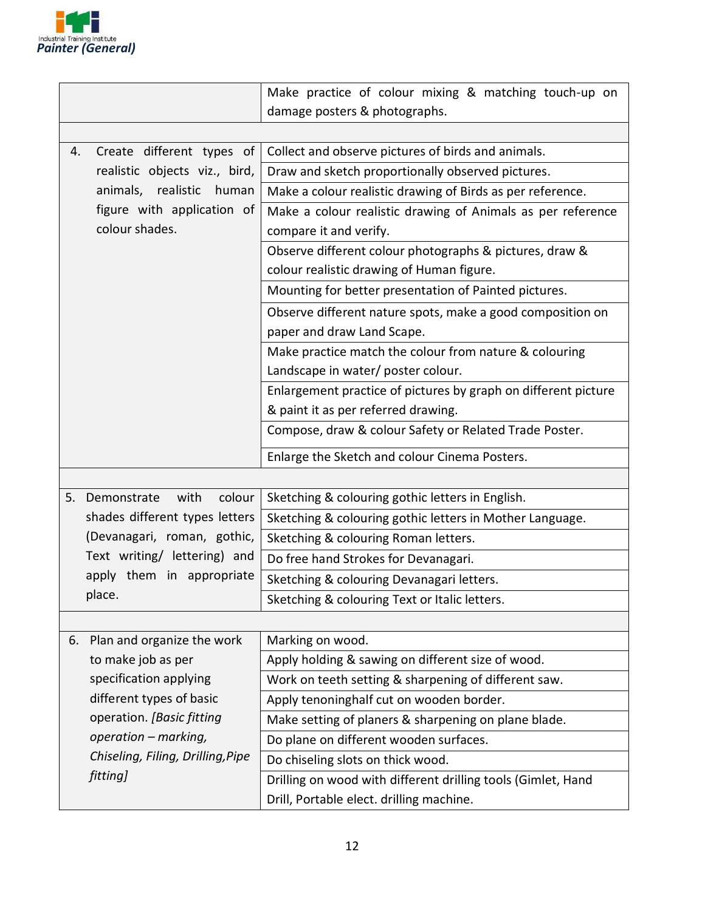

|                                     | Make practice of colour mixing & matching touch-up on          |
|-------------------------------------|----------------------------------------------------------------|
|                                     | damage posters & photographs.                                  |
|                                     |                                                                |
| Create different types of<br>4.     | Collect and observe pictures of birds and animals.             |
| realistic objects viz., bird,       | Draw and sketch proportionally observed pictures.              |
| realistic<br>animals,<br>human      | Make a colour realistic drawing of Birds as per reference.     |
| figure with application of          | Make a colour realistic drawing of Animals as per reference    |
| colour shades.                      | compare it and verify.                                         |
|                                     | Observe different colour photographs & pictures, draw &        |
|                                     | colour realistic drawing of Human figure.                      |
|                                     | Mounting for better presentation of Painted pictures.          |
|                                     | Observe different nature spots, make a good composition on     |
|                                     | paper and draw Land Scape.                                     |
|                                     | Make practice match the colour from nature & colouring         |
|                                     | Landscape in water/ poster colour.                             |
|                                     | Enlargement practice of pictures by graph on different picture |
|                                     | & paint it as per referred drawing.                            |
|                                     | Compose, draw & colour Safety or Related Trade Poster.         |
|                                     | Enlarge the Sketch and colour Cinema Posters.                  |
|                                     |                                                                |
| colour<br>5.<br>Demonstrate<br>with | Sketching & colouring gothic letters in English.               |
| shades different types letters      | Sketching & colouring gothic letters in Mother Language.       |
| (Devanagari, roman, gothic,         | Sketching & colouring Roman letters.                           |
| Text writing/ lettering) and        | Do free hand Strokes for Devanagari.                           |
| apply them in appropriate           | Sketching & colouring Devanagari letters.                      |
| place.                              | Sketching & colouring Text or Italic letters.                  |
|                                     |                                                                |
| Plan and organize the work<br>6.    | Marking on wood.                                               |
| to make job as per                  | Apply holding & sawing on different size of wood.              |
| specification applying              | Work on teeth setting & sharpening of different saw.           |
| different types of basic            | Apply tenoninghalf cut on wooden border.                       |
| operation. [Basic fitting           | Make setting of planers & sharpening on plane blade.           |
| operation - marking,                | Do plane on different wooden surfaces.                         |
| Chiseling, Filing, Drilling, Pipe   | Do chiseling slots on thick wood.                              |
| fitting]                            | Drilling on wood with different drilling tools (Gimlet, Hand   |
|                                     | Drill, Portable elect. drilling machine.                       |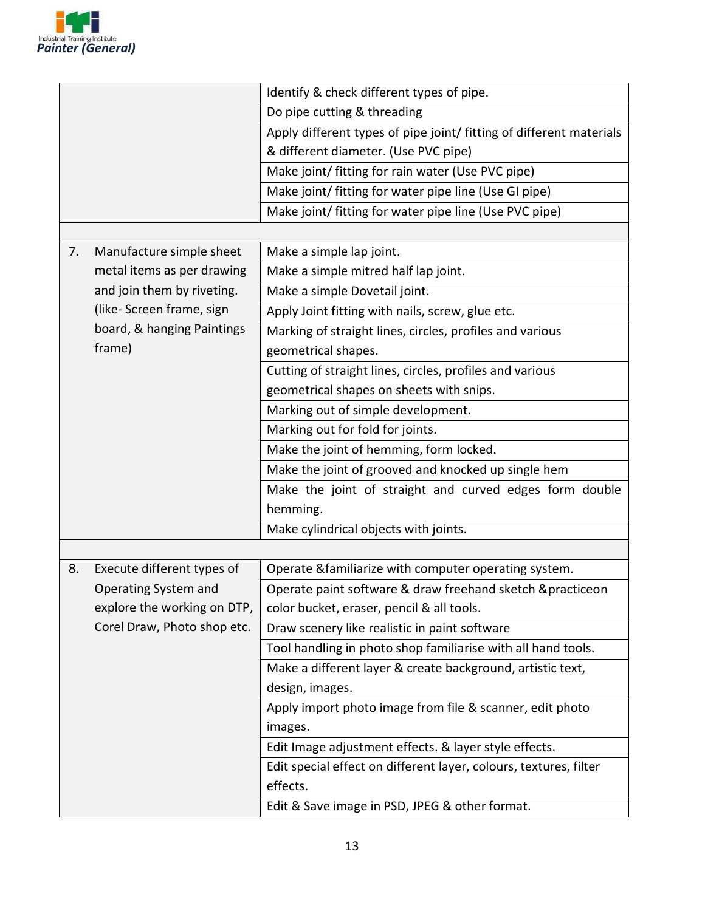

|    |                             | Identify & check different types of pipe.                           |
|----|-----------------------------|---------------------------------------------------------------------|
|    |                             | Do pipe cutting & threading                                         |
|    |                             | Apply different types of pipe joint/ fitting of different materials |
|    |                             | & different diameter. (Use PVC pipe)                                |
|    |                             | Make joint/ fitting for rain water (Use PVC pipe)                   |
|    |                             | Make joint/ fitting for water pipe line (Use GI pipe)               |
|    |                             | Make joint/ fitting for water pipe line (Use PVC pipe)              |
|    |                             |                                                                     |
| 7. | Manufacture simple sheet    | Make a simple lap joint.                                            |
|    | metal items as per drawing  | Make a simple mitred half lap joint.                                |
|    | and join them by riveting.  | Make a simple Dovetail joint.                                       |
|    | (like-Screen frame, sign    | Apply Joint fitting with nails, screw, glue etc.                    |
|    | board, & hanging Paintings  | Marking of straight lines, circles, profiles and various            |
|    | frame)                      | geometrical shapes.                                                 |
|    |                             | Cutting of straight lines, circles, profiles and various            |
|    |                             | geometrical shapes on sheets with snips.                            |
|    |                             | Marking out of simple development.                                  |
|    |                             | Marking out for fold for joints.                                    |
|    |                             | Make the joint of hemming, form locked.                             |
|    |                             | Make the joint of grooved and knocked up single hem                 |
|    |                             | Make the joint of straight and curved edges form double             |
|    |                             | hemming.                                                            |
|    |                             | Make cylindrical objects with joints.                               |
|    |                             |                                                                     |
| 8. | Execute different types of  | Operate & familiarize with computer operating system.               |
|    | Operating System and        | Operate paint software & draw freehand sketch & practiceon          |
|    | explore the working on DTP, | color bucket, eraser, pencil & all tools.                           |
|    | Corel Draw, Photo shop etc. | Draw scenery like realistic in paint software                       |
|    |                             | Tool handling in photo shop familiarise with all hand tools.        |
|    |                             | Make a different layer & create background, artistic text,          |
|    |                             | design, images.                                                     |
|    |                             | Apply import photo image from file & scanner, edit photo            |
|    |                             | images.                                                             |
|    |                             | Edit Image adjustment effects. & layer style effects.               |
|    |                             | Edit special effect on different layer, colours, textures, filter   |
|    |                             | effects.                                                            |
|    |                             | Edit & Save image in PSD, JPEG & other format.                      |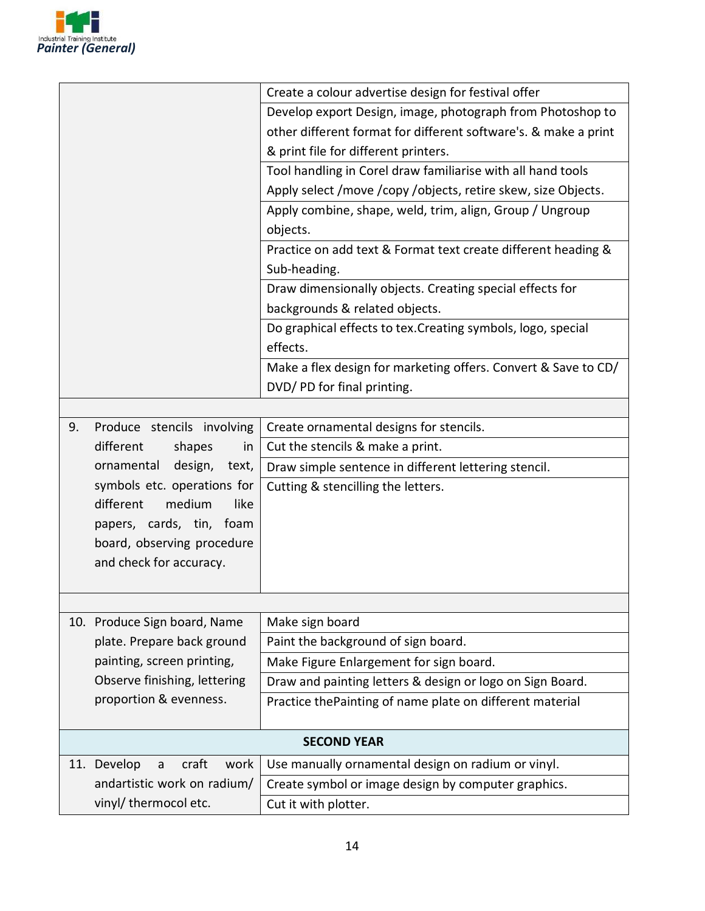

|    |                                   | Create a colour advertise design for festival offer             |
|----|-----------------------------------|-----------------------------------------------------------------|
|    |                                   | Develop export Design, image, photograph from Photoshop to      |
|    |                                   | other different format for different software's. & make a print |
|    |                                   | & print file for different printers.                            |
|    |                                   | Tool handling in Corel draw familiarise with all hand tools     |
|    |                                   | Apply select /move /copy /objects, retire skew, size Objects.   |
|    |                                   | Apply combine, shape, weld, trim, align, Group / Ungroup        |
|    |                                   | objects.                                                        |
|    |                                   | Practice on add text & Format text create different heading &   |
|    |                                   | Sub-heading.                                                    |
|    |                                   | Draw dimensionally objects. Creating special effects for        |
|    |                                   | backgrounds & related objects.                                  |
|    |                                   | Do graphical effects to tex. Creating symbols, logo, special    |
|    |                                   | effects.                                                        |
|    |                                   | Make a flex design for marketing offers. Convert & Save to CD/  |
|    |                                   | DVD/PD for final printing.                                      |
|    |                                   |                                                                 |
| 9. | Produce stencils involving        | Create ornamental designs for stencils.                         |
|    | different<br>shapes<br>in         | Cut the stencils & make a print.                                |
|    | design,<br>ornamental<br>text,    | Draw simple sentence in different lettering stencil.            |
|    | symbols etc. operations for       | Cutting & stencilling the letters.                              |
|    | different<br>medium<br>like       |                                                                 |
|    | papers, cards, tin, foam          |                                                                 |
|    | board, observing procedure        |                                                                 |
|    | and check for accuracy.           |                                                                 |
|    |                                   |                                                                 |
|    |                                   |                                                                 |
|    | 10. Produce Sign board, Name      | Make sign board                                                 |
|    | plate. Prepare back ground        | Paint the background of sign board.                             |
|    | painting, screen printing,        | Make Figure Enlargement for sign board.                         |
|    | Observe finishing, lettering      | Draw and painting letters & design or logo on Sign Board.       |
|    | proportion & evenness.            | Practice the Painting of name plate on different material       |
|    |                                   | <b>SECOND YEAR</b>                                              |
|    | 11. Develop<br>craft<br>work<br>a | Use manually ornamental design on radium or vinyl.              |
|    | andartistic work on radium/       | Create symbol or image design by computer graphics.             |
|    | vinyl/ thermocol etc.             | Cut it with plotter.                                            |
|    |                                   |                                                                 |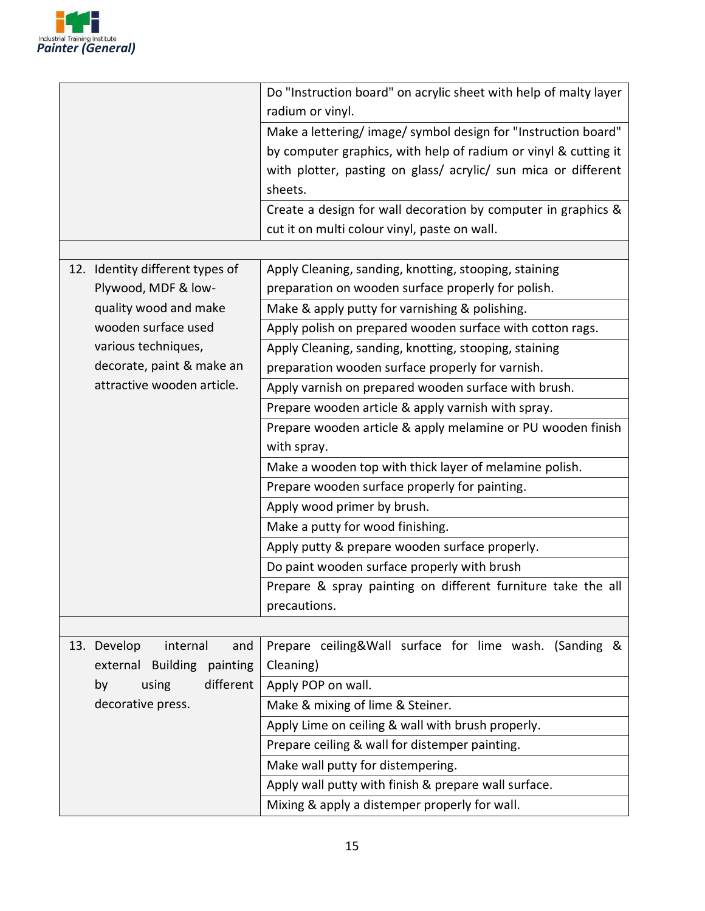

| Do "Instruction board" on acrylic sheet with help of malty layer<br>radium or vinyl. |
|--------------------------------------------------------------------------------------|
| Make a lettering/image/symbol design for "Instruction board"                         |
| by computer graphics, with help of radium or vinyl & cutting it                      |
| with plotter, pasting on glass/ acrylic/ sun mica or different                       |
| sheets.                                                                              |
| Create a design for wall decoration by computer in graphics &                        |
| cut it on multi colour vinyl, paste on wall.                                         |
|                                                                                      |
| Apply Cleaning, sanding, knotting, stooping, staining                                |
| preparation on wooden surface properly for polish.                                   |
| Make & apply putty for varnishing & polishing.                                       |
| Apply polish on prepared wooden surface with cotton rags.                            |
| Apply Cleaning, sanding, knotting, stooping, staining                                |
| preparation wooden surface properly for varnish.                                     |
| Apply varnish on prepared wooden surface with brush.                                 |
| Prepare wooden article & apply varnish with spray.                                   |
| Prepare wooden article & apply melamine or PU wooden finish                          |
| with spray.                                                                          |
| Make a wooden top with thick layer of melamine polish.                               |
| Prepare wooden surface properly for painting.                                        |
| Apply wood primer by brush.                                                          |
| Make a putty for wood finishing.                                                     |
| Apply putty & prepare wooden surface properly.                                       |
| Do paint wooden surface properly with brush                                          |
| Prepare & spray painting on different furniture take the all                         |
| precautions.                                                                         |
|                                                                                      |
|                                                                                      |
| Prepare ceiling&Wall surface for lime wash. (Sanding &                               |
| Cleaning)                                                                            |
| Apply POP on wall.                                                                   |
| Make & mixing of lime & Steiner.                                                     |
| Apply Lime on ceiling & wall with brush properly.                                    |
| Prepare ceiling & wall for distemper painting.<br>Make wall putty for distempering.  |
|                                                                                      |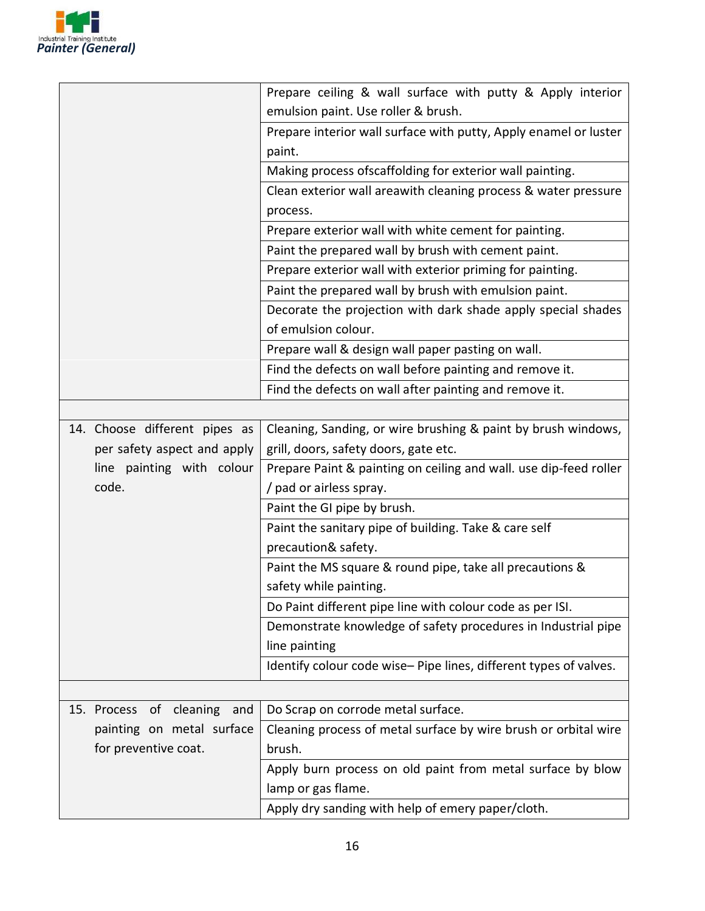

|                                      | Prepare ceiling & wall surface with putty & Apply interior        |
|--------------------------------------|-------------------------------------------------------------------|
|                                      | emulsion paint. Use roller & brush.                               |
|                                      | Prepare interior wall surface with putty, Apply enamel or luster  |
|                                      | paint.                                                            |
|                                      | Making process ofscaffolding for exterior wall painting.          |
|                                      | Clean exterior wall areawith cleaning process & water pressure    |
|                                      | process.                                                          |
|                                      | Prepare exterior wall with white cement for painting.             |
|                                      | Paint the prepared wall by brush with cement paint.               |
|                                      | Prepare exterior wall with exterior priming for painting.         |
|                                      | Paint the prepared wall by brush with emulsion paint.             |
|                                      | Decorate the projection with dark shade apply special shades      |
|                                      | of emulsion colour.                                               |
|                                      | Prepare wall & design wall paper pasting on wall.                 |
|                                      | Find the defects on wall before painting and remove it.           |
|                                      | Find the defects on wall after painting and remove it.            |
|                                      |                                                                   |
| 14. Choose different pipes as        | Cleaning, Sanding, or wire brushing & paint by brush windows,     |
| per safety aspect and apply          | grill, doors, safety doors, gate etc.                             |
| line painting with colour            | Prepare Paint & painting on ceiling and wall. use dip-feed roller |
| code.                                | / pad or airless spray.                                           |
|                                      | Paint the GI pipe by brush.                                       |
|                                      | Paint the sanitary pipe of building. Take & care self             |
|                                      | precaution& safety.                                               |
|                                      | Paint the MS square & round pipe, take all precautions &          |
|                                      | safety while painting.                                            |
|                                      | Do Paint different pipe line with colour code as per ISI.         |
|                                      | Demonstrate knowledge of safety procedures in Industrial pipe     |
|                                      | line painting                                                     |
|                                      | Identify colour code wise-Pipe lines, different types of valves.  |
|                                      |                                                                   |
| cleaning<br>15. Process<br>and<br>of | Do Scrap on corrode metal surface.                                |
| painting on metal surface            | Cleaning process of metal surface by wire brush or orbital wire   |
| for preventive coat.                 | brush.                                                            |
|                                      | Apply burn process on old paint from metal surface by blow        |
|                                      | lamp or gas flame.                                                |
|                                      | Apply dry sanding with help of emery paper/cloth.                 |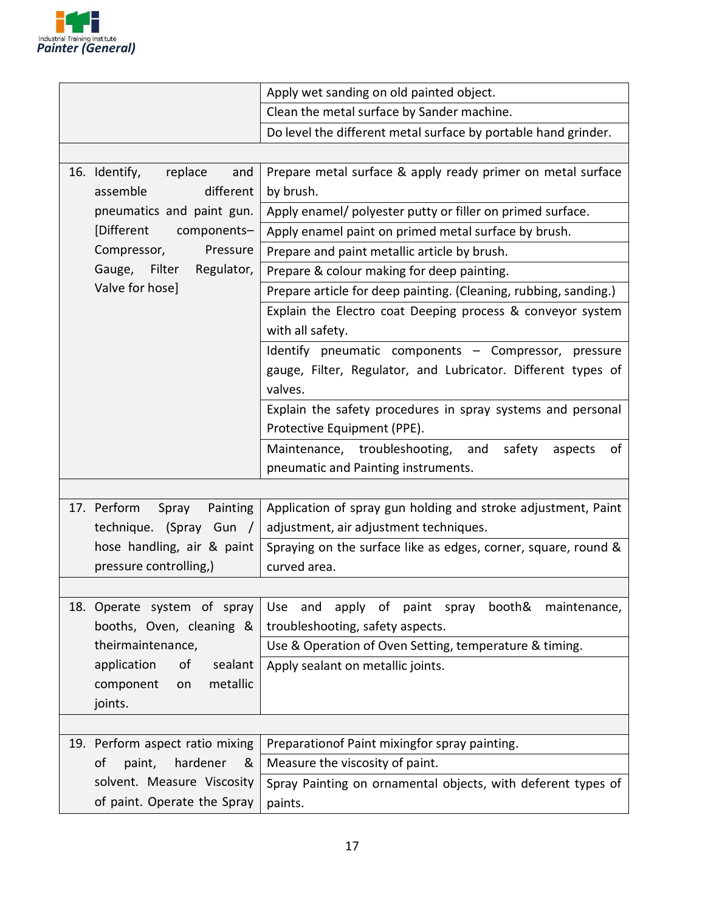

|                                  | Apply wet sanding on old painted object.                         |  |  |
|----------------------------------|------------------------------------------------------------------|--|--|
|                                  | Clean the metal surface by Sander machine.                       |  |  |
|                                  | Do level the different metal surface by portable hand grinder.   |  |  |
|                                  |                                                                  |  |  |
| 16. Identify,<br>replace<br>and  | Prepare metal surface & apply ready primer on metal surface      |  |  |
| assemble<br>different            | by brush.                                                        |  |  |
| pneumatics and paint gun.        | Apply enamel/ polyester putty or filler on primed surface.       |  |  |
| [Different<br>components-        | Apply enamel paint on primed metal surface by brush.             |  |  |
| Compressor,<br>Pressure          | Prepare and paint metallic article by brush.                     |  |  |
| Gauge, Filter<br>Regulator,      | Prepare & colour making for deep painting.                       |  |  |
| Valve for hose]                  | Prepare article for deep painting. (Cleaning, rubbing, sanding.) |  |  |
|                                  | Explain the Electro coat Deeping process & conveyor system       |  |  |
|                                  | with all safety.                                                 |  |  |
|                                  | Identify pneumatic components - Compressor, pressure             |  |  |
|                                  | gauge, Filter, Regulator, and Lubricator. Different types of     |  |  |
|                                  | valves.                                                          |  |  |
|                                  | Explain the safety procedures in spray systems and personal      |  |  |
|                                  | Protective Equipment (PPE).                                      |  |  |
|                                  | Maintenance, troubleshooting,<br>and<br>safety<br>of<br>aspects  |  |  |
|                                  | pneumatic and Painting instruments.                              |  |  |
|                                  |                                                                  |  |  |
| 17. Perform<br>Painting<br>Spray | Application of spray gun holding and stroke adjustment, Paint    |  |  |
| technique. (Spray Gun /          | adjustment, air adjustment techniques.                           |  |  |
| hose handling, air & paint       | Spraying on the surface like as edges, corner, square, round &   |  |  |
| pressure controlling,)           | curved area.                                                     |  |  |
|                                  |                                                                  |  |  |
| 18. Operate system of spray      | and<br>apply of paint spray<br>booth&<br>maintenance,<br>Use     |  |  |
| booths, Oven, cleaning &         | troubleshooting, safety aspects.                                 |  |  |
| theirmaintenance,                | Use & Operation of Oven Setting, temperature & timing.           |  |  |
| application<br>οf<br>sealant     | Apply sealant on metallic joints.                                |  |  |
| metallic<br>component<br>on      |                                                                  |  |  |
| joints.                          |                                                                  |  |  |
|                                  |                                                                  |  |  |
| 19. Perform aspect ratio mixing  | Preparationof Paint mixingfor spray painting.                    |  |  |
| οf<br>paint,<br>hardener<br>&    | Measure the viscosity of paint.                                  |  |  |
| solvent. Measure Viscosity       | Spray Painting on ornamental objects, with deferent types of     |  |  |
| of paint. Operate the Spray      | paints.                                                          |  |  |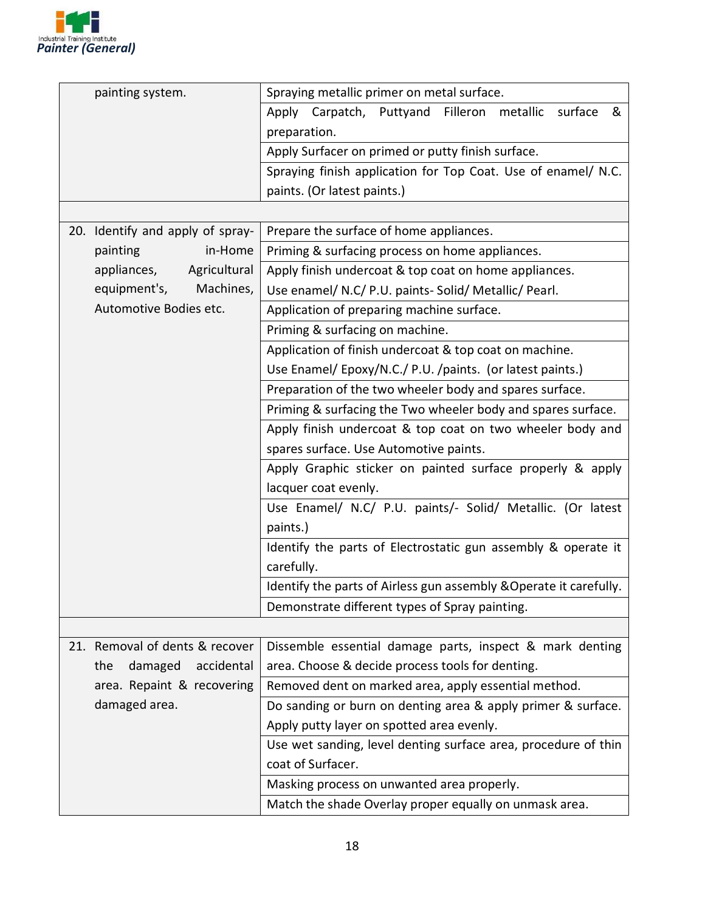

| painting system.                 | Spraying metallic primer on metal surface.                         |  |  |  |  |
|----------------------------------|--------------------------------------------------------------------|--|--|--|--|
|                                  | Apply Carpatch, Puttyand Filleron metallic surface<br>&            |  |  |  |  |
|                                  | preparation.                                                       |  |  |  |  |
|                                  | Apply Surfacer on primed or putty finish surface.                  |  |  |  |  |
|                                  | Spraying finish application for Top Coat. Use of enamel/ N.C.      |  |  |  |  |
|                                  | paints. (Or latest paints.)                                        |  |  |  |  |
|                                  |                                                                    |  |  |  |  |
| 20. Identify and apply of spray- | Prepare the surface of home appliances.                            |  |  |  |  |
| painting<br>in-Home              | Priming & surfacing process on home appliances.                    |  |  |  |  |
| Agricultural<br>appliances,      | Apply finish undercoat & top coat on home appliances.              |  |  |  |  |
| equipment's,<br>Machines,        | Use enamel/ N.C/ P.U. paints- Solid/ Metallic/ Pearl.              |  |  |  |  |
| Automotive Bodies etc.           | Application of preparing machine surface.                          |  |  |  |  |
|                                  | Priming & surfacing on machine.                                    |  |  |  |  |
|                                  | Application of finish undercoat & top coat on machine.             |  |  |  |  |
|                                  | Use Enamel/ Epoxy/N.C./ P.U. /paints. (or latest paints.)          |  |  |  |  |
|                                  | Preparation of the two wheeler body and spares surface.            |  |  |  |  |
|                                  | Priming & surfacing the Two wheeler body and spares surface.       |  |  |  |  |
|                                  | Apply finish undercoat & top coat on two wheeler body and          |  |  |  |  |
|                                  | spares surface. Use Automotive paints.                             |  |  |  |  |
|                                  | Apply Graphic sticker on painted surface properly & apply          |  |  |  |  |
|                                  | lacquer coat evenly.                                               |  |  |  |  |
|                                  | Use Enamel/ N.C/ P.U. paints/- Solid/ Metallic. (Or latest         |  |  |  |  |
|                                  | paints.)                                                           |  |  |  |  |
|                                  | Identify the parts of Electrostatic gun assembly & operate it      |  |  |  |  |
|                                  | carefully.                                                         |  |  |  |  |
|                                  | Identify the parts of Airless gun assembly & Operate it carefully. |  |  |  |  |
|                                  | Demonstrate different types of Spray painting.                     |  |  |  |  |
|                                  |                                                                    |  |  |  |  |
| 21. Removal of dents & recover   | Dissemble essential damage parts, inspect & mark denting           |  |  |  |  |
| the<br>damaged<br>accidental     | area. Choose & decide process tools for denting.                   |  |  |  |  |
| area. Repaint & recovering       | Removed dent on marked area, apply essential method.               |  |  |  |  |
| damaged area.                    | Do sanding or burn on denting area & apply primer & surface.       |  |  |  |  |
|                                  | Apply putty layer on spotted area evenly.                          |  |  |  |  |
|                                  | Use wet sanding, level denting surface area, procedure of thin     |  |  |  |  |
|                                  | coat of Surfacer.                                                  |  |  |  |  |
|                                  | Masking process on unwanted area properly.                         |  |  |  |  |
|                                  | Match the shade Overlay proper equally on unmask area.             |  |  |  |  |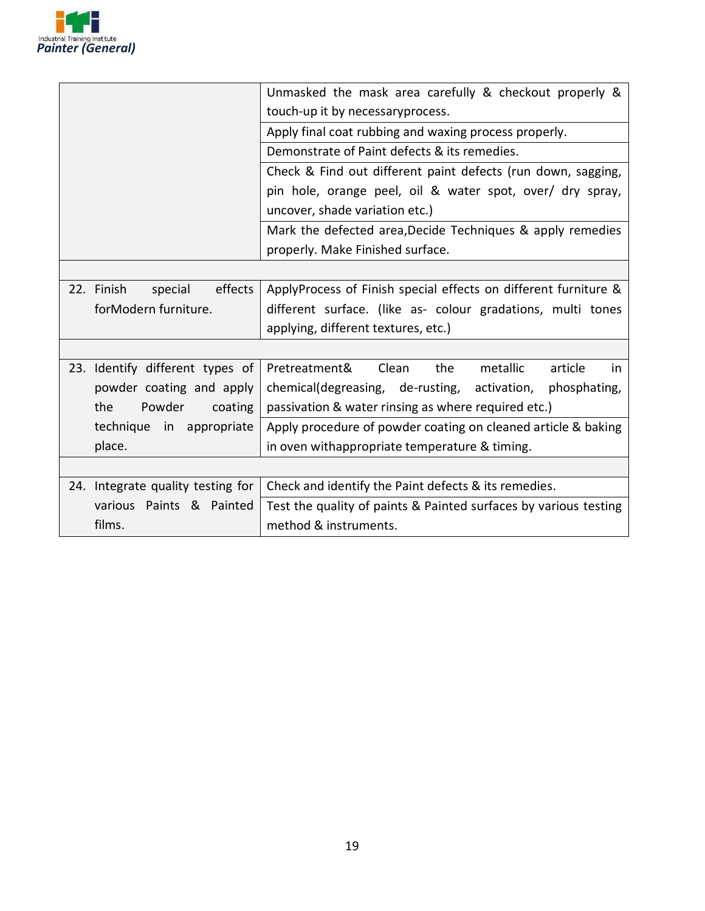

|                                   | Unmasked the mask area carefully & checkout properly &           |  |  |  |
|-----------------------------------|------------------------------------------------------------------|--|--|--|
|                                   | touch-up it by necessaryprocess.                                 |  |  |  |
|                                   | Apply final coat rubbing and waxing process properly.            |  |  |  |
|                                   | Demonstrate of Paint defects & its remedies.                     |  |  |  |
|                                   | Check & Find out different paint defects (run down, sagging,     |  |  |  |
|                                   | pin hole, orange peel, oil & water spot, over/ dry spray,        |  |  |  |
|                                   | uncover, shade variation etc.)                                   |  |  |  |
|                                   | Mark the defected area, Decide Techniques & apply remedies       |  |  |  |
|                                   | properly. Make Finished surface.                                 |  |  |  |
|                                   |                                                                  |  |  |  |
| 22. Finish<br>special<br>effects  | ApplyProcess of Finish special effects on different furniture &  |  |  |  |
| forModern furniture.              | different surface. (like as- colour gradations, multi tones      |  |  |  |
|                                   | applying, different textures, etc.)                              |  |  |  |
|                                   |                                                                  |  |  |  |
| 23. Identify different types of   | Pretreatment&<br>the<br>metallic<br>article<br>Clean<br>in       |  |  |  |
| powder coating and apply          | chemical(degreasing, de-rusting, activation, phosphating,        |  |  |  |
| the<br>Powder<br>coating          | passivation & water rinsing as where required etc.)              |  |  |  |
| technique in appropriate          | Apply procedure of powder coating on cleaned article & baking    |  |  |  |
| place.                            | in oven withappropriate temperature & timing.                    |  |  |  |
|                                   |                                                                  |  |  |  |
| 24. Integrate quality testing for | Check and identify the Paint defects & its remedies.             |  |  |  |
| various Paints & Painted          | Test the quality of paints & Painted surfaces by various testing |  |  |  |
| films.                            | method & instruments.                                            |  |  |  |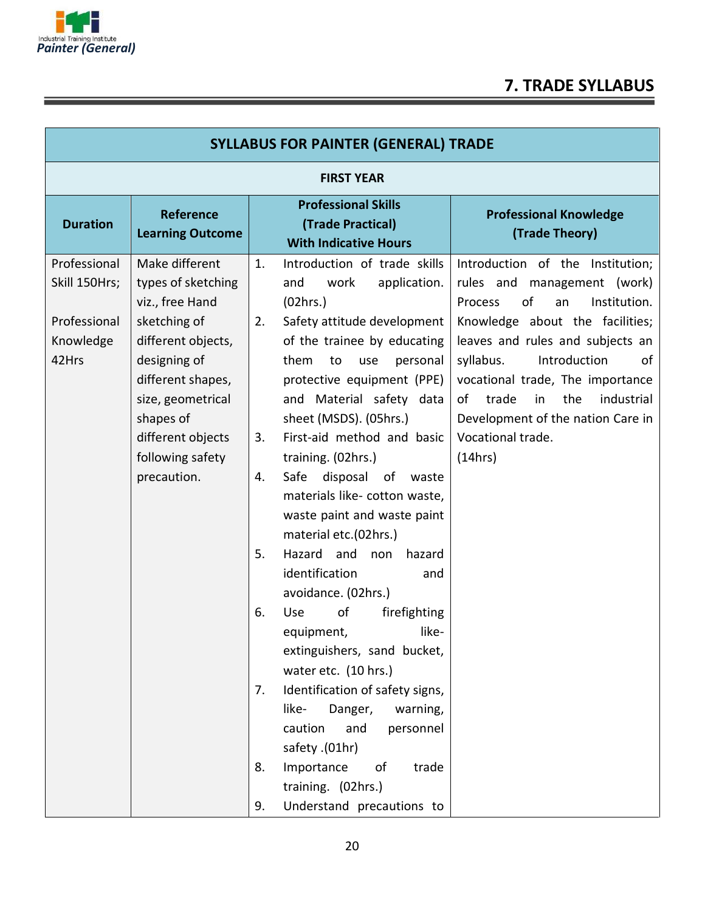

## **7. TRADE SYLLABUS**

| <b>SYLLABUS FOR PAINTER (GENERAL) TRADE</b> |                                                                     |          |                                                                                                                       |                                                                                                                                                    |  |  |
|---------------------------------------------|---------------------------------------------------------------------|----------|-----------------------------------------------------------------------------------------------------------------------|----------------------------------------------------------------------------------------------------------------------------------------------------|--|--|
|                                             | <b>FIRST YEAR</b>                                                   |          |                                                                                                                       |                                                                                                                                                    |  |  |
| <b>Duration</b>                             | <b>Reference</b><br><b>Learning Outcome</b>                         |          | <b>Professional Skills</b><br>(Trade Practical)<br><b>With Indicative Hours</b>                                       | <b>Professional Knowledge</b><br>(Trade Theory)                                                                                                    |  |  |
| Professional<br>Skill 150Hrs;               | Make different<br>types of sketching<br>viz., free Hand             | 1.       | Introduction of trade skills<br>work<br>application.<br>and<br>(02hrs.)                                               | Introduction of the Institution;<br>rules and management (work)<br>of<br>Institution.<br>Process<br>an                                             |  |  |
| Professional<br>Knowledge                   | sketching of<br>different objects,                                  | 2.       | Safety attitude development<br>of the trainee by educating                                                            | Knowledge about the facilities;<br>leaves and rules and subjects an                                                                                |  |  |
| 42Hrs                                       | designing of<br>different shapes,<br>size, geometrical<br>shapes of |          | them<br>to<br>use<br>personal<br>protective equipment (PPE)<br>and Material safety data<br>sheet (MSDS). (05hrs.)     | syllabus.<br>Introduction<br>of<br>vocational trade, The importance<br>of<br>trade<br>the<br>industrial<br>in<br>Development of the nation Care in |  |  |
|                                             | different objects<br>following safety                               | 3.       | First-aid method and basic<br>training. (02hrs.)                                                                      | Vocational trade.<br>(14hrs)                                                                                                                       |  |  |
|                                             | precaution.                                                         | 4.       | Safe<br>disposal of<br>waste<br>materials like- cotton waste,<br>waste paint and waste paint<br>material etc.(02hrs.) |                                                                                                                                                    |  |  |
|                                             |                                                                     | 5.       | Hazard and<br>hazard<br>non<br>identification<br>and<br>avoidance. (02hrs.)                                           |                                                                                                                                                    |  |  |
|                                             |                                                                     | 6.       | of<br>Use<br>firefighting<br>like-<br>equipment,<br>extinguishers, sand bucket,<br>water etc. (10 hrs.)               |                                                                                                                                                    |  |  |
|                                             |                                                                     | 7.       | Identification of safety signs,<br>like-<br>Danger,<br>warning,<br>caution<br>and<br>personnel<br>safety .(01hr)      |                                                                                                                                                    |  |  |
|                                             |                                                                     | 8.<br>9. | Importance<br>οf<br>trade<br>training. (02hrs.)<br>Understand precautions to                                          |                                                                                                                                                    |  |  |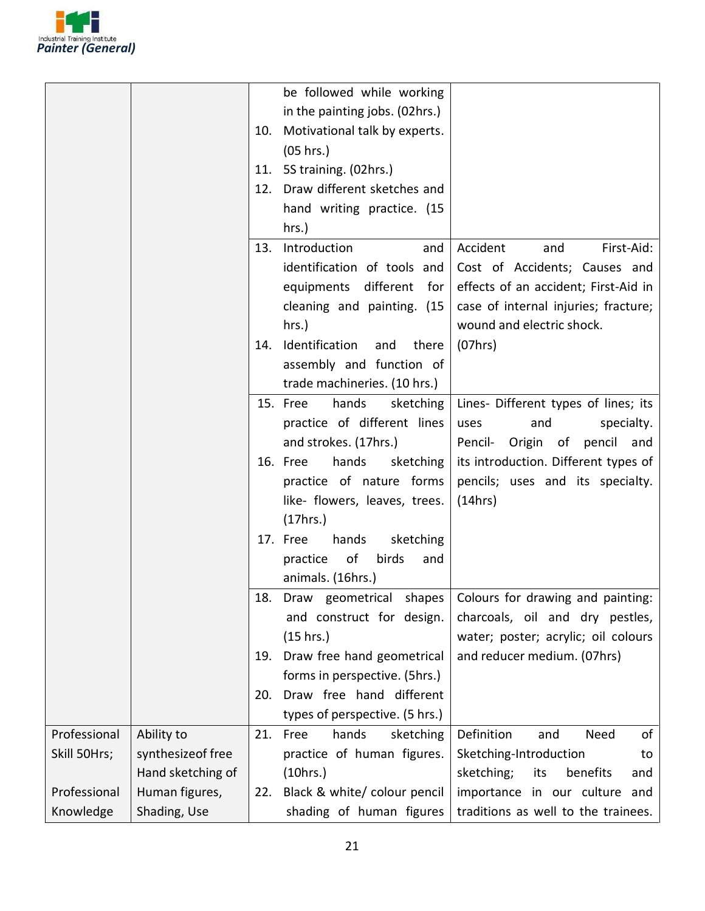

|              |                   |     | be followed while working       |                                      |
|--------------|-------------------|-----|---------------------------------|--------------------------------------|
|              |                   |     | in the painting jobs. (02hrs.)  |                                      |
|              |                   | 10. | Motivational talk by experts.   |                                      |
|              |                   |     | (05 hrs.)                       |                                      |
|              |                   |     | 11. 5S training. (02hrs.)       |                                      |
|              |                   |     | 12. Draw different sketches and |                                      |
|              |                   |     | hand writing practice. (15      |                                      |
|              |                   |     | $hrs.$ )                        |                                      |
|              |                   | 13. | Introduction<br>and             | Accident<br>First-Aid:<br>and        |
|              |                   |     | identification of tools and     | Cost of Accidents; Causes and        |
|              |                   |     | different<br>equipments<br>for  | effects of an accident; First-Aid in |
|              |                   |     | cleaning and painting. (15      | case of internal injuries; fracture; |
|              |                   |     | hrs.)                           | wound and electric shock.            |
|              |                   | 14. | Identification<br>and<br>there  | (07hrs)                              |
|              |                   |     | assembly and function of        |                                      |
|              |                   |     | trade machineries. (10 hrs.)    |                                      |
|              |                   |     | 15. Free<br>hands<br>sketching  | Lines- Different types of lines; its |
|              |                   |     | practice of different lines     | and<br>uses<br>specialty.            |
|              |                   |     | and strokes. (17hrs.)           | Pencil- Origin of pencil and         |
|              |                   |     | hands<br>16. Free<br>sketching  | its introduction. Different types of |
|              |                   |     | practice of nature forms        | pencils; uses and its specialty.     |
|              |                   |     | like- flowers, leaves, trees.   | (14hrs)                              |
|              |                   |     | (17hrs.)                        |                                      |
|              |                   |     | 17. Free<br>hands<br>sketching  |                                      |
|              |                   |     | of<br>practice<br>birds<br>and  |                                      |
|              |                   |     | animals. (16hrs.)               |                                      |
|              |                   |     | 18. Draw geometrical shapes     | Colours for drawing and painting:    |
|              |                   |     | and construct for design.       | charcoals, oil and dry pestles,      |
|              |                   |     | (15 hrs.)                       | water; poster; acrylic; oil colours  |
|              |                   | 19. | Draw free hand geometrical      | and reducer medium. (07hrs)          |
|              |                   |     | forms in perspective. (5hrs.)   |                                      |
|              |                   | 20. | Draw free hand different        |                                      |
|              |                   |     | types of perspective. (5 hrs.)  |                                      |
| Professional | Ability to        | 21. | Free<br>hands<br>sketching      | of<br>Definition<br>and<br>Need      |
| Skill 50Hrs; | synthesizeof free |     | practice of human figures.      | Sketching-Introduction<br>to         |
|              | Hand sketching of |     | (10 hrs.)                       | sketching;<br>benefits<br>its<br>and |
| Professional | Human figures,    | 22. | Black & white/colour pencil     | importance in our culture and        |
| Knowledge    | Shading, Use      |     | shading of human figures        | traditions as well to the trainees.  |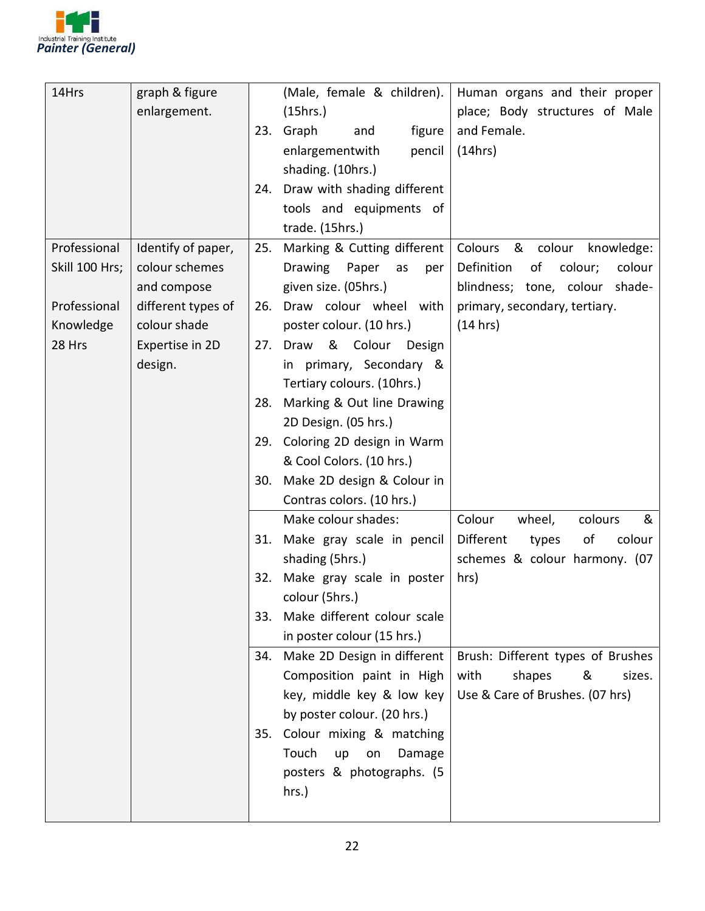

| 14Hrs          | graph & figure     |     | (Male, female & children).     | Human organs and their proper         |
|----------------|--------------------|-----|--------------------------------|---------------------------------------|
|                | enlargement.       |     | (15hrs.)                       | place; Body structures of Male        |
|                |                    |     | 23. Graph<br>figure<br>and     | and Female.                           |
|                |                    |     | enlargementwith<br>pencil      | (14hrs)                               |
|                |                    |     | shading. (10hrs.)              |                                       |
|                |                    | 24. | Draw with shading different    |                                       |
|                |                    |     | tools and equipments of        |                                       |
|                |                    |     | trade. (15hrs.)                |                                       |
| Professional   | Identify of paper, | 25. | Marking & Cutting different    | Colours<br>& colour<br>knowledge:     |
| Skill 100 Hrs; | colour schemes     |     | Drawing<br>Paper<br>as<br>per  | Definition<br>of<br>colour;<br>colour |
|                | and compose        |     | given size. (05hrs.)           | blindness; tone, colour shade-        |
| Professional   | different types of | 26. | Draw colour wheel with         | primary, secondary, tertiary.         |
| Knowledge      | colour shade       |     | poster colour. (10 hrs.)       | (14 hrs)                              |
| 28 Hrs         | Expertise in 2D    | 27. | & Colour<br>Draw<br>Design     |                                       |
|                | design.            |     | in primary, Secondary &        |                                       |
|                |                    |     | Tertiary colours. (10hrs.)     |                                       |
|                |                    | 28. | Marking & Out line Drawing     |                                       |
|                |                    |     | 2D Design. (05 hrs.)           |                                       |
|                |                    | 29. | Coloring 2D design in Warm     |                                       |
|                |                    |     | & Cool Colors. (10 hrs.)       |                                       |
|                |                    |     | 30. Make 2D design & Colour in |                                       |
|                |                    |     | Contras colors. (10 hrs.)      |                                       |
|                |                    |     | Make colour shades:            | Colour<br>wheel,<br>colours<br>&      |
|                |                    | 31. | Make gray scale in pencil      | Different<br>οf<br>colour<br>types    |
|                |                    |     | shading (5hrs.)                | schemes & colour harmony. (07         |
|                |                    | 32. | Make gray scale in poster      | hrs)                                  |
|                |                    |     | colour (5hrs.)                 |                                       |
|                |                    | 33. | Make different colour scale    |                                       |
|                |                    |     | in poster colour (15 hrs.)     |                                       |
|                |                    | 34. | Make 2D Design in different    | Brush: Different types of Brushes     |
|                |                    |     | Composition paint in High      | with<br>shapes<br>&<br>sizes.         |
|                |                    |     | key, middle key & low key      | Use & Care of Brushes. (07 hrs)       |
|                |                    |     | by poster colour. (20 hrs.)    |                                       |
|                |                    |     | 35. Colour mixing & matching   |                                       |
|                |                    |     | Touch<br>up<br>on<br>Damage    |                                       |
|                |                    |     | posters & photographs. (5      |                                       |
|                |                    |     | hrs.)                          |                                       |
|                |                    |     |                                |                                       |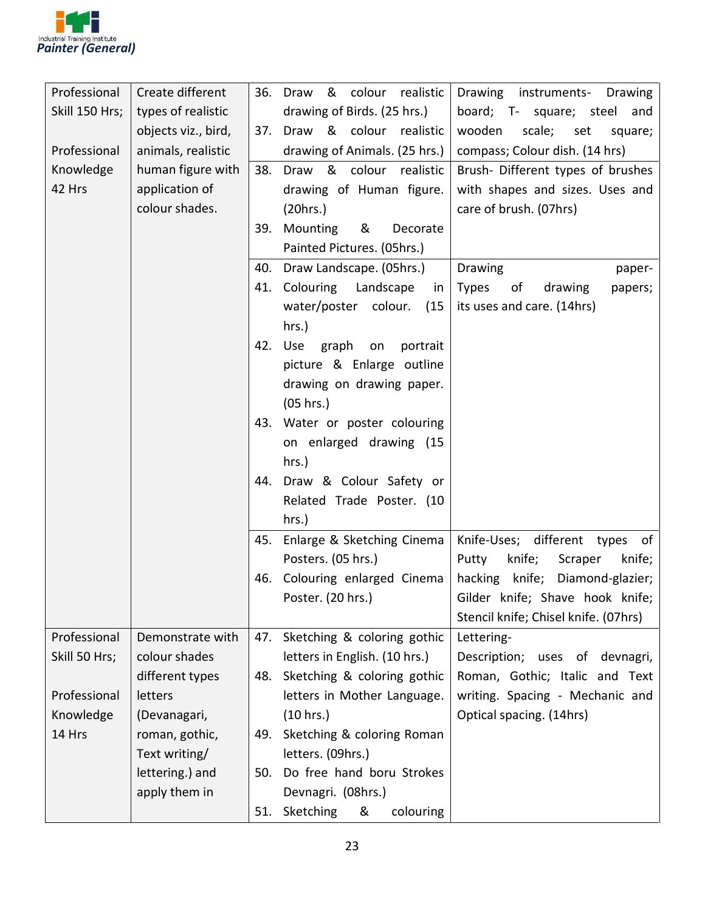

| Professional   | Create different    |     | & colour realistic<br>36. Draw | Drawing instruments- Drawing         |
|----------------|---------------------|-----|--------------------------------|--------------------------------------|
| Skill 150 Hrs; | types of realistic  |     | drawing of Birds. (25 hrs.)    | board; T- square; steel and          |
|                | objects viz., bird, | 37. | Draw & colour realistic        | wooden<br>scale; set<br>square;      |
| Professional   | animals, realistic  |     | drawing of Animals. (25 hrs.)  | compass; Colour dish. (14 hrs)       |
| Knowledge      | human figure with   |     | 38. Draw & colour realistic    | Brush-Different types of brushes     |
| 42 Hrs         | application of      |     | drawing of Human figure.       | with shapes and sizes. Uses and      |
|                | colour shades.      |     | (20 hrs.)                      | care of brush. (07hrs)               |
|                |                     |     | &<br>39. Mounting<br>Decorate  |                                      |
|                |                     |     | Painted Pictures. (05hrs.)     |                                      |
|                |                     | 40. | Draw Landscape. (05hrs.)       | Drawing<br>paper-                    |
|                |                     | 41. | Colouring<br>Landscape<br>in   | Types<br>of<br>drawing<br>papers;    |
|                |                     |     | water/poster colour.<br>(15)   | its uses and care. (14hrs)           |
|                |                     |     | hrs.)                          |                                      |
|                |                     | 42. | graph<br>Use<br>on<br>portrait |                                      |
|                |                     |     | picture & Enlarge outline      |                                      |
|                |                     |     | drawing on drawing paper.      |                                      |
|                |                     |     | (05 hrs.)                      |                                      |
|                |                     |     | 43. Water or poster colouring  |                                      |
|                |                     |     | on enlarged drawing (15        |                                      |
|                |                     |     | hrs.)                          |                                      |
|                |                     |     | 44. Draw & Colour Safety or    |                                      |
|                |                     |     | Related Trade Poster. (10      |                                      |
|                |                     |     | hrs.)                          |                                      |
|                |                     | 45. | Enlarge & Sketching Cinema     | Knife-Uses; different types<br>of    |
|                |                     |     | Posters. (05 hrs.)             | knife;<br>Putty<br>Scraper<br>knife; |
|                |                     | 46. | Colouring enlarged Cinema      | hacking knife; Diamond-glazier;      |
|                |                     |     | Poster. (20 hrs.)              | Gilder knife; Shave hook knife;      |
|                |                     |     |                                | Stencil knife; Chisel knife. (07hrs) |
| Professional   | Demonstrate with    | 47. | Sketching & coloring gothic    | Lettering-                           |
| Skill 50 Hrs;  | colour shades       |     | letters in English. (10 hrs.)  | Description; uses of devnagri,       |
|                | different types     | 48. | Sketching & coloring gothic    | Roman, Gothic; Italic and Text       |
| Professional   | letters             |     | letters in Mother Language.    | writing. Spacing - Mechanic and      |
| Knowledge      | (Devanagari,        |     | (10 hrs.)                      | Optical spacing. (14hrs)             |
| 14 Hrs         | roman, gothic,      | 49. | Sketching & coloring Roman     |                                      |
|                | Text writing/       |     | letters. (09hrs.)              |                                      |
|                | lettering.) and     | 50. | Do free hand boru Strokes      |                                      |
|                | apply them in       |     | Devnagri. (08hrs.)             |                                      |
|                |                     | 51. | Sketching<br>colouring<br>&    |                                      |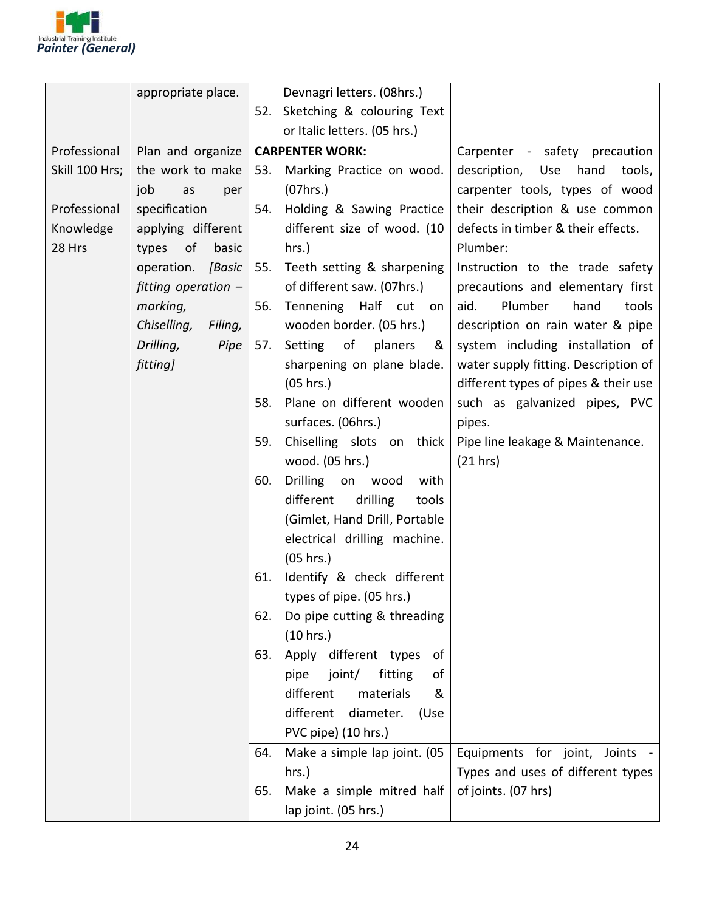

|                | appropriate place.     |     | Devnagri letters. (08hrs.)      |                                      |
|----------------|------------------------|-----|---------------------------------|--------------------------------------|
|                |                        |     | 52. Sketching & colouring Text  |                                      |
|                |                        |     | or Italic letters. (05 hrs.)    |                                      |
| Professional   | Plan and organize      |     | <b>CARPENTER WORK:</b>          | Carpenter - safety precaution        |
| Skill 100 Hrs; | the work to make       |     | 53. Marking Practice on wood.   | hand<br>description, Use<br>tools,   |
|                | job<br>as<br>per       |     | (07hrs.)                        | carpenter tools, types of wood       |
| Professional   | specification          | 54. | Holding & Sawing Practice       | their description & use common       |
| Knowledge      | applying different     |     | different size of wood. (10     | defects in timber & their effects.   |
| 28 Hrs         | of<br>basic<br>types   |     | hrs.)                           | Plumber:                             |
|                | operation. [Basic      |     | 55. Teeth setting & sharpening  | Instruction to the trade safety      |
|                | fitting operation -    |     | of different saw. (07hrs.)      | precautions and elementary first     |
|                | marking,               | 56. | Tennening Half cut<br>on        | Plumber<br>aid.<br>hand<br>tools     |
|                | Chiselling,<br>Filing, |     | wooden border. (05 hrs.)        | description on rain water & pipe     |
|                | Drilling,<br>Pipe      | 57. | of<br>Setting<br>planers<br>&   | system including installation of     |
|                | fitting]               |     | sharpening on plane blade.      | water supply fitting. Description of |
|                |                        |     | (05 hrs.)                       | different types of pipes & their use |
|                |                        | 58. | Plane on different wooden       | such as galvanized pipes, PVC        |
|                |                        |     | surfaces. (06hrs.)              | pipes.                               |
|                |                        | 59. | Chiselling slots on thick       | Pipe line leakage & Maintenance.     |
|                |                        |     | wood. (05 hrs.)                 | (21 hrs)                             |
|                |                        | 60. | Drilling on wood<br>with        |                                      |
|                |                        |     | different<br>drilling<br>tools  |                                      |
|                |                        |     | (Gimlet, Hand Drill, Portable   |                                      |
|                |                        |     | electrical drilling machine.    |                                      |
|                |                        |     | (05 hrs.)                       |                                      |
|                |                        | 61. | Identify & check different      |                                      |
|                |                        |     | types of pipe. (05 hrs.)        |                                      |
|                |                        | 62. | Do pipe cutting & threading     |                                      |
|                |                        |     | (10 hrs.)                       |                                      |
|                |                        | 63. | Apply different types<br>0f     |                                      |
|                |                        |     | fitting<br>pipe<br>joint/<br>οf |                                      |
|                |                        |     | different<br>materials<br>&     |                                      |
|                |                        |     | different<br>diameter.<br>(Use  |                                      |
|                |                        |     | PVC pipe) (10 hrs.)             |                                      |
|                |                        | 64. | Make a simple lap joint. (05    | Equipments for joint,<br>Joints -    |
|                |                        |     | hrs.)                           | Types and uses of different types    |
|                |                        | 65. | Make a simple mitred half       | of joints. (07 hrs)                  |
|                |                        |     | lap joint. (05 hrs.)            |                                      |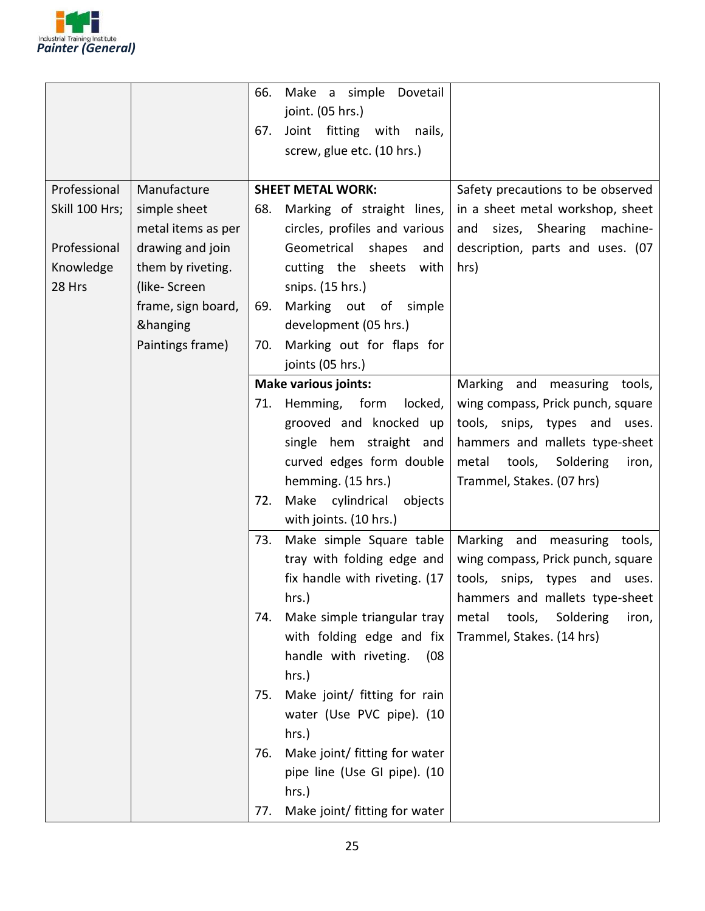

|                |                    | 66.<br>67. | Make a simple Dovetail<br>joint. (05 hrs.)<br>Joint fitting<br>with<br>nails,<br>screw, glue etc. (10 hrs.) |                                    |
|----------------|--------------------|------------|-------------------------------------------------------------------------------------------------------------|------------------------------------|
| Professional   | Manufacture        |            | <b>SHEET METAL WORK:</b>                                                                                    | Safety precautions to be observed  |
| Skill 100 Hrs; | simple sheet       | 68.        | Marking of straight lines,                                                                                  | in a sheet metal workshop, sheet   |
|                | metal items as per |            | circles, profiles and various                                                                               | sizes, Shearing<br>machine-<br>and |
| Professional   | drawing and join   |            | Geometrical<br>shapes<br>and                                                                                | description, parts and uses. (07   |
| Knowledge      | them by riveting.  |            | cutting the sheets<br>with                                                                                  | hrs)                               |
| 28 Hrs         | (like-Screen       |            | snips. (15 hrs.)                                                                                            |                                    |
|                | frame, sign board, | 69.        | Marking out of simple                                                                                       |                                    |
|                | &hanging           |            | development (05 hrs.)                                                                                       |                                    |
|                | Paintings frame)   | 70.        | Marking out for flaps for                                                                                   |                                    |
|                |                    |            | joints (05 hrs.)                                                                                            |                                    |
|                |                    |            | <b>Make various joints:</b>                                                                                 | Marking and measuring tools,       |
|                |                    |            | 71. Hemming, form<br>locked,                                                                                | wing compass, Prick punch, square  |
|                |                    |            | grooved and knocked up                                                                                      | tools, snips, types and uses.      |
|                |                    |            | single hem straight and                                                                                     | hammers and mallets type-sheet     |
|                |                    |            | curved edges form double                                                                                    | tools, Soldering<br>metal<br>iron, |
|                |                    | 72.        | hemming. (15 hrs.)<br>Make cylindrical<br>objects                                                           | Trammel, Stakes. (07 hrs)          |
|                |                    |            | with joints. (10 hrs.)                                                                                      |                                    |
|                |                    | 73.        | Make simple Square table                                                                                    | Marking and<br>measuring tools,    |
|                |                    |            | tray with folding edge and                                                                                  | wing compass, Prick punch, square  |
|                |                    |            | fix handle with riveting. (17)                                                                              | tools, snips, types and uses.      |
|                |                    |            | hrs.)                                                                                                       | hammers and mallets type-sheet     |
|                |                    | 74.        | Make simple triangular tray                                                                                 | metal tools, Soldering<br>iron,    |
|                |                    |            | with folding edge and fix                                                                                   | Trammel, Stakes. (14 hrs)          |
|                |                    |            | handle with riveting.<br>(08)                                                                               |                                    |
|                |                    |            | hrs.)                                                                                                       |                                    |
|                |                    | 75.        | Make joint/ fitting for rain                                                                                |                                    |
|                |                    |            | water (Use PVC pipe). (10                                                                                   |                                    |
|                |                    |            | hrs.)                                                                                                       |                                    |
|                |                    | 76.        | Make joint/ fitting for water                                                                               |                                    |
|                |                    |            | pipe line (Use GI pipe). (10                                                                                |                                    |
|                |                    |            | $hrs.$ )                                                                                                    |                                    |
|                |                    | 77.        | Make joint/ fitting for water                                                                               |                                    |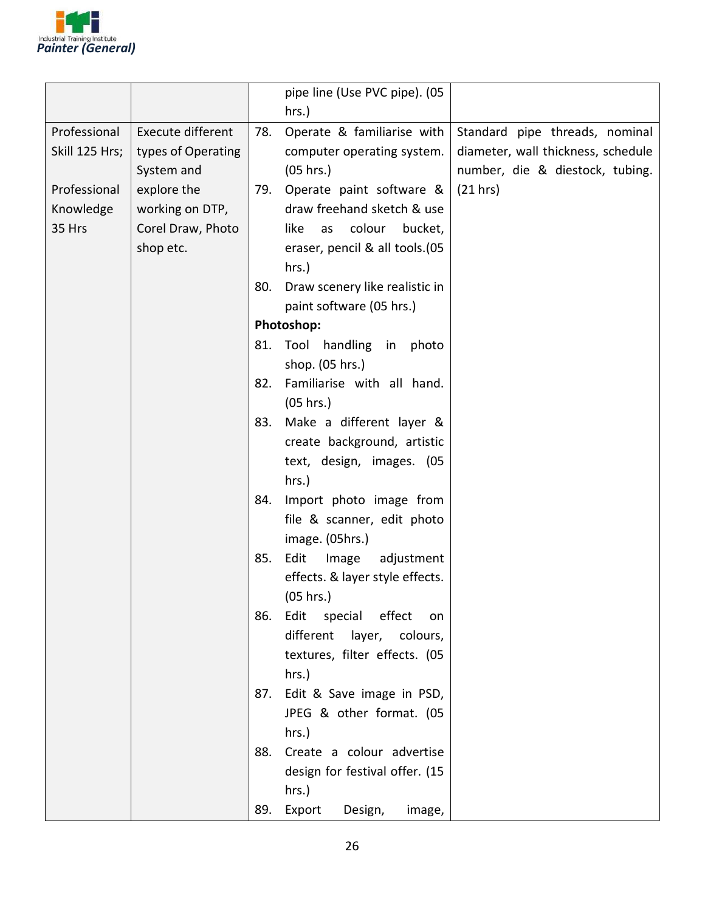

|                |                          |     | pipe line (Use PVC pipe). (05        |                                    |
|----------------|--------------------------|-----|--------------------------------------|------------------------------------|
|                |                          |     | hrs.)                                |                                    |
| Professional   | <b>Execute different</b> | 78. | Operate & familiarise with           | Standard pipe threads, nominal     |
| Skill 125 Hrs; | types of Operating       |     | computer operating system.           | diameter, wall thickness, schedule |
|                | System and               |     | (05 hrs.)                            | number, die & diestock, tubing.    |
| Professional   | explore the              | 79. | Operate paint software &             | (21 hrs)                           |
| Knowledge      | working on DTP,          |     | draw freehand sketch & use           |                                    |
| 35 Hrs         | Corel Draw, Photo        |     | colour<br>bucket,<br>like<br>as      |                                    |
|                | shop etc.                |     | eraser, pencil & all tools.(05       |                                    |
|                |                          |     | hrs.)                                |                                    |
|                |                          | 80. | Draw scenery like realistic in       |                                    |
|                |                          |     | paint software (05 hrs.)             |                                    |
|                |                          |     | Photoshop:                           |                                    |
|                |                          | 81. | Tool<br>handling in<br>photo         |                                    |
|                |                          |     | shop. (05 hrs.)                      |                                    |
|                |                          | 82. | Familiarise with all hand.           |                                    |
|                |                          |     | (05 hrs.)                            |                                    |
|                |                          | 83. | Make a different layer &             |                                    |
|                |                          |     | create background, artistic          |                                    |
|                |                          |     | text, design, images. (05            |                                    |
|                |                          |     | hrs.)                                |                                    |
|                |                          | 84. | Import photo image from              |                                    |
|                |                          |     | file & scanner, edit photo           |                                    |
|                |                          |     | image. (05hrs.)                      |                                    |
|                |                          | 85. | Edit<br>Image<br>adjustment          |                                    |
|                |                          |     | effects. & layer style effects.      |                                    |
|                |                          |     | (05 hrs.)                            |                                    |
|                |                          | 86. | Edit special effect<br>on            |                                    |
|                |                          |     | different<br>layer, colours,         |                                    |
|                |                          |     | textures, filter effects. (05        |                                    |
|                |                          |     | $hrs.$ )                             |                                    |
|                |                          | 87. | Edit & Save image in PSD,            |                                    |
|                |                          |     | JPEG & other format. (05<br>$hrs.$ ) |                                    |
|                |                          | 88. | Create a colour advertise            |                                    |
|                |                          |     | design for festival offer. (15       |                                    |
|                |                          |     | hrs.)                                |                                    |
|                |                          | 89. | Export<br>Design,<br>image,          |                                    |
|                |                          |     |                                      |                                    |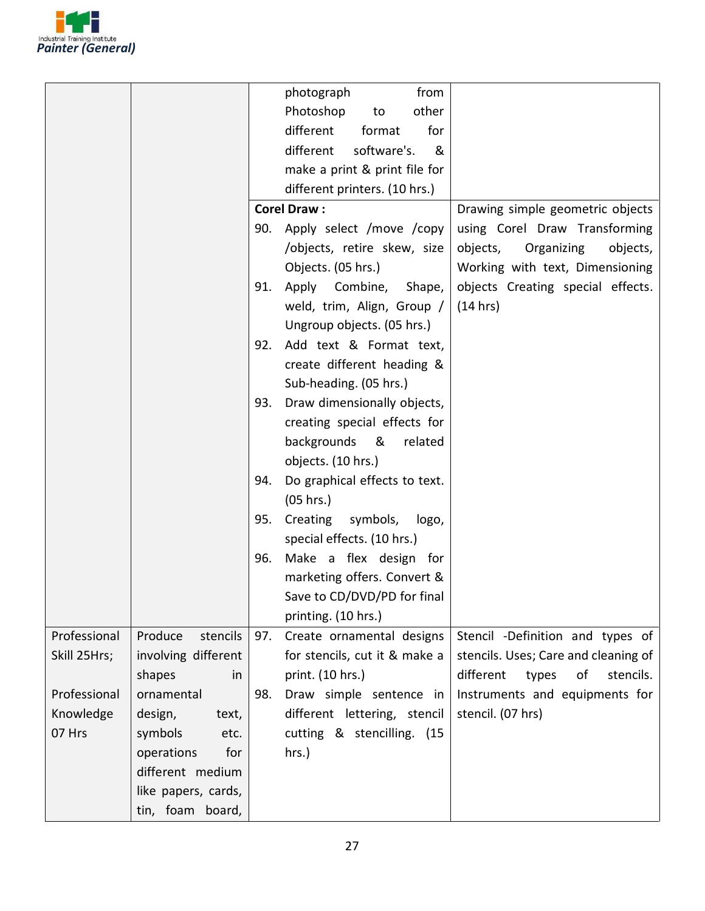

|              |                     |     | photograph<br>from            |                                       |
|--------------|---------------------|-----|-------------------------------|---------------------------------------|
|              |                     |     | other<br>Photoshop<br>to      |                                       |
|              |                     |     | different<br>format<br>for    |                                       |
|              |                     |     | different<br>software's.<br>& |                                       |
|              |                     |     | make a print & print file for |                                       |
|              |                     |     | different printers. (10 hrs.) |                                       |
|              |                     |     | <b>Corel Draw:</b>            | Drawing simple geometric objects      |
|              |                     |     | 90. Apply select /move /copy  | using Corel Draw Transforming         |
|              |                     |     | /objects, retire skew, size   | objects,<br>Organizing<br>objects,    |
|              |                     |     | Objects. (05 hrs.)            | Working with text, Dimensioning       |
|              |                     | 91. | Apply Combine,<br>Shape,      | objects Creating special effects.     |
|              |                     |     | weld, trim, Align, Group /    | (14 hrs)                              |
|              |                     |     | Ungroup objects. (05 hrs.)    |                                       |
|              |                     | 92. | Add text & Format text,       |                                       |
|              |                     |     | create different heading &    |                                       |
|              |                     |     | Sub-heading. (05 hrs.)        |                                       |
|              |                     | 93. | Draw dimensionally objects,   |                                       |
|              |                     |     | creating special effects for  |                                       |
|              |                     |     | backgrounds &<br>related      |                                       |
|              |                     |     | objects. (10 hrs.)            |                                       |
|              |                     | 94. | Do graphical effects to text. |                                       |
|              |                     |     | (05 hrs.)                     |                                       |
|              |                     | 95. | Creating symbols,<br>logo,    |                                       |
|              |                     |     | special effects. (10 hrs.)    |                                       |
|              |                     | 96. | Make a flex design for        |                                       |
|              |                     |     | marketing offers. Convert &   |                                       |
|              |                     |     | Save to CD/DVD/PD for final   |                                       |
|              |                     |     | printing. (10 hrs.)           |                                       |
| Professional | Produce<br>stencils | 97. | Create ornamental designs     | Stencil -Definition and types of      |
| Skill 25Hrs; | involving different |     | for stencils, cut it & make a | stencils. Uses; Care and cleaning of  |
|              | shapes<br>in        |     | print. (10 hrs.)              | different<br>stencils.<br>types<br>of |
| Professional | ornamental          | 98. | Draw simple sentence in       | Instruments and equipments for        |
| Knowledge    | design,<br>text,    |     | different lettering, stencil  | stencil. (07 hrs)                     |
| 07 Hrs       | symbols<br>etc.     |     | cutting & stencilling. (15    |                                       |
|              | for<br>operations   |     | hrs.)                         |                                       |
|              | different medium    |     |                               |                                       |
|              | like papers, cards, |     |                               |                                       |
|              | tin, foam board,    |     |                               |                                       |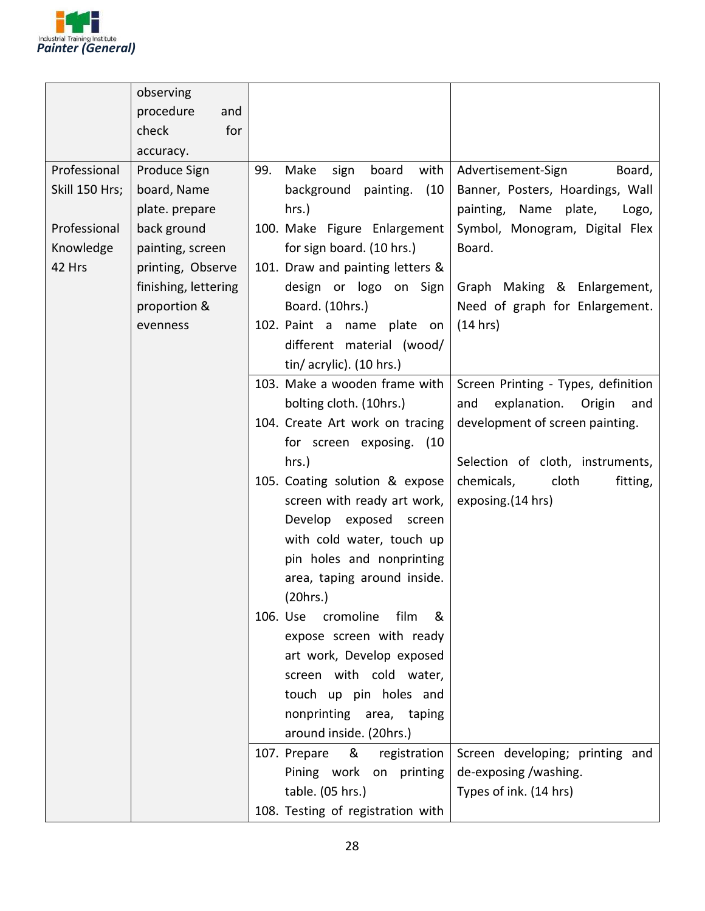

|                | observing            |                                      |                                      |
|----------------|----------------------|--------------------------------------|--------------------------------------|
|                | procedure<br>and     |                                      |                                      |
|                | for<br>check         |                                      |                                      |
|                | accuracy.            |                                      |                                      |
| Professional   | Produce Sign         | 99.<br>Make<br>board<br>with<br>sign | Advertisement-Sign<br>Board,         |
| Skill 150 Hrs; | board, Name          | background<br>(10)<br>painting.      | Banner, Posters, Hoardings, Wall     |
|                | plate. prepare       | hrs.)                                | painting, Name plate,<br>Logo,       |
| Professional   | back ground          | 100. Make Figure Enlargement         | Symbol, Monogram, Digital Flex       |
| Knowledge      | painting, screen     | for sign board. (10 hrs.)            | Board.                               |
| 42 Hrs         | printing, Observe    | 101. Draw and painting letters &     |                                      |
|                | finishing, lettering | design or logo on Sign               | Graph Making & Enlargement,          |
|                | proportion &         | Board. (10hrs.)                      | Need of graph for Enlargement.       |
|                |                      |                                      | (14 hrs)                             |
|                | evenness             | 102. Paint a name plate on           |                                      |
|                |                      | different material (wood/            |                                      |
|                |                      | tin/ acrylic). (10 hrs.)             |                                      |
|                |                      | 103. Make a wooden frame with        | Screen Printing - Types, definition  |
|                |                      | bolting cloth. (10hrs.)              | explanation.<br>and<br>Origin<br>and |
|                |                      | 104. Create Art work on tracing      | development of screen painting.      |
|                |                      | for screen exposing. (10             |                                      |
|                |                      | hrs.)                                | Selection of cloth, instruments,     |
|                |                      | 105. Coating solution & expose       | chemicals,<br>cloth<br>fitting,      |
|                |                      | screen with ready art work,          | exposing. (14 hrs)                   |
|                |                      | Develop exposed screen               |                                      |
|                |                      | with cold water, touch up            |                                      |
|                |                      | pin holes and nonprinting            |                                      |
|                |                      | area, taping around inside.          |                                      |
|                |                      | (20hrs.)                             |                                      |
|                |                      | 106. Use<br>cromoline<br>film<br>&   |                                      |
|                |                      | expose screen with ready             |                                      |
|                |                      | art work, Develop exposed            |                                      |
|                |                      | screen with cold water,              |                                      |
|                |                      | touch up pin holes and               |                                      |
|                |                      | nonprinting area, taping             |                                      |
|                |                      | around inside. (20hrs.)              |                                      |
|                |                      | 107. Prepare<br>&<br>registration    | Screen developing; printing and      |
|                |                      | Pining work on printing              | de-exposing/washing.                 |
|                |                      | table. (05 hrs.)                     | Types of ink. (14 hrs)               |
|                |                      | 108. Testing of registration with    |                                      |
|                |                      |                                      |                                      |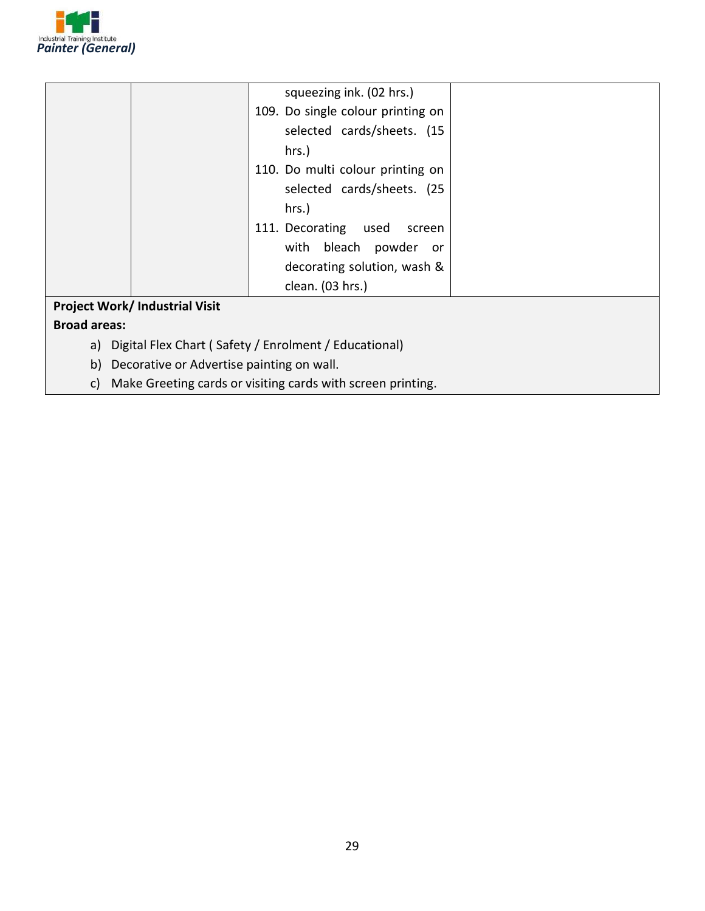

|                                       | squeezing ink. (02 hrs.)          |  |
|---------------------------------------|-----------------------------------|--|
|                                       | 109. Do single colour printing on |  |
|                                       | selected cards/sheets. (15        |  |
|                                       | hrs.)                             |  |
|                                       | 110. Do multi colour printing on  |  |
|                                       | selected cards/sheets. (25        |  |
|                                       | hrs.)                             |  |
|                                       | 111. Decorating<br>used<br>screen |  |
|                                       | with bleach<br>powder or          |  |
|                                       | decorating solution, wash &       |  |
|                                       | clean. (03 hrs.)                  |  |
| <b>Project Work/ Industrial Visit</b> |                                   |  |
| <b>Broad areas:</b>                   |                                   |  |

- a) Digital Flex Chart ( Safety / Enrolment / Educational)
- b) Decorative or Advertise painting on wall.
- c) Make Greeting cards or visiting cards with screen printing.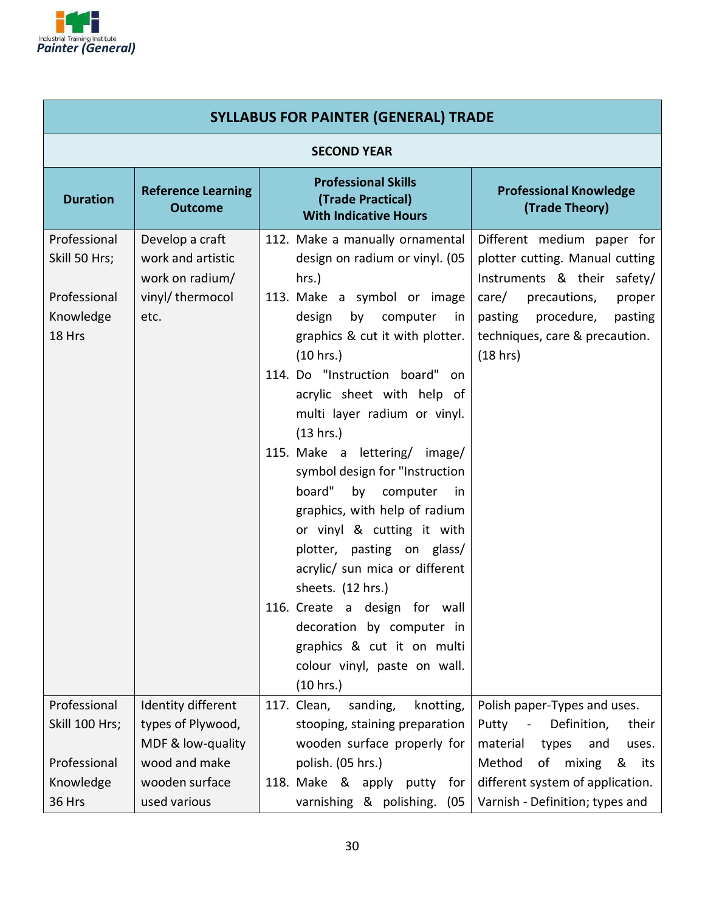

| <b>SYLLABUS FOR PAINTER (GENERAL) TRADE</b>                          |                                                                                     |                                                                                                                                                                                                                                                                                                                                                                                                                                                                                                                                                                                                                                                                                                      |                                                                                                                                                                                                                |  |
|----------------------------------------------------------------------|-------------------------------------------------------------------------------------|------------------------------------------------------------------------------------------------------------------------------------------------------------------------------------------------------------------------------------------------------------------------------------------------------------------------------------------------------------------------------------------------------------------------------------------------------------------------------------------------------------------------------------------------------------------------------------------------------------------------------------------------------------------------------------------------------|----------------------------------------------------------------------------------------------------------------------------------------------------------------------------------------------------------------|--|
|                                                                      | <b>SECOND YEAR</b>                                                                  |                                                                                                                                                                                                                                                                                                                                                                                                                                                                                                                                                                                                                                                                                                      |                                                                                                                                                                                                                |  |
| <b>Duration</b>                                                      | <b>Reference Learning</b><br><b>Outcome</b>                                         | <b>Professional Skills</b><br>(Trade Practical)<br><b>With Indicative Hours</b>                                                                                                                                                                                                                                                                                                                                                                                                                                                                                                                                                                                                                      | <b>Professional Knowledge</b><br>(Trade Theory)                                                                                                                                                                |  |
| Professional<br>Skill 50 Hrs;<br>Professional<br>Knowledge<br>18 Hrs | Develop a craft<br>work and artistic<br>work on radium/<br>vinyl/ thermocol<br>etc. | 112. Make a manually ornamental<br>design on radium or vinyl. (05<br>hrs.)<br>113. Make a symbol or image<br>by computer<br>design<br>in<br>graphics & cut it with plotter.<br>(10 hrs.)<br>114. Do "Instruction board" on<br>acrylic sheet with help of<br>multi layer radium or vinyl.<br>(13 hrs.)<br>115. Make a lettering/ image/<br>symbol design for "Instruction<br>board"<br>by computer<br>in<br>graphics, with help of radium<br>or vinyl & cutting it with<br>plotter, pasting on glass/<br>acrylic/ sun mica or different<br>sheets. (12 hrs.)<br>116. Create a design for wall<br>decoration by computer in<br>graphics & cut it on multi<br>colour vinyl, paste on wall.<br>(10 hrs.) | Different medium paper for<br>plotter cutting. Manual cutting<br>Instruments & their safety/<br>care/<br>precautions,<br>proper<br>pasting procedure,<br>pasting<br>techniques, care & precaution.<br>(18 hrs) |  |
| Professional<br>Skill 100 Hrs;<br>Professional                       | Identity different<br>types of Plywood,<br>MDF & low-quality<br>wood and make       | 117. Clean,<br>sanding,<br>knotting,<br>stooping, staining preparation<br>wooden surface properly for<br>polish. (05 hrs.)                                                                                                                                                                                                                                                                                                                                                                                                                                                                                                                                                                           | Polish paper-Types and uses.<br>Definition,<br>Putty<br>their<br>$\blacksquare$<br>material<br>types<br>and<br>uses.<br>Method<br>of<br>mixing<br>&<br>its                                                     |  |
| Knowledge<br>36 Hrs                                                  | wooden surface<br>used various                                                      | 118. Make & apply<br>putty<br>for<br>varnishing & polishing.<br>(05)                                                                                                                                                                                                                                                                                                                                                                                                                                                                                                                                                                                                                                 | different system of application.<br>Varnish - Definition; types and                                                                                                                                            |  |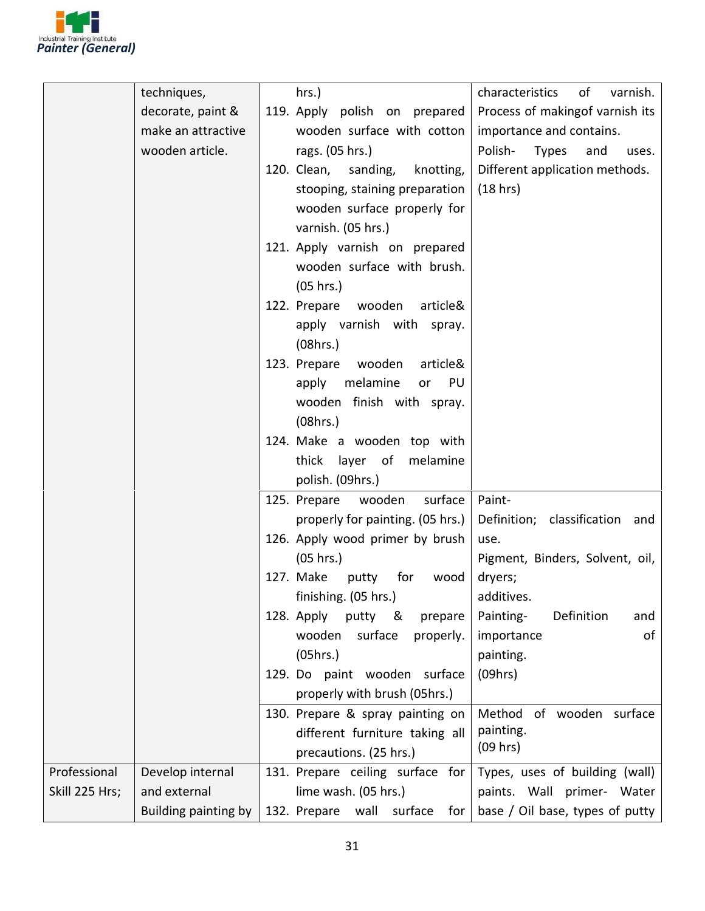

|                | techniques,          | hrs.)                                | characteristics<br>of<br>varnish.       |
|----------------|----------------------|--------------------------------------|-----------------------------------------|
|                | decorate, paint &    | 119. Apply polish on prepared        | Process of makingof varnish its         |
|                | make an attractive   | wooden surface with cotton           | importance and contains.                |
|                | wooden article.      | rags. (05 hrs.)                      | Polish-<br><b>Types</b><br>and<br>uses. |
|                |                      | 120. Clean,<br>sanding,<br>knotting, | Different application methods.          |
|                |                      | stooping, staining preparation       | (18 hrs)                                |
|                |                      | wooden surface properly for          |                                         |
|                |                      | varnish. (05 hrs.)                   |                                         |
|                |                      | 121. Apply varnish on prepared       |                                         |
|                |                      | wooden surface with brush.           |                                         |
|                |                      | (05 hrs.)                            |                                         |
|                |                      | 122. Prepare wooden<br>article&      |                                         |
|                |                      | apply varnish with spray.            |                                         |
|                |                      | (08hrs.)                             |                                         |
|                |                      | 123. Prepare<br>wooden<br>article&   |                                         |
|                |                      | melamine<br>apply<br>PU<br>or        |                                         |
|                |                      | wooden finish with spray.            |                                         |
|                |                      | (08hrs.)                             |                                         |
|                |                      | 124. Make a wooden top with          |                                         |
|                |                      | thick layer of melamine              |                                         |
|                |                      | polish. (09hrs.)                     |                                         |
|                |                      | 125. Prepare wooden<br>surface       | Paint-                                  |
|                |                      | properly for painting. (05 hrs.)     | Definition; classification and          |
|                |                      | 126. Apply wood primer by brush      | use.                                    |
|                |                      | (05 hrs.)                            | Pigment, Binders, Solvent, oil,         |
|                |                      | 127. Make<br>putty<br>for<br>wood    | dryers;                                 |
|                |                      | finishing. (05 hrs.)                 | additives.                              |
|                |                      | 128. Apply<br>putty &<br>prepare     | Painting-<br>Definition<br>and          |
|                |                      | properly.<br>wooden<br>surface       | importance<br>of                        |
|                |                      | (05hrs.)                             | painting.                               |
|                |                      | 129. Do paint wooden surface         | (09hrs)                                 |
|                |                      | properly with brush (05hrs.)         |                                         |
|                |                      | 130. Prepare & spray painting on     | Method of wooden surface                |
|                |                      | different furniture taking all       | painting.                               |
|                |                      | precautions. (25 hrs.)               | (09 hrs)                                |
| Professional   | Develop internal     | 131. Prepare ceiling surface for     | Types, uses of building (wall)          |
| Skill 225 Hrs; | and external         | lime wash. (05 hrs.)                 | paints. Wall primer- Water              |
|                | Building painting by | 132. Prepare<br>wall surface<br>for  | base / Oil base, types of putty         |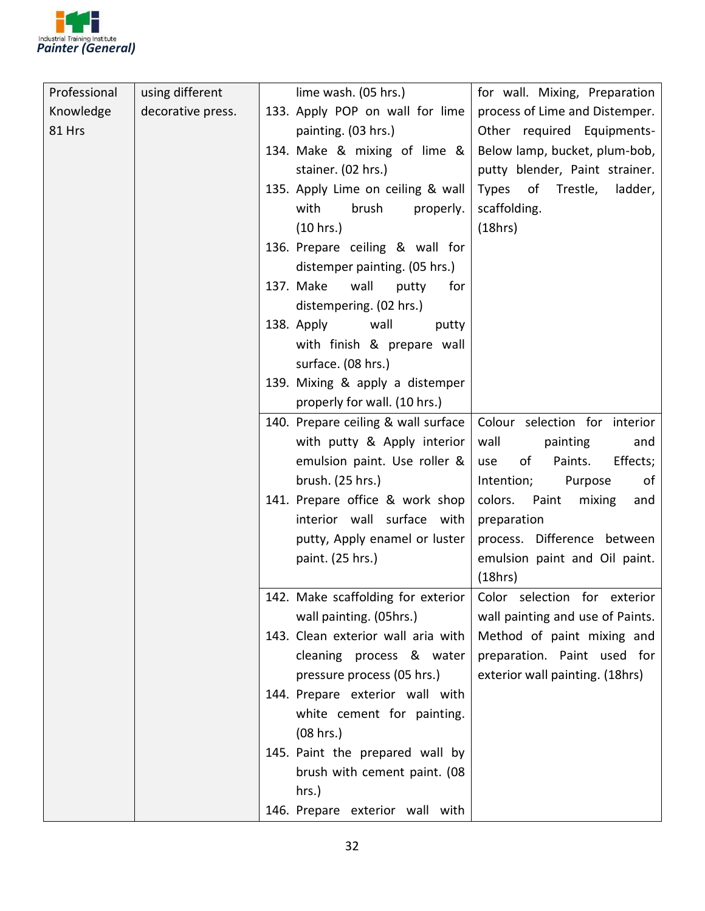

| Professional | using different   | lime wash. (05 hrs.)    |                                     | for wall. Mixing, Preparation    |
|--------------|-------------------|-------------------------|-------------------------------------|----------------------------------|
| Knowledge    | decorative press. |                         | 133. Apply POP on wall for lime     | process of Lime and Distemper.   |
| 81 Hrs       |                   | painting. (03 hrs.)     |                                     | Other required Equipments-       |
|              |                   |                         | 134. Make & mixing of lime &        | Below lamp, bucket, plum-bob,    |
|              |                   | stainer. (02 hrs.)      |                                     | putty blender, Paint strainer.   |
|              |                   |                         | 135. Apply Lime on ceiling & wall   | Types of Trestle,<br>ladder,     |
|              |                   | with                    | brush<br>properly.                  | scaffolding.                     |
|              |                   | (10 hrs.)               |                                     | (18hrs)                          |
|              |                   |                         | 136. Prepare ceiling & wall for     |                                  |
|              |                   |                         | distemper painting. (05 hrs.)       |                                  |
|              |                   | 137. Make<br>wall       | putty<br>for                        |                                  |
|              |                   | distempering. (02 hrs.) |                                     |                                  |
|              |                   | 138. Apply              | wall<br>putty                       |                                  |
|              |                   |                         | with finish & prepare wall          |                                  |
|              |                   | surface. (08 hrs.)      |                                     |                                  |
|              |                   |                         | 139. Mixing & apply a distemper     |                                  |
|              |                   |                         | properly for wall. (10 hrs.)        |                                  |
|              |                   |                         | 140. Prepare ceiling & wall surface | Colour selection for interior    |
|              |                   |                         | with putty & Apply interior         | wall<br>painting<br>and          |
|              |                   |                         | emulsion paint. Use roller &        | Effects;<br>of<br>Paints.<br>use |
|              |                   | brush. (25 hrs.)        |                                     | Intention;<br>Purpose<br>of      |
|              |                   |                         | 141. Prepare office & work shop     | colors. Paint<br>mixing<br>and   |
|              |                   |                         | interior wall surface with          | preparation                      |
|              |                   |                         | putty, Apply enamel or luster       | process. Difference between      |
|              |                   | paint. (25 hrs.)        |                                     | emulsion paint and Oil paint.    |
|              |                   |                         |                                     | (18hrs)                          |
|              |                   |                         | 142. Make scaffolding for exterior  | Color selection for exterior     |
|              |                   | wall painting. (05hrs.) |                                     | wall painting and use of Paints. |
|              |                   |                         | 143. Clean exterior wall aria with  | Method of paint mixing and       |
|              |                   |                         | cleaning process & water            | preparation. Paint used for      |
|              |                   |                         | pressure process (05 hrs.)          | exterior wall painting. (18hrs)  |
|              |                   |                         | 144. Prepare exterior wall with     |                                  |
|              |                   |                         | white cement for painting.          |                                  |
|              |                   | (08 hrs.)               |                                     |                                  |
|              |                   |                         | 145. Paint the prepared wall by     |                                  |
|              |                   |                         | brush with cement paint. (08        |                                  |
|              |                   | hrs.)                   |                                     |                                  |
|              |                   |                         | 146. Prepare exterior wall with     |                                  |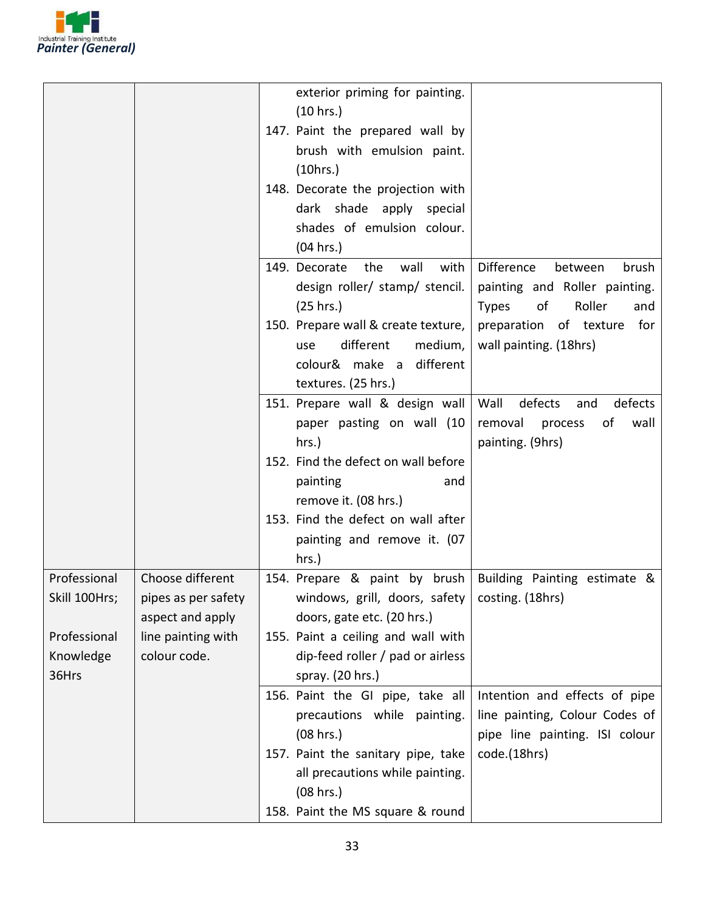

|               |                     | exterior priming for painting.<br>(10 hrs.)                                                                  |
|---------------|---------------------|--------------------------------------------------------------------------------------------------------------|
|               |                     | 147. Paint the prepared wall by                                                                              |
|               |                     | brush with emulsion paint.                                                                                   |
|               |                     | (10 hrs.)                                                                                                    |
|               |                     | 148. Decorate the projection with                                                                            |
|               |                     | dark shade apply special<br>shades of emulsion colour.                                                       |
|               |                     | (04 hrs.)                                                                                                    |
|               |                     | Difference<br>149. Decorate<br>the<br>wall<br>with<br>between<br>brush                                       |
|               |                     | design roller/ stamp/ stencil.<br>painting and Roller painting.                                              |
|               |                     | Roller<br>(25 hrs.)<br>of<br><b>Types</b><br>and                                                             |
|               |                     | 150. Prepare wall & create texture,<br>preparation of texture for                                            |
|               |                     | different<br>medium,<br>wall painting. (18hrs)<br>use                                                        |
|               |                     | colour& make a different                                                                                     |
|               |                     | textures. (25 hrs.)                                                                                          |
|               |                     | defects<br>151. Prepare wall & design wall<br>Wall<br>defects<br>and                                         |
|               |                     | paper pasting on wall (10<br>removal<br>process<br>οf<br>wall                                                |
|               |                     | painting. (9hrs)<br>hrs.)                                                                                    |
|               |                     | 152. Find the defect on wall before<br>painting                                                              |
|               |                     | and<br>remove it. (08 hrs.)                                                                                  |
|               |                     | 153. Find the defect on wall after                                                                           |
|               |                     | painting and remove it. (07                                                                                  |
|               |                     | hrs.)                                                                                                        |
| Professional  | Choose different    | 154. Prepare & paint by brush   Building Painting estimate &                                                 |
| Skill 100Hrs; | pipes as per safety | windows, grill, doors, safety $ $ costing. (18hrs)                                                           |
|               | aspect and apply    | doors, gate etc. (20 hrs.)                                                                                   |
| Professional  | line painting with  | 155. Paint a ceiling and wall with                                                                           |
| Knowledge     | colour code.        | dip-feed roller / pad or airless                                                                             |
| 36Hrs         |                     | spray. (20 hrs.)                                                                                             |
|               |                     | 156. Paint the GI pipe, take all<br>Intention and effects of pipe                                            |
|               |                     | precautions while painting.<br>line painting, Colour Codes of<br>(08 hrs.)<br>pipe line painting. ISI colour |
|               |                     | code.(18hrs)<br>157. Paint the sanitary pipe, take                                                           |
|               |                     | all precautions while painting.                                                                              |
|               |                     | (08 hrs.)                                                                                                    |
|               |                     | 158. Paint the MS square & round                                                                             |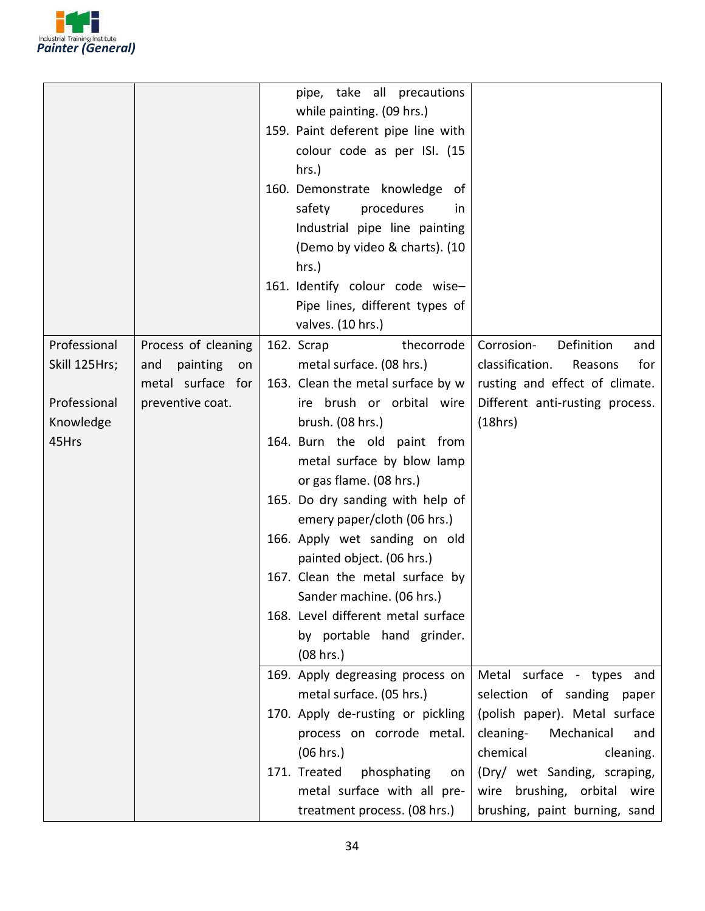

|                    |                       | pipe, take all precautions<br>while painting. (09 hrs.) |                                   |
|--------------------|-----------------------|---------------------------------------------------------|-----------------------------------|
|                    |                       | 159. Paint deferent pipe line with                      |                                   |
|                    |                       | colour code as per ISI. (15                             |                                   |
|                    |                       | $hrs.$ )                                                |                                   |
|                    |                       | 160. Demonstrate knowledge of                           |                                   |
|                    |                       | safety<br>procedures<br>in.                             |                                   |
|                    |                       | Industrial pipe line painting                           |                                   |
|                    |                       | (Demo by video & charts). (10                           |                                   |
|                    |                       | hrs.)                                                   |                                   |
|                    |                       | 161. Identify colour code wise-                         |                                   |
|                    |                       | Pipe lines, different types of                          |                                   |
|                    |                       | valves. (10 hrs.)                                       |                                   |
| Professional       | Process of cleaning   | thecorrode<br>162. Scrap                                | Corrosion-<br>Definition<br>and   |
| Skill 125Hrs;      | painting<br>and<br>on | metal surface. (08 hrs.)                                | classification.<br>for<br>Reasons |
|                    | metal surface for     | 163. Clean the metal surface by w                       | rusting and effect of climate.    |
| Professional       | preventive coat.      | ire brush or orbital wire                               | Different anti-rusting process.   |
| Knowledge<br>45Hrs |                       | brush. (08 hrs.)<br>164. Burn the old paint from        | (18hrs)                           |
|                    |                       | metal surface by blow lamp                              |                                   |
|                    |                       | or gas flame. (08 hrs.)                                 |                                   |
|                    |                       | 165. Do dry sanding with help of                        |                                   |
|                    |                       | emery paper/cloth (06 hrs.)                             |                                   |
|                    |                       | 166. Apply wet sanding on old                           |                                   |
|                    |                       | painted object. (06 hrs.)                               |                                   |
|                    |                       | 167. Clean the metal surface by                         |                                   |
|                    |                       | Sander machine. (06 hrs.)                               |                                   |
|                    |                       | 168. Level different metal surface                      |                                   |
|                    |                       | by portable hand grinder.                               |                                   |
|                    |                       | (08 hrs.)                                               |                                   |
|                    |                       | 169. Apply degreasing process on                        | Metal surface - types and         |
|                    |                       | metal surface. (05 hrs.)                                | selection of sanding paper        |
|                    |                       | 170. Apply de-rusting or pickling                       | (polish paper). Metal surface     |
|                    |                       | process on corrode metal.                               | cleaning-<br>Mechanical<br>and    |
|                    |                       | (06 hrs.)                                               | chemical<br>cleaning.             |
|                    |                       | 171. Treated<br>phosphating<br>on                       | (Dry/ wet Sanding, scraping,      |
|                    |                       | metal surface with all pre-                             | wire brushing, orbital wire       |
|                    |                       | treatment process. (08 hrs.)                            | brushing, paint burning, sand     |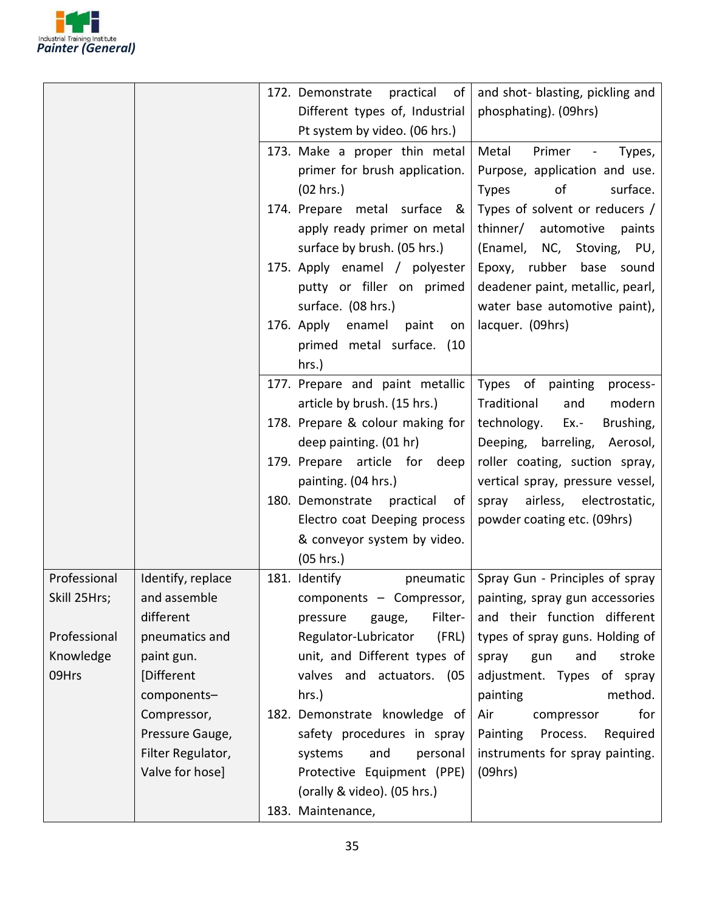

|              |                   | and shot- blasting, pickling and<br>practical<br>of l<br>172. Demonstrate    |
|--------------|-------------------|------------------------------------------------------------------------------|
|              |                   | Different types of, Industrial<br>phosphating). (09hrs)                      |
|              |                   | Pt system by video. (06 hrs.)                                                |
|              |                   | 173. Make a proper thin metal<br>Metal<br>Primer<br>Types,<br>$\blacksquare$ |
|              |                   | primer for brush application.<br>Purpose, application and use.               |
|              |                   | of<br>surface.<br>(02 hrs.)<br><b>Types</b>                                  |
|              |                   | Types of solvent or reducers /<br>174. Prepare metal surface &               |
|              |                   | apply ready primer on metal<br>thinner/ automotive<br>paints                 |
|              |                   | surface by brush. (05 hrs.)<br>(Enamel, NC, Stoving, PU,                     |
|              |                   | Epoxy, rubber base sound<br>175. Apply enamel / polyester                    |
|              |                   | putty or filler on primed<br>deadener paint, metallic, pearl,                |
|              |                   | surface. (08 hrs.)<br>water base automotive paint),                          |
|              |                   | 176. Apply enamel<br>paint<br>lacquer. (09hrs)<br>on                         |
|              |                   | primed metal surface. (10                                                    |
|              |                   | hrs.)                                                                        |
|              |                   | 177. Prepare and paint metallic<br>Types of painting<br>process-             |
|              |                   | article by brush. (15 hrs.)<br>Traditional<br>modern<br>and                  |
|              |                   | 178. Prepare & colour making for<br>technology.<br>Ex.-<br>Brushing,         |
|              |                   | deep painting. (01 hr)<br>Deeping, barreling, Aerosol,                       |
|              |                   | 179. Prepare article for deep<br>roller coating, suction spray,              |
|              |                   | painting. (04 hrs.)<br>vertical spray, pressure vessel,                      |
|              |                   | 180. Demonstrate practical<br>spray airless, electrostatic,<br>of l          |
|              |                   | Electro coat Deeping process<br>powder coating etc. (09hrs)                  |
|              |                   | & conveyor system by video.                                                  |
|              |                   | (05 hrs.)                                                                    |
| Professional | Identify, replace | 181. Identify<br>pneumatic<br>Spray Gun - Principles of spray                |
| Skill 25Hrs; | and assemble      | components - Compressor,<br>painting, spray gun accessories                  |
|              | different         | Filter-<br>and their function different<br>gauge,<br>pressure                |
| Professional | pneumatics and    | Regulator-Lubricator<br>(FRL)<br>types of spray guns. Holding of             |
| Knowledge    | paint gun.        | unit, and Different types of<br>and<br>stroke<br>spray<br>gun                |
| 09Hrs        | [Different        | valves and actuators. (05<br>adjustment. Types of spray                      |
|              | components-       | method.<br>hrs.)<br>painting                                                 |
|              | Compressor,       | for<br>182. Demonstrate knowledge of<br>Air<br>compressor                    |
|              | Pressure Gauge,   | safety procedures in spray<br>Painting<br>Process.<br>Required               |
|              | Filter Regulator, | instruments for spray painting.<br>and<br>personal<br>systems                |
|              | Valve for hose]   | Protective Equipment (PPE)<br>(09hrs)                                        |
|              |                   | (orally & video). (05 hrs.)                                                  |
|              |                   | 183. Maintenance,                                                            |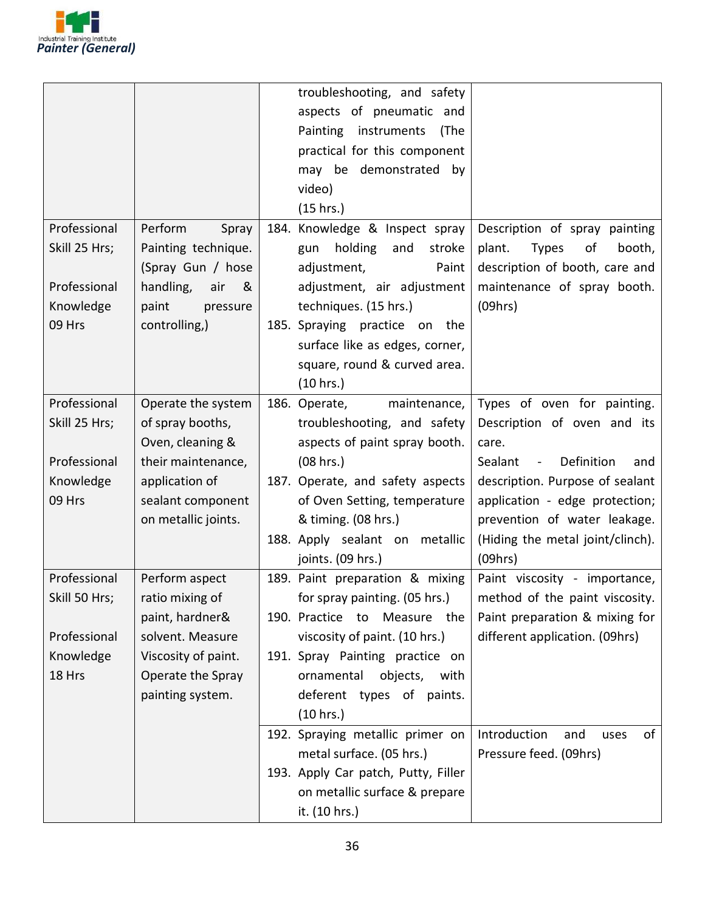

|                       |                       | troubleshooting, and safety                                               |
|-----------------------|-----------------------|---------------------------------------------------------------------------|
|                       |                       | aspects of pneumatic and                                                  |
|                       |                       | Painting instruments<br>(The                                              |
|                       |                       | practical for this component                                              |
|                       |                       | may be demonstrated by                                                    |
|                       |                       | video)                                                                    |
|                       |                       | (15 hrs.)                                                                 |
| Professional          | Perform<br>Spray      | 184. Knowledge & Inspect spray<br>Description of spray painting           |
| Skill 25 Hrs;         | Painting technique.   | holding<br>and<br>stroke<br>plant.<br><b>Types</b><br>of<br>booth,<br>gun |
|                       | (Spray Gun / hose     | description of booth, care and<br>adjustment,<br>Paint                    |
| Professional          | handling,<br>&<br>air | adjustment, air adjustment<br>maintenance of spray booth.                 |
| Knowledge             | paint<br>pressure     | (09hrs)<br>techniques. (15 hrs.)                                          |
| 09 Hrs                | controlling,)         | 185. Spraying practice on<br>the                                          |
|                       |                       | surface like as edges, corner,                                            |
|                       |                       | square, round & curved area.                                              |
|                       |                       | (10 hrs.)                                                                 |
| Professional          | Operate the system    | Types of oven for painting.<br>186. Operate,<br>maintenance,              |
| Skill 25 Hrs;         | of spray booths,      | troubleshooting, and safety<br>Description of oven and its                |
|                       | Oven, cleaning &      | aspects of paint spray booth.<br>care.                                    |
| Professional          | their maintenance,    | Definition<br>(08 hrs.)<br>Sealant<br>$\sim$ .<br>and                     |
| Knowledge             | application of        | 187. Operate, and safety aspects<br>description. Purpose of sealant       |
| 09 Hrs                | sealant component     | application - edge protection;<br>of Oven Setting, temperature            |
|                       | on metallic joints.   | & timing. (08 hrs.)<br>prevention of water leakage.                       |
|                       |                       | 188. Apply sealant on metallic<br>(Hiding the metal joint/clinch).        |
|                       |                       | joints. (09 hrs.)<br>(09hrs)                                              |
| Professional          | Perform aspect        | 189. Paint preparation & mixing<br>Paint viscosity - importance,          |
| Skill 50 Hrs; $\vert$ | ratio mixing of       | for spray painting. (05 hrs.)<br>method of the paint viscosity.           |
|                       | paint, hardner&       | Paint preparation & mixing for<br>190. Practice to Measure the            |
| Professional          | solvent. Measure      | viscosity of paint. (10 hrs.)<br>different application. (09hrs)           |
| Knowledge             | Viscosity of paint.   | 191. Spray Painting practice on                                           |
| 18 Hrs                | Operate the Spray     | ornamental<br>objects,<br>with                                            |
|                       | painting system.      | deferent types of paints.                                                 |
|                       |                       | (10 hrs.)                                                                 |
|                       |                       | 192. Spraying metallic primer on<br>Introduction<br>of<br>and<br>uses     |
|                       |                       | metal surface. (05 hrs.)<br>Pressure feed. (09hrs)                        |
|                       |                       | 193. Apply Car patch, Putty, Filler                                       |
|                       |                       | on metallic surface & prepare                                             |
|                       |                       | it. (10 hrs.)                                                             |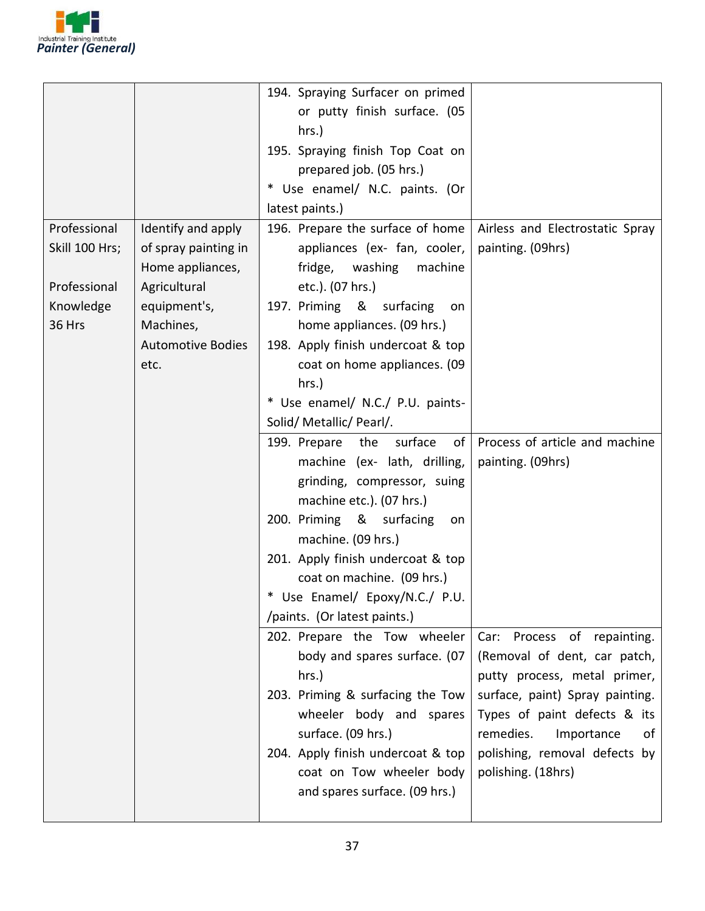

|                |                          | 194. Spraying Surfacer on primed     |                                 |
|----------------|--------------------------|--------------------------------------|---------------------------------|
|                |                          | or putty finish surface. (05         |                                 |
|                |                          | hrs.)                                |                                 |
|                |                          | 195. Spraying finish Top Coat on     |                                 |
|                |                          | prepared job. (05 hrs.)              |                                 |
|                |                          | * Use enamel/ N.C. paints. (Or       |                                 |
|                |                          | latest paints.)                      |                                 |
| Professional   | Identify and apply       | 196. Prepare the surface of home     | Airless and Electrostatic Spray |
| Skill 100 Hrs; | of spray painting in     | appliances (ex- fan, cooler,         | painting. (09hrs)               |
|                | Home appliances,         | fridge, washing<br>machine           |                                 |
| Professional   | Agricultural             | etc.). (07 hrs.)                     |                                 |
| Knowledge      | equipment's,             | 197. Priming & surfacing<br>on       |                                 |
| 36 Hrs         | Machines,                | home appliances. (09 hrs.)           |                                 |
|                | <b>Automotive Bodies</b> | 198. Apply finish undercoat & top    |                                 |
|                | etc.                     | coat on home appliances. (09         |                                 |
|                |                          | hrs.)                                |                                 |
|                |                          | * Use enamel/ N.C./ P.U. paints-     |                                 |
|                |                          | Solid/ Metallic/ Pearl/.             |                                 |
|                |                          | the<br>surface<br>of<br>199. Prepare | Process of article and machine  |
|                |                          | machine (ex- lath, drilling,         | painting. (09hrs)               |
|                |                          | grinding, compressor, suing          |                                 |
|                |                          | machine etc.). (07 hrs.)             |                                 |
|                |                          | 200. Priming & surfacing<br>on       |                                 |
|                |                          | machine. (09 hrs.)                   |                                 |
|                |                          | 201. Apply finish undercoat & top    |                                 |
|                |                          | coat on machine. (09 hrs.)           |                                 |
|                |                          | * Use Enamel/ Epoxy/N.C./ P.U.       |                                 |
|                |                          | /paints. (Or latest paints.)         |                                 |
|                |                          | 202. Prepare the Tow wheeler         | Car: Process of repainting.     |
|                |                          | body and spares surface. (07         | (Removal of dent, car patch,    |
|                |                          | hrs.)                                | putty process, metal primer,    |
|                |                          | 203. Priming & surfacing the Tow     | surface, paint) Spray painting. |
|                |                          | wheeler body and spares              | Types of paint defects & its    |
|                |                          | surface. (09 hrs.)                   | remedies.<br>Importance<br>of   |
|                |                          | 204. Apply finish undercoat & top    | polishing, removal defects by   |
|                |                          | coat on Tow wheeler body             | polishing. (18hrs)              |
|                |                          | and spares surface. (09 hrs.)        |                                 |
|                |                          |                                      |                                 |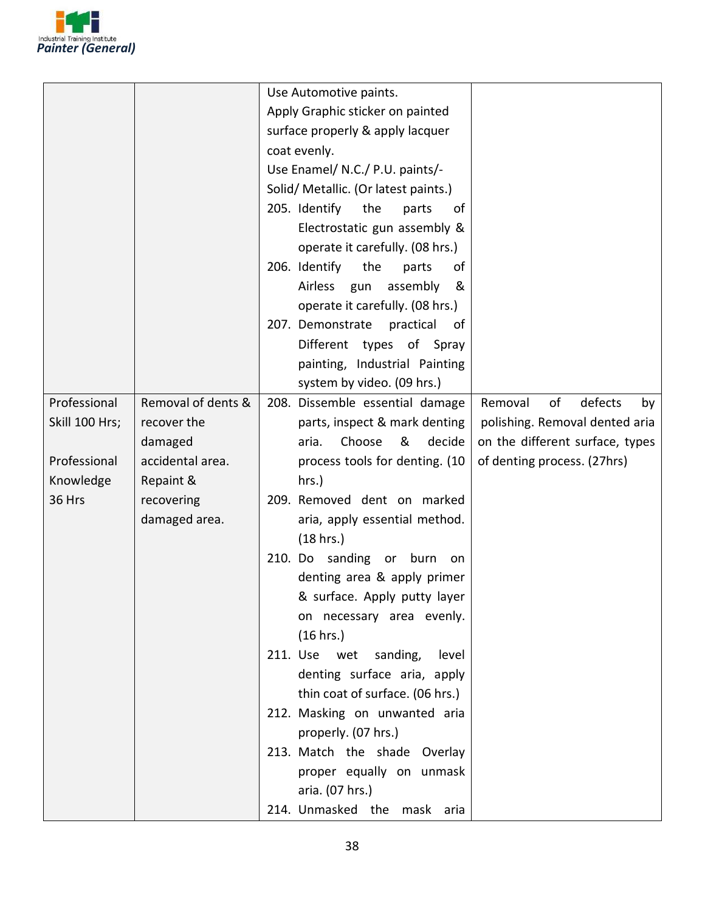

|                |                    | Use Automotive paints.               |                                 |
|----------------|--------------------|--------------------------------------|---------------------------------|
|                |                    | Apply Graphic sticker on painted     |                                 |
|                |                    | surface properly & apply lacquer     |                                 |
|                |                    | coat evenly.                         |                                 |
|                |                    | Use Enamel/ N.C./ P.U. paints/-      |                                 |
|                |                    | Solid/ Metallic. (Or latest paints.) |                                 |
|                |                    | 205. Identify<br>the<br>parts<br>οf  |                                 |
|                |                    | Electrostatic gun assembly &         |                                 |
|                |                    | operate it carefully. (08 hrs.)      |                                 |
|                |                    | 206. Identify<br>the<br>parts<br>οf  |                                 |
|                |                    | assembly<br>Airless gun<br>&         |                                 |
|                |                    | operate it carefully. (08 hrs.)      |                                 |
|                |                    | 207. Demonstrate<br>practical<br>0f  |                                 |
|                |                    | Different types of Spray             |                                 |
|                |                    | painting, Industrial Painting        |                                 |
|                |                    | system by video. (09 hrs.)           |                                 |
| Professional   | Removal of dents & | 208. Dissemble essential damage      | of<br>defects<br>Removal<br>by  |
| Skill 100 Hrs; | recover the        | parts, inspect & mark denting        | polishing. Removal dented aria  |
|                | damaged            | Choose<br>&<br>decide<br>aria.       | on the different surface, types |
| Professional   | accidental area.   | process tools for denting. (10       | of denting process. (27hrs)     |
| Knowledge      | Repaint &          | hrs.)                                |                                 |
| 36 Hrs         | recovering         | 209. Removed dent on marked          |                                 |
|                | damaged area.      | aria, apply essential method.        |                                 |
|                |                    | (18 hrs.)                            |                                 |
|                |                    | 210. Do sanding or burn on           |                                 |
|                |                    | denting area & apply primer          |                                 |
|                |                    | & surface. Apply putty layer         |                                 |
|                |                    | on necessary area evenly.            |                                 |
|                |                    | (16 hrs.)                            |                                 |
|                |                    | 211. Use wet sanding,<br>level       |                                 |
|                |                    | denting surface aria, apply          |                                 |
|                |                    | thin coat of surface. (06 hrs.)      |                                 |
|                |                    | 212. Masking on unwanted aria        |                                 |
|                |                    | properly. (07 hrs.)                  |                                 |
|                |                    | 213. Match the shade Overlay         |                                 |
|                |                    | proper equally on unmask             |                                 |
|                |                    | aria. (07 hrs.)                      |                                 |
|                |                    | 214. Unmasked the mask aria          |                                 |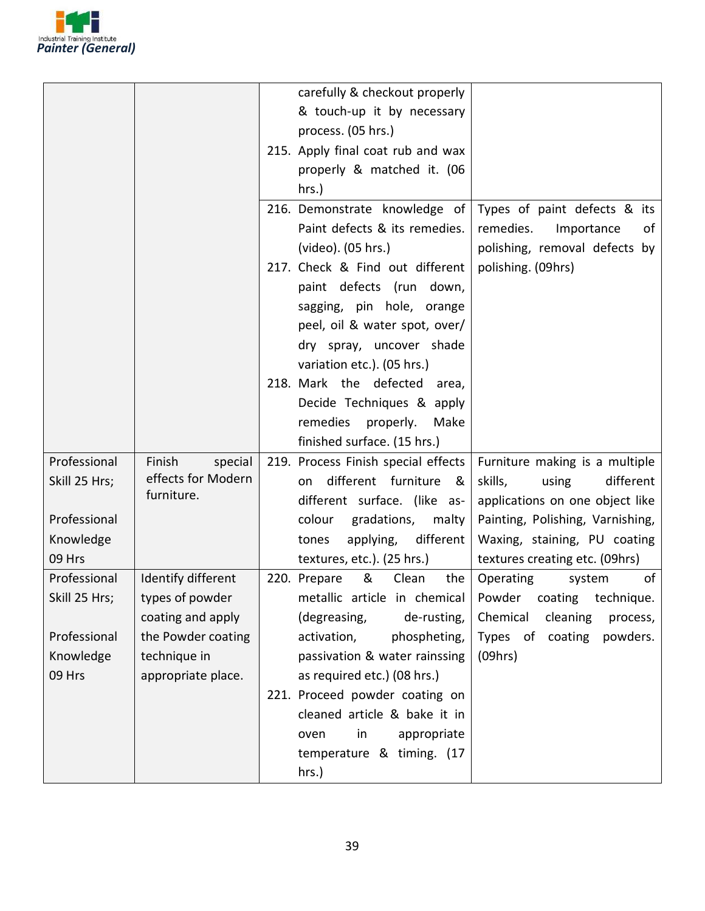

|               |                    | carefully & checkout properly                                         |
|---------------|--------------------|-----------------------------------------------------------------------|
|               |                    |                                                                       |
|               |                    | & touch-up it by necessary                                            |
|               |                    | process. (05 hrs.)                                                    |
|               |                    | 215. Apply final coat rub and wax                                     |
|               |                    | properly & matched it. (06                                            |
|               |                    | $hrs.$ )                                                              |
|               |                    | 216. Demonstrate knowledge of<br>Types of paint defects & its         |
|               |                    | Paint defects & its remedies.<br>remedies.<br>Importance<br>of        |
|               |                    | (video). (05 hrs.)<br>polishing, removal defects by                   |
|               |                    | 217. Check & Find out different<br>polishing. (09hrs)                 |
|               |                    | paint defects (run down,                                              |
|               |                    | sagging, pin hole, orange                                             |
|               |                    | peel, oil & water spot, over/                                         |
|               |                    | dry spray, uncover shade                                              |
|               |                    | variation etc.). (05 hrs.)                                            |
|               |                    | 218. Mark the defected<br>area,                                       |
|               |                    | Decide Techniques & apply                                             |
|               |                    | remedies properly.<br>Make                                            |
|               |                    | finished surface. (15 hrs.)                                           |
| Professional  | Finish<br>special  | 219. Process Finish special effects<br>Furniture making is a multiple |
| Skill 25 Hrs; | effects for Modern | different furniture<br>different<br>skills,<br>୍ଷ &<br>using<br>on    |
|               | furniture.         | different surface. (like as-<br>applications on one object like       |
| Professional  |                    | gradations,<br>Painting, Polishing, Varnishing,<br>colour<br>malty    |
| Knowledge     |                    | different<br>Waxing, staining, PU coating<br>applying,<br>tones       |
| 09 Hrs        |                    | textures, etc.). (25 hrs.)<br>textures creating etc. (09hrs)          |
| Professional  | Identify different | &<br>Clean<br>of<br>220. Prepare<br>the<br>Operating<br>system        |
| Skill 25 Hrs; | types of powder    | metallic article in chemical<br>coating<br>technique.<br>Powder       |
|               | coating and apply  | de-rusting,<br>Chemical<br>(degreasing,<br>cleaning<br>process,       |
| Professional  | the Powder coating | Types of coating<br>phospheting,<br>powders.<br>activation,           |
| Knowledge     | technique in       | passivation & water rainssing<br>(09hrs)                              |
| 09 Hrs        | appropriate place. | as required etc.) (08 hrs.)                                           |
|               |                    | 221. Proceed powder coating on                                        |
|               |                    | cleaned article & bake it in                                          |
|               |                    |                                                                       |
|               |                    | appropriate<br>oven<br>in                                             |
|               |                    | temperature & timing. (17                                             |
|               |                    | hrs.)                                                                 |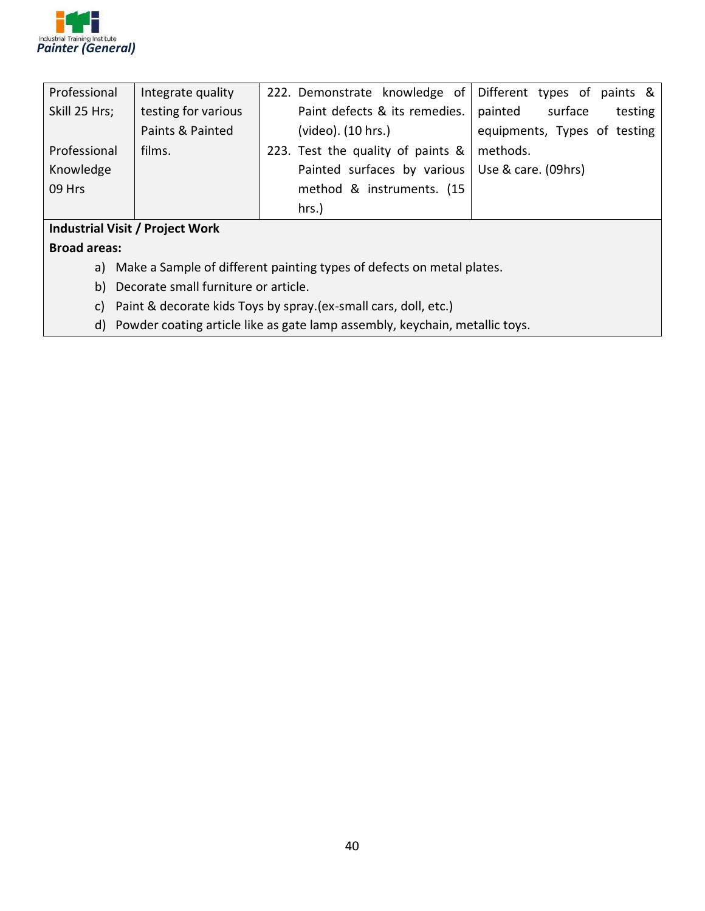

| Professional                           | Integrate quality   | 222. Demonstrate knowledge of Different types of paints & |                               |
|----------------------------------------|---------------------|-----------------------------------------------------------|-------------------------------|
| Skill 25 Hrs;                          | testing for various | Paint defects & its remedies.                             | painted<br>surface<br>testing |
|                                        | Paints & Painted    | (video). (10 hrs.)                                        | equipments, Types of testing  |
| Professional                           | films.              | 223. Test the quality of paints &                         | methods.                      |
| Knowledge                              |                     | Painted surfaces by various   Use & care. (09hrs)         |                               |
| 09 Hrs                                 |                     | method & instruments. (15)                                |                               |
|                                        |                     | hrs.)                                                     |                               |
| <b>Industrial Visit / Project Work</b> |                     |                                                           |                               |

**Broad areas:**

- a) Make a Sample of different painting types of defects on metal plates.
- b) Decorate small furniture or article.
- c) Paint & decorate kids Toys by spray.(ex-small cars, doll, etc.)
- d) Powder coating article like as gate lamp assembly, keychain, metallic toys.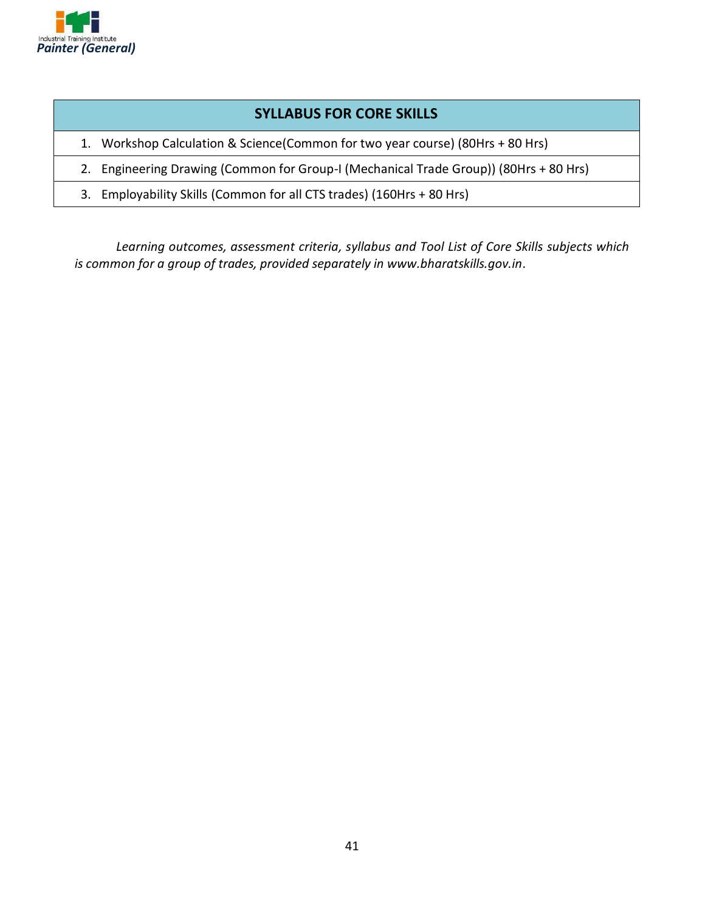

#### **SYLLABUS FOR CORE SKILLS**

- 1. Workshop Calculation & Science(Common for two year course) (80Hrs + 80 Hrs)
- 2. Engineering Drawing (Common for Group-I (Mechanical Trade Group)) (80Hrs + 80 Hrs)
- 3. Employability Skills (Common for all CTS trades) (160Hrs + 80 Hrs)

*Learning outcomes, assessment criteria, syllabus and Tool List of Core Skills subjects which is common for a group of trades, provided separately in www.bharatskills.gov.in.*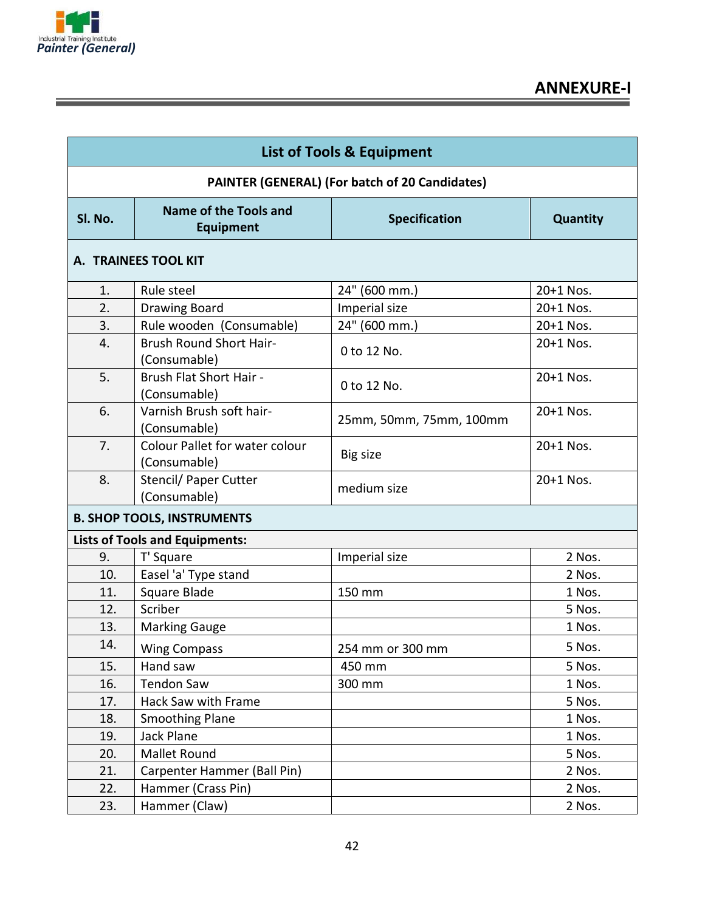

| <b>List of Tools &amp; Equipment</b>           |                                                       |                         |           |  |
|------------------------------------------------|-------------------------------------------------------|-------------------------|-----------|--|
| PAINTER (GENERAL) (For batch of 20 Candidates) |                                                       |                         |           |  |
| SI. No.                                        | Name of the Tools and<br><b>Equipment</b>             | <b>Specification</b>    | Quantity  |  |
| A. TRAINEES TOOL KIT                           |                                                       |                         |           |  |
| 1.                                             | Rule steel                                            | 24" (600 mm.)           | 20+1 Nos. |  |
| 2.                                             | Drawing Board                                         | Imperial size           | 20+1 Nos. |  |
| 3.                                             | Rule wooden (Consumable)                              | 24" (600 mm.)           | 20+1 Nos. |  |
| 4.                                             | <b>Brush Round Short Hair-</b><br>(Consumable)        | 0 to 12 No.             | 20+1 Nos. |  |
| 5.                                             | Brush Flat Short Hair -<br>(Consumable)               | 0 to 12 No.             | 20+1 Nos. |  |
| 6.                                             | Varnish Brush soft hair-<br>(Consumable)              | 25mm, 50mm, 75mm, 100mm | 20+1 Nos. |  |
| 7.                                             | <b>Colour Pallet for water colour</b><br>(Consumable) | Big size                | 20+1 Nos. |  |
| 8.                                             | Stencil/ Paper Cutter<br>(Consumable)                 | medium size             | 20+1 Nos. |  |
| <b>B. SHOP TOOLS, INSTRUMENTS</b>              |                                                       |                         |           |  |
|                                                | <b>Lists of Tools and Equipments:</b>                 |                         |           |  |
| 9.                                             | T' Square                                             | Imperial size           | 2 Nos.    |  |
| 10.                                            | Easel 'a' Type stand                                  |                         | 2 Nos.    |  |
| 11.                                            | Square Blade                                          | 150 mm                  | 1 Nos.    |  |
| 12.                                            | Scriber                                               |                         | 5 Nos.    |  |
| 13.                                            | <b>Marking Gauge</b>                                  |                         | 1 Nos.    |  |
| 14.                                            | <b>Wing Compass</b>                                   | 254 mm or 300 mm        | 5 Nos.    |  |
| 15.                                            | Hand saw                                              | 450 mm                  | 5 Nos.    |  |
| 16.                                            | <b>Tendon Saw</b>                                     | 300 mm                  | 1 Nos.    |  |
| 17.                                            | Hack Saw with Frame                                   |                         | 5 Nos.    |  |
| 18.                                            | <b>Smoothing Plane</b>                                |                         | 1 Nos.    |  |
| 19.                                            | Jack Plane                                            |                         | 1 Nos.    |  |
| 20.                                            | Mallet Round                                          |                         | 5 Nos.    |  |
| 21.                                            | Carpenter Hammer (Ball Pin)                           |                         | 2 Nos.    |  |
| 22.                                            | Hammer (Crass Pin)                                    |                         | 2 Nos.    |  |
| 23.                                            | Hammer (Claw)                                         |                         | 2 Nos.    |  |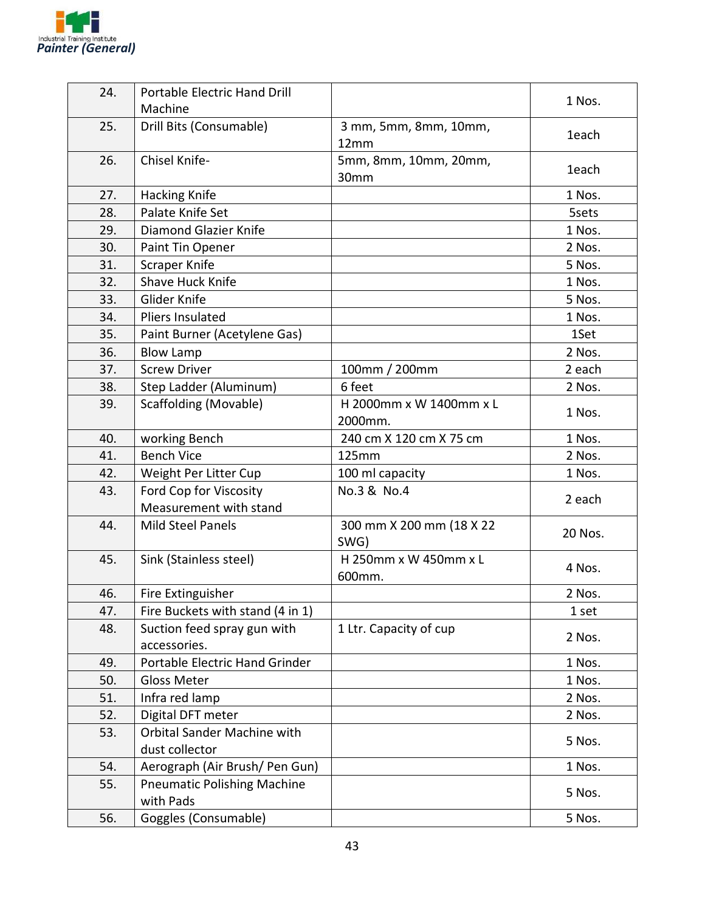

| 24. | Portable Electric Hand Drill                  |                                    | 1 Nos.  |
|-----|-----------------------------------------------|------------------------------------|---------|
|     | Machine                                       |                                    |         |
| 25. | Drill Bits (Consumable)                       | 3 mm, 5mm, 8mm, 10mm,<br>12mm      | 1each   |
| 26. | Chisel Knife-                                 | 5mm, 8mm, 10mm, 20mm,<br>30mm      | 1each   |
| 27. | <b>Hacking Knife</b>                          |                                    | 1 Nos.  |
| 28. | Palate Knife Set                              |                                    | 5sets   |
| 29. | Diamond Glazier Knife                         |                                    | 1 Nos.  |
| 30. | Paint Tin Opener                              |                                    | 2 Nos.  |
| 31. | Scraper Knife                                 |                                    | 5 Nos.  |
| 32. | Shave Huck Knife                              |                                    | 1 Nos.  |
| 33. | Glider Knife                                  |                                    | 5 Nos.  |
| 34. | Pliers Insulated                              |                                    | 1 Nos.  |
| 35. | Paint Burner (Acetylene Gas)                  |                                    | 1Set    |
| 36. | <b>Blow Lamp</b>                              |                                    | 2 Nos.  |
| 37. | <b>Screw Driver</b>                           | 100mm / 200mm                      | 2 each  |
| 38. | Step Ladder (Aluminum)                        | 6 feet                             | 2 Nos.  |
| 39. | Scaffolding (Movable)                         | H 2000mm x W 1400mm x L<br>2000mm. | 1 Nos.  |
| 40. | working Bench                                 | 240 cm X 120 cm X 75 cm            | 1 Nos.  |
| 41. | <b>Bench Vice</b>                             | 125mm                              | 2 Nos.  |
| 42. | Weight Per Litter Cup                         | 100 ml capacity                    | 1 Nos.  |
| 43. | Ford Cop for Viscosity                        | No.3 & No.4                        |         |
|     | Measurement with stand                        |                                    | 2 each  |
| 44. | <b>Mild Steel Panels</b>                      | 300 mm X 200 mm (18 X 22<br>SWG)   | 20 Nos. |
| 45. | Sink (Stainless steel)                        | H 250mm x W 450mm x L<br>600mm.    | 4 Nos.  |
| 46. | Fire Extinguisher                             |                                    | 2 Nos.  |
| 47. | Fire Buckets with stand (4 in 1)              |                                    | 1 set   |
| 48. | Suction feed spray gun with                   | 1 Ltr. Capacity of cup             |         |
|     | accessories.                                  |                                    | 2 Nos.  |
| 49. | Portable Electric Hand Grinder                |                                    | 1 Nos.  |
| 50. | <b>Gloss Meter</b>                            |                                    | 1 Nos.  |
| 51. | Infra red lamp                                |                                    | 2 Nos.  |
| 52. | Digital DFT meter                             |                                    | 2 Nos.  |
| 53. | Orbital Sander Machine with<br>dust collector |                                    | 5 Nos.  |
| 54. | Aerograph (Air Brush/ Pen Gun)                |                                    | 1 Nos.  |
| 55. | <b>Pneumatic Polishing Machine</b>            |                                    |         |
|     | with Pads                                     |                                    | 5 Nos.  |
| 56. | Goggles (Consumable)                          |                                    | 5 Nos.  |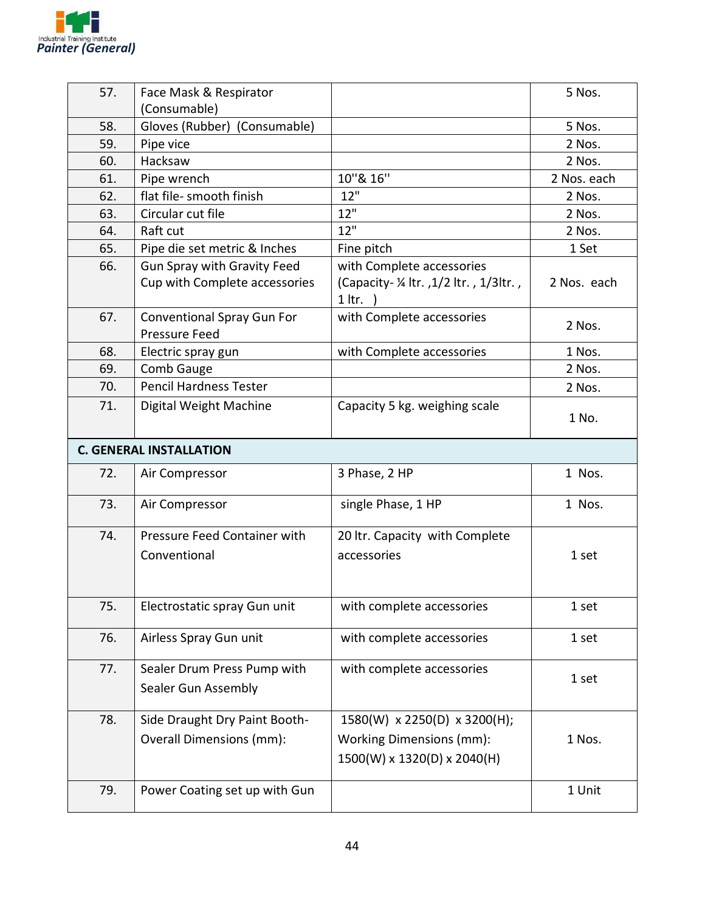

| 57. | Face Mask & Respirator                                              |                                                             | 5 Nos.      |
|-----|---------------------------------------------------------------------|-------------------------------------------------------------|-------------|
|     | (Consumable)                                                        |                                                             |             |
| 58. | Gloves (Rubber) (Consumable)                                        |                                                             | 5 Nos.      |
| 59. | Pipe vice                                                           |                                                             | 2 Nos.      |
| 60. | Hacksaw                                                             |                                                             | 2 Nos.      |
| 61. | Pipe wrench                                                         | 10"& 16"                                                    | 2 Nos. each |
| 62. | flat file- smooth finish                                            | 12"                                                         | 2 Nos.      |
| 63. | Circular cut file                                                   | 12"                                                         | 2 Nos.      |
| 64. | Raft cut                                                            | 12"                                                         | 2 Nos.      |
| 65. | Pipe die set metric & Inches                                        | Fine pitch                                                  | 1 Set       |
| 66. | <b>Gun Spray with Gravity Feed</b><br>Cup with Complete accessories | with Complete accessories<br>(Capacity - 1/2 ltr., 1/3ltr., | 2 Nos. each |
|     |                                                                     | $1$ ltr. $)$                                                |             |
| 67. | <b>Conventional Spray Gun For</b>                                   | with Complete accessories                                   | 2 Nos.      |
|     | <b>Pressure Feed</b>                                                |                                                             |             |
| 68. | Electric spray gun                                                  | with Complete accessories                                   | 1 Nos.      |
| 69. | Comb Gauge                                                          |                                                             | 2 Nos.      |
| 70. | <b>Pencil Hardness Tester</b>                                       |                                                             | 2 Nos.      |
| 71. | Digital Weight Machine                                              | Capacity 5 kg. weighing scale                               | 1 No.       |
|     | <b>C. GENERAL INSTALLATION</b>                                      |                                                             |             |
| 72. | Air Compressor                                                      | 3 Phase, 2 HP                                               | 1 Nos.      |
| 73. | Air Compressor                                                      | single Phase, 1 HP                                          | 1 Nos.      |
| 74. | Pressure Feed Container with                                        | 20 Itr. Capacity with Complete                              |             |
|     | Conventional                                                        | accessories                                                 | 1 set       |
|     |                                                                     |                                                             |             |
| 75. | Electrostatic spray Gun unit                                        | with complete accessories                                   | 1 set       |
|     |                                                                     |                                                             |             |
| 76. | Airless Spray Gun unit                                              | with complete accessories                                   | 1 set       |
| 77. | Sealer Drum Press Pump with                                         | with complete accessories                                   |             |
|     | Sealer Gun Assembly                                                 |                                                             | 1 set       |
|     |                                                                     |                                                             |             |
| 78. | Side Draught Dry Paint Booth-                                       | 1580(W) x 2250(D) x 3200(H);                                |             |
|     | Overall Dimensions (mm):                                            | <b>Working Dimensions (mm):</b>                             | 1 Nos.      |
|     |                                                                     | 1500(W) x 1320(D) x 2040(H)                                 |             |
|     |                                                                     |                                                             |             |
| 79. | Power Coating set up with Gun                                       |                                                             | 1 Unit      |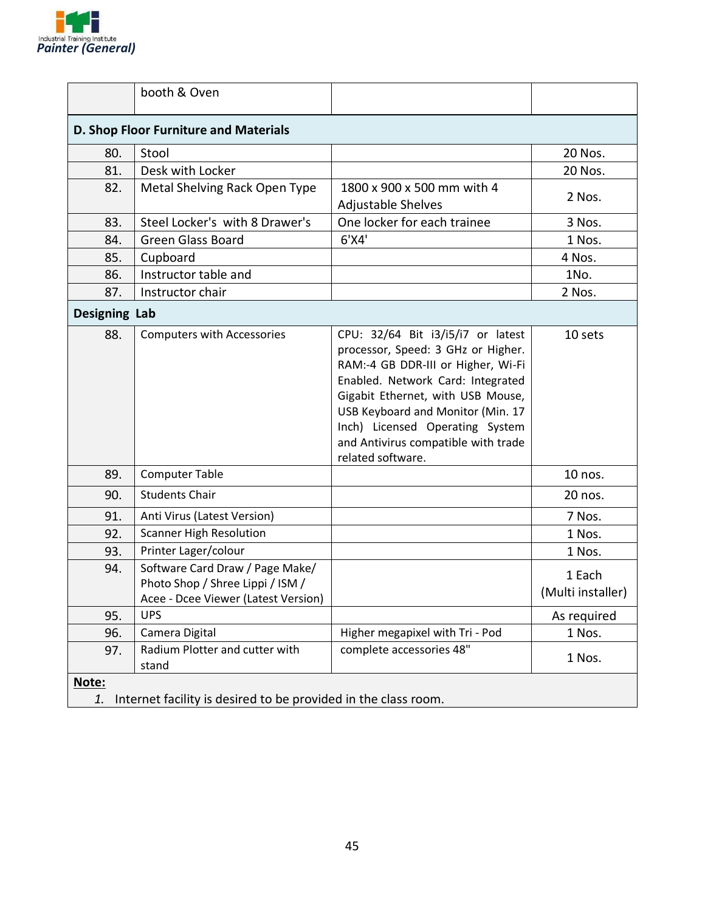

|                                       | booth & Oven                                                                                               |                                                                                                                                                                                                                                                                                                                             |                             |
|---------------------------------------|------------------------------------------------------------------------------------------------------------|-----------------------------------------------------------------------------------------------------------------------------------------------------------------------------------------------------------------------------------------------------------------------------------------------------------------------------|-----------------------------|
| D. Shop Floor Furniture and Materials |                                                                                                            |                                                                                                                                                                                                                                                                                                                             |                             |
| 80.                                   | Stool                                                                                                      |                                                                                                                                                                                                                                                                                                                             | 20 Nos.                     |
| 81.                                   | Desk with Locker                                                                                           |                                                                                                                                                                                                                                                                                                                             | 20 Nos.                     |
| 82.                                   | Metal Shelving Rack Open Type                                                                              | 1800 x 900 x 500 mm with 4<br>Adjustable Shelves                                                                                                                                                                                                                                                                            | 2 Nos.                      |
| 83.                                   | Steel Locker's with 8 Drawer's                                                                             | One locker for each trainee                                                                                                                                                                                                                                                                                                 | 3 Nos.                      |
| 84.                                   | <b>Green Glass Board</b>                                                                                   | $6'$ X4'                                                                                                                                                                                                                                                                                                                    | 1 Nos.                      |
| 85.                                   | Cupboard                                                                                                   |                                                                                                                                                                                                                                                                                                                             | 4 Nos.                      |
| 86.                                   | Instructor table and                                                                                       |                                                                                                                                                                                                                                                                                                                             | 1No.                        |
| 87.                                   | Instructor chair                                                                                           |                                                                                                                                                                                                                                                                                                                             | 2 Nos.                      |
| <b>Designing Lab</b>                  |                                                                                                            |                                                                                                                                                                                                                                                                                                                             |                             |
| 88.                                   | <b>Computers with Accessories</b>                                                                          | CPU: 32/64 Bit i3/i5/i7 or latest<br>processor, Speed: 3 GHz or Higher.<br>RAM:-4 GB DDR-III or Higher, Wi-Fi<br>Enabled. Network Card: Integrated<br>Gigabit Ethernet, with USB Mouse,<br>USB Keyboard and Monitor (Min. 17<br>Inch) Licensed Operating System<br>and Antivirus compatible with trade<br>related software. | 10 sets                     |
| 89.                                   | <b>Computer Table</b>                                                                                      |                                                                                                                                                                                                                                                                                                                             | 10 nos.                     |
| 90.                                   | <b>Students Chair</b>                                                                                      |                                                                                                                                                                                                                                                                                                                             | 20 nos.                     |
| 91.                                   | Anti Virus (Latest Version)                                                                                |                                                                                                                                                                                                                                                                                                                             | 7 Nos.                      |
| 92.                                   | <b>Scanner High Resolution</b>                                                                             |                                                                                                                                                                                                                                                                                                                             | 1 Nos.                      |
| 93.                                   | Printer Lager/colour                                                                                       |                                                                                                                                                                                                                                                                                                                             | 1 Nos.                      |
| 94.                                   | Software Card Draw / Page Make/<br>Photo Shop / Shree Lippi / ISM /<br>Acee - Dcee Viewer (Latest Version) |                                                                                                                                                                                                                                                                                                                             | 1 Each<br>(Multi installer) |
| 95.                                   | <b>UPS</b>                                                                                                 |                                                                                                                                                                                                                                                                                                                             | As required                 |
| 96.                                   | Camera Digital                                                                                             | Higher megapixel with Tri - Pod                                                                                                                                                                                                                                                                                             | 1 Nos.                      |
| 97.                                   | Radium Plotter and cutter with<br>stand                                                                    | complete accessories 48"                                                                                                                                                                                                                                                                                                    | 1 Nos.                      |
| Note:<br>1.                           | Internet facility is desired to be provided in the class room.                                             |                                                                                                                                                                                                                                                                                                                             |                             |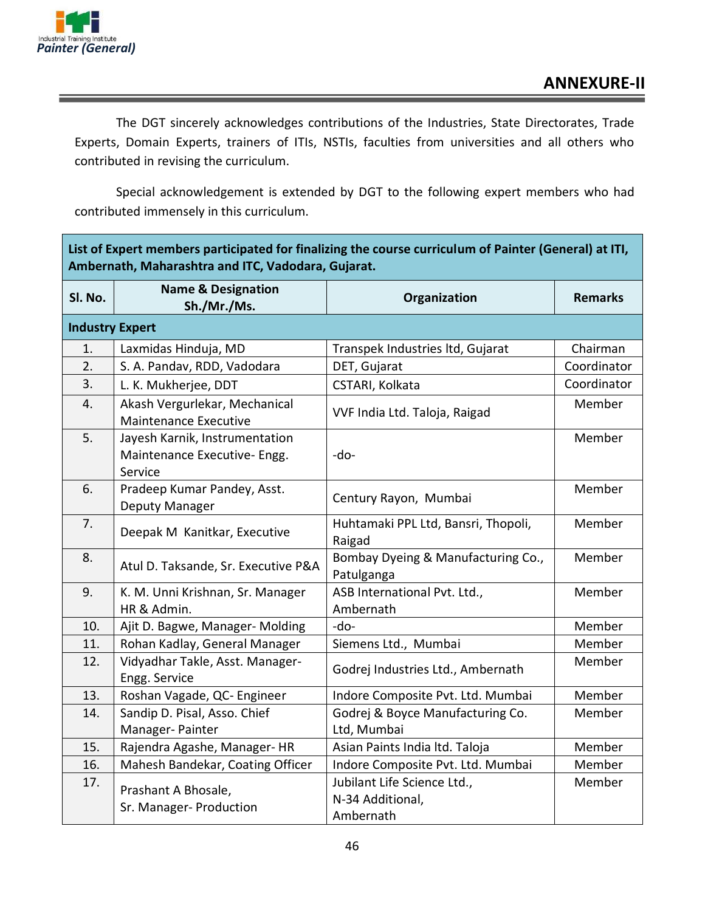

The DGT sincerely acknowledges contributions of the Industries, State Directorates, Trade Experts, Domain Experts, trainers of ITIs, NSTIs, faculties from universities and all others who contributed in revising the curriculum.

Special acknowledgement is extended by DGT to the following expert members who had contributed immensely in this curriculum.

| List of Expert members participated for finalizing the course curriculum of Painter (General) at ITI,<br>Ambernath, Maharashtra and ITC, Vadodara, Gujarat. |                                                                           |                                                  |                |
|-------------------------------------------------------------------------------------------------------------------------------------------------------------|---------------------------------------------------------------------------|--------------------------------------------------|----------------|
| Sl. No.                                                                                                                                                     | <b>Name &amp; Designation</b><br>Sh./Mr./Ms.                              | Organization                                     | <b>Remarks</b> |
| <b>Industry Expert</b>                                                                                                                                      |                                                                           |                                                  |                |
| 1.                                                                                                                                                          | Laxmidas Hinduja, MD                                                      | Transpek Industries ltd, Gujarat                 | Chairman       |
| 2.                                                                                                                                                          | S. A. Pandav, RDD, Vadodara                                               | DET, Gujarat                                     | Coordinator    |
| 3.                                                                                                                                                          | L. K. Mukherjee, DDT                                                      | CSTARI, Kolkata                                  | Coordinator    |
| 4.                                                                                                                                                          | Akash Vergurlekar, Mechanical<br><b>Maintenance Executive</b>             | VVF India Ltd. Taloja, Raigad                    | Member         |
| 5.                                                                                                                                                          | Jayesh Karnik, Instrumentation<br>Maintenance Executive- Engg.<br>Service | -do-                                             | Member         |
| 6.                                                                                                                                                          | Pradeep Kumar Pandey, Asst.<br>Deputy Manager                             | Century Rayon, Mumbai                            | Member         |
| 7.                                                                                                                                                          | Deepak M Kanitkar, Executive                                              | Huhtamaki PPL Ltd, Bansri, Thopoli,<br>Raigad    | Member         |
| 8.                                                                                                                                                          | Atul D. Taksande, Sr. Executive P&A                                       | Bombay Dyeing & Manufacturing Co.,<br>Patulganga | Member         |
| 9.                                                                                                                                                          | K. M. Unni Krishnan, Sr. Manager<br>HR & Admin.                           | ASB International Pvt. Ltd.,<br>Ambernath        | Member         |
| 10.                                                                                                                                                         | Ajit D. Bagwe, Manager- Molding                                           | -do-                                             | Member         |
| 11.                                                                                                                                                         | Rohan Kadlay, General Manager                                             | Siemens Ltd., Mumbai                             | Member         |
| 12.                                                                                                                                                         | Vidyadhar Takle, Asst. Manager-<br>Engg. Service                          | Godrej Industries Ltd., Ambernath                | Member         |
| 13.                                                                                                                                                         | Roshan Vagade, QC- Engineer                                               | Indore Composite Pvt. Ltd. Mumbai                | Member         |
| 14.                                                                                                                                                         | Sandip D. Pisal, Asso. Chief                                              | Godrej & Boyce Manufacturing Co.                 | Member         |
|                                                                                                                                                             | Manager-Painter                                                           | Ltd, Mumbai                                      |                |
| 15.                                                                                                                                                         | Rajendra Agashe, Manager- HR                                              | Asian Paints India ltd. Taloja                   | Member         |
| 16.                                                                                                                                                         | Mahesh Bandekar, Coating Officer                                          | Indore Composite Pvt. Ltd. Mumbai                | Member         |
| 17.                                                                                                                                                         | Prashant A Bhosale,                                                       | Jubilant Life Science Ltd.,                      | Member         |
|                                                                                                                                                             | Sr. Manager- Production                                                   | N-34 Additional,                                 |                |
|                                                                                                                                                             |                                                                           | Ambernath                                        |                |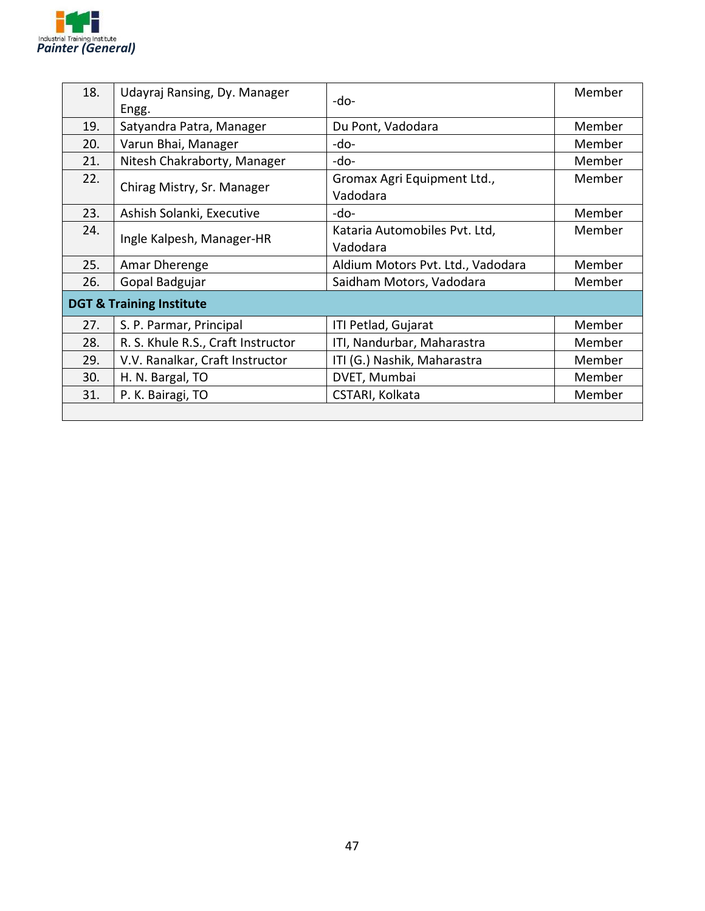

| 18.                                 | Udayraj Ransing, Dy. Manager<br>Engg. | -do-                                      | Member |
|-------------------------------------|---------------------------------------|-------------------------------------------|--------|
| 19.                                 | Satyandra Patra, Manager              | Du Pont, Vadodara                         | Member |
| 20.                                 | Varun Bhai, Manager                   | -do-                                      | Member |
| 21.                                 | Nitesh Chakraborty, Manager           | -do-                                      | Member |
| 22.                                 | Chirag Mistry, Sr. Manager            | Gromax Agri Equipment Ltd.,<br>Vadodara   | Member |
| 23.                                 | Ashish Solanki, Executive             | -do-                                      | Member |
| 24.                                 | Ingle Kalpesh, Manager-HR             | Kataria Automobiles Pvt. Ltd,<br>Vadodara | Member |
| 25.                                 | Amar Dherenge                         | Aldium Motors Pvt. Ltd., Vadodara         | Member |
| 26.                                 | Gopal Badgujar                        | Saidham Motors, Vadodara                  | Member |
| <b>DGT &amp; Training Institute</b> |                                       |                                           |        |
| 27.                                 | S. P. Parmar, Principal               | ITI Petlad, Gujarat                       | Member |
| 28.                                 | R. S. Khule R.S., Craft Instructor    | ITI, Nandurbar, Maharastra                | Member |
| 29.                                 | V.V. Ranalkar, Craft Instructor       | ITI (G.) Nashik, Maharastra               | Member |
| 30.                                 | H. N. Bargal, TO                      | DVET, Mumbai                              | Member |
| 31.                                 | P. K. Bairagi, TO                     | CSTARI, Kolkata                           | Member |
|                                     |                                       |                                           |        |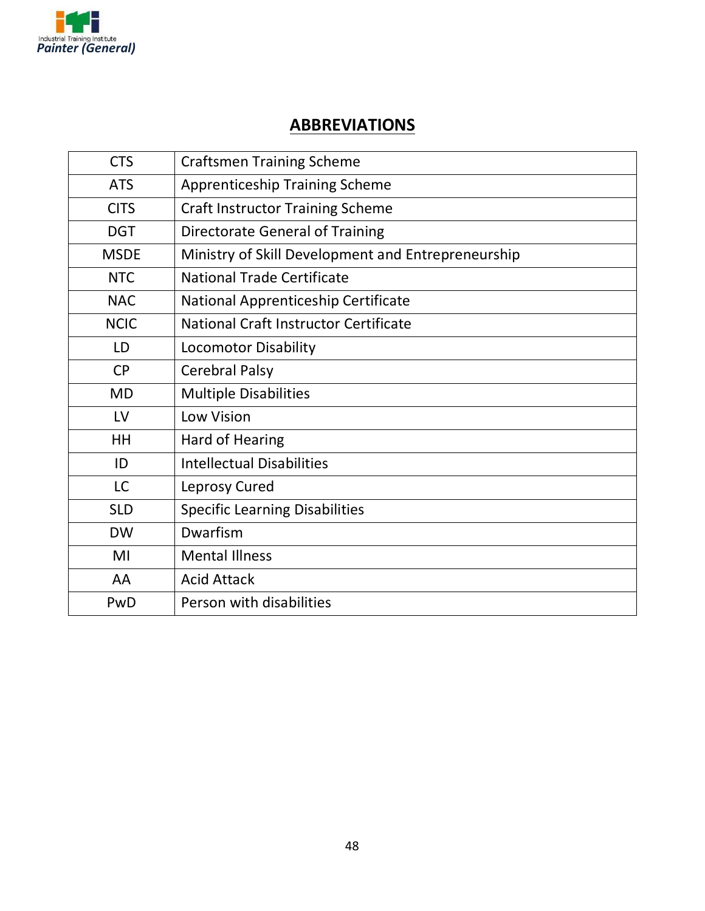

### **ABBREVIATIONS**

| <b>CTS</b>  | <b>Craftsmen Training Scheme</b>                   |
|-------------|----------------------------------------------------|
| <b>ATS</b>  | <b>Apprenticeship Training Scheme</b>              |
| <b>CITS</b> | <b>Craft Instructor Training Scheme</b>            |
| <b>DGT</b>  | <b>Directorate General of Training</b>             |
| <b>MSDE</b> | Ministry of Skill Development and Entrepreneurship |
| <b>NTC</b>  | <b>National Trade Certificate</b>                  |
| <b>NAC</b>  | National Apprenticeship Certificate                |
| <b>NCIC</b> | National Craft Instructor Certificate              |
| LD          | <b>Locomotor Disability</b>                        |
| <b>CP</b>   | <b>Cerebral Palsy</b>                              |
| <b>MD</b>   | <b>Multiple Disabilities</b>                       |
| LV          | Low Vision                                         |
| HH          | <b>Hard of Hearing</b>                             |
| ID          | <b>Intellectual Disabilities</b>                   |
| <b>LC</b>   | Leprosy Cured                                      |
| <b>SLD</b>  | <b>Specific Learning Disabilities</b>              |
| <b>DW</b>   | Dwarfism                                           |
| MI          | <b>Mental Illness</b>                              |
| AA          | <b>Acid Attack</b>                                 |
| PwD         | Person with disabilities                           |